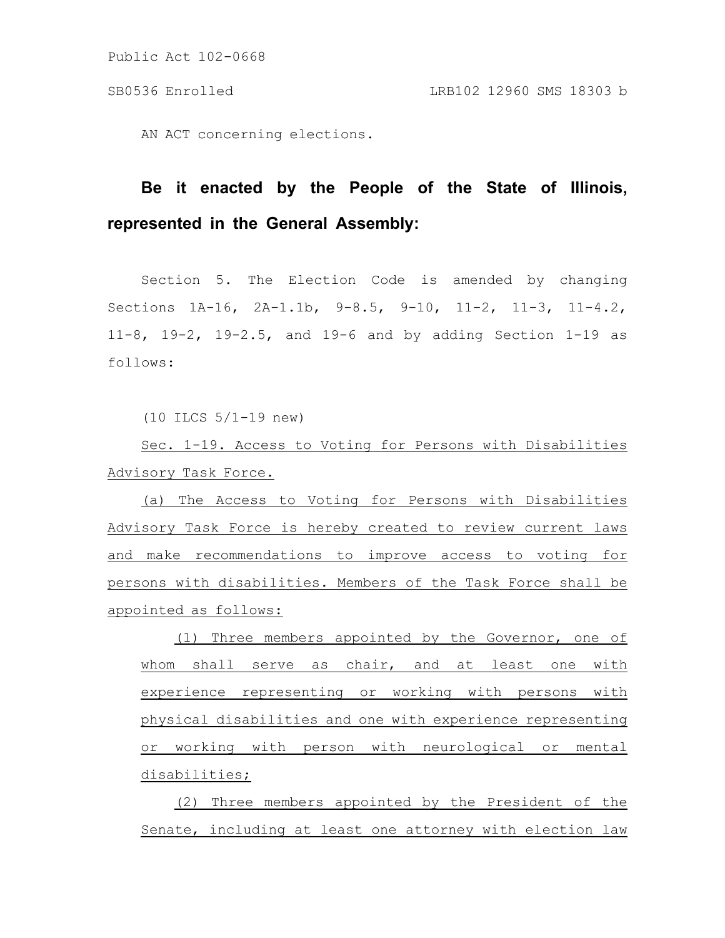AN ACT concerning elections.

# **Be it enacted by the People of the State of Illinois, represented in the General Assembly:**

Section 5. The Election Code is amended by changing Sections 1A-16, 2A-1.1b, 9-8.5, 9-10, 11-2, 11-3, 11-4.2, 11-8, 19-2, 19-2.5, and 19-6 and by adding Section 1-19 as follows:

(10 ILCS 5/1-19 new)

Sec. 1-19. Access to Voting for Persons with Disabilities Advisory Task Force.

(a) The Access to Voting for Persons with Disabilities Advisory Task Force is hereby created to review current laws and make recommendations to improve access to voting for persons with disabilities. Members of the Task Force shall be appointed as follows:

(1) Three members appointed by the Governor, one of whom shall serve as chair, and at least one with experience representing or working with persons with physical disabilities and one with experience representing or working with person with neurological or mental disabilities;

(2) Three members appointed by the President of the Senate, including at least one attorney with election law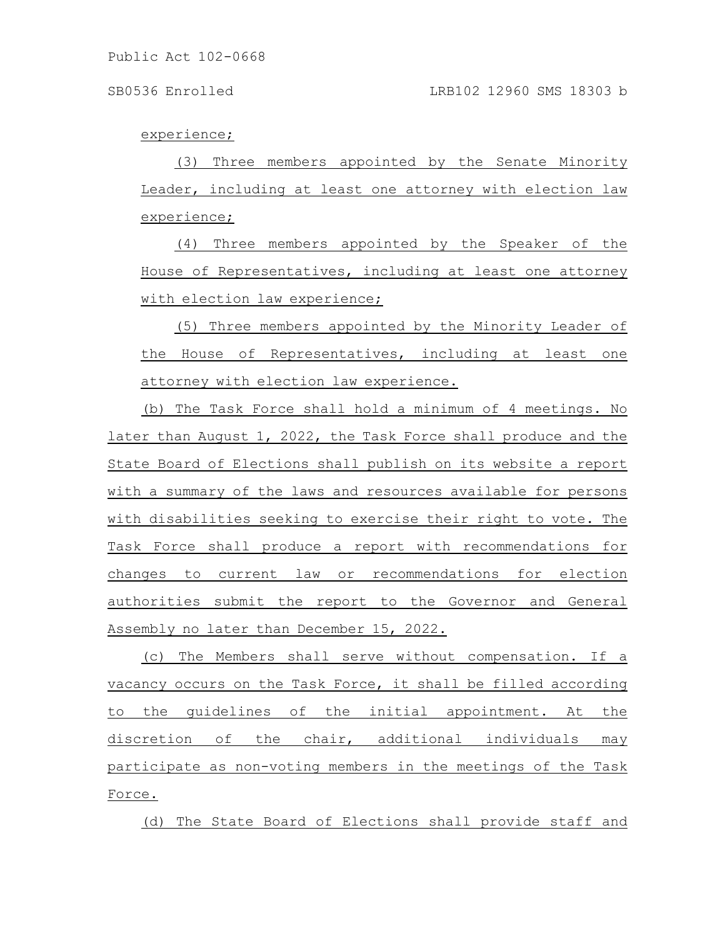#### experience;

(3) Three members appointed by the Senate Minority Leader, including at least one attorney with election law experience;

(4) Three members appointed by the Speaker of the House of Representatives, including at least one attorney with election law experience;

(5) Three members appointed by the Minority Leader of the House of Representatives, including at least one attorney with election law experience.

(b) The Task Force shall hold a minimum of 4 meetings. No later than August 1, 2022, the Task Force shall produce and the State Board of Elections shall publish on its website a report with a summary of the laws and resources available for persons with disabilities seeking to exercise their right to vote. The Task Force shall produce a report with recommendations for changes to current law or recommendations for election authorities submit the report to the Governor and General Assembly no later than December 15, 2022.

(c) The Members shall serve without compensation. If a vacancy occurs on the Task Force, it shall be filled according to the guidelines of the initial appointment. At the discretion of the chair, additional individuals may participate as non-voting members in the meetings of the Task Force.

(d) The State Board of Elections shall provide staff and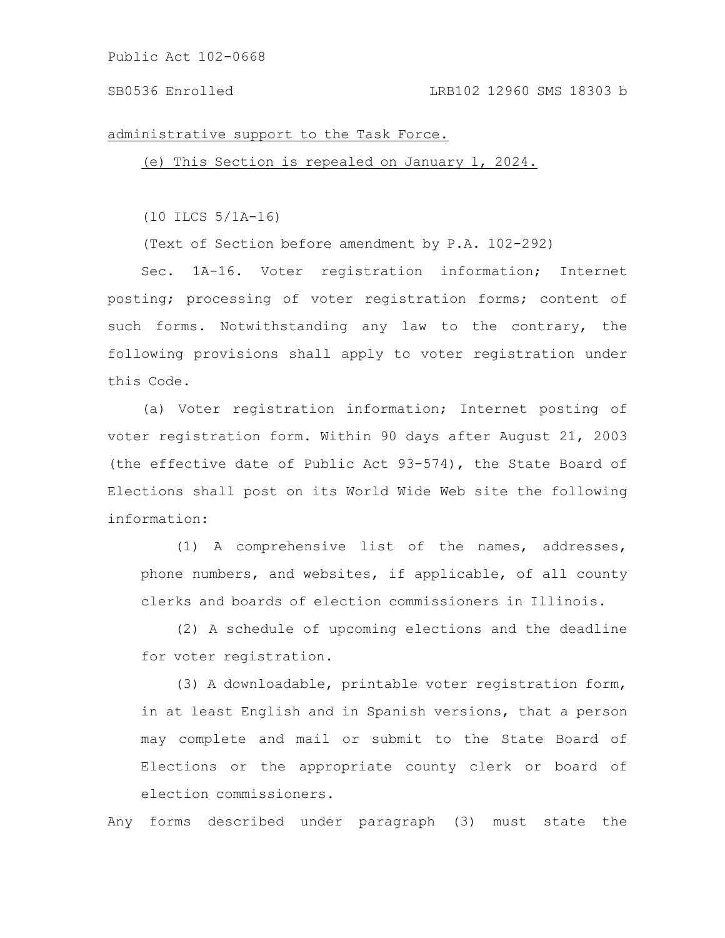#### SB0536 Enrolled LRB102 12960 SMS 18303 b

#### administrative support to the Task Force.

(e) This Section is repealed on January 1, 2024.

(10 ILCS 5/1A-16)

(Text of Section before amendment by P.A. 102-292)

Sec. 1A-16. Voter registration information; Internet posting; processing of voter registration forms; content of such forms. Notwithstanding any law to the contrary, the following provisions shall apply to voter registration under this Code.

(a) Voter registration information; Internet posting of voter registration form. Within 90 days after August 21, 2003 (the effective date of Public Act 93-574), the State Board of Elections shall post on its World Wide Web site the following information:

(1) A comprehensive list of the names, addresses, phone numbers, and websites, if applicable, of all county clerks and boards of election commissioners in Illinois.

(2) A schedule of upcoming elections and the deadline for voter registration.

(3) A downloadable, printable voter registration form, in at least English and in Spanish versions, that a person may complete and mail or submit to the State Board of Elections or the appropriate county clerk or board of election commissioners.

Any forms described under paragraph (3) must state the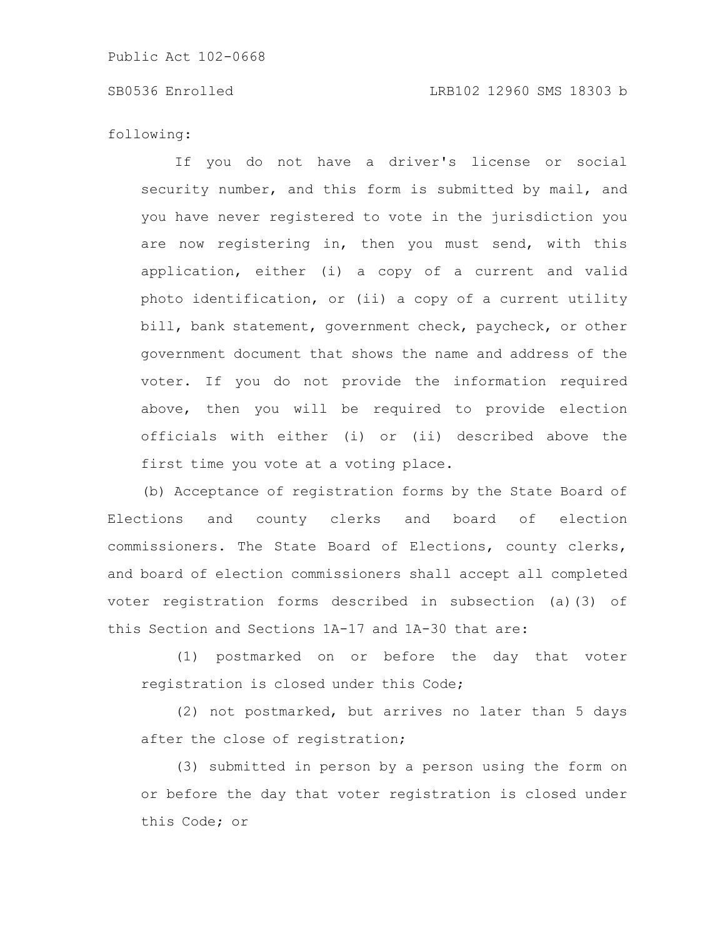#### SB0536 Enrolled LRB102 12960 SMS 18303 b

following:

If you do not have a driver's license or social security number, and this form is submitted by mail, and you have never registered to vote in the jurisdiction you are now registering in, then you must send, with this application, either (i) a copy of a current and valid photo identification, or (ii) a copy of a current utility bill, bank statement, government check, paycheck, or other government document that shows the name and address of the voter. If you do not provide the information required above, then you will be required to provide election officials with either (i) or (ii) described above the first time you vote at a voting place.

(b) Acceptance of registration forms by the State Board of Elections and county clerks and board of election commissioners. The State Board of Elections, county clerks, and board of election commissioners shall accept all completed voter registration forms described in subsection (a)(3) of this Section and Sections 1A-17 and 1A-30 that are:

(1) postmarked on or before the day that voter registration is closed under this Code;

(2) not postmarked, but arrives no later than 5 days after the close of registration;

(3) submitted in person by a person using the form on or before the day that voter registration is closed under this Code; or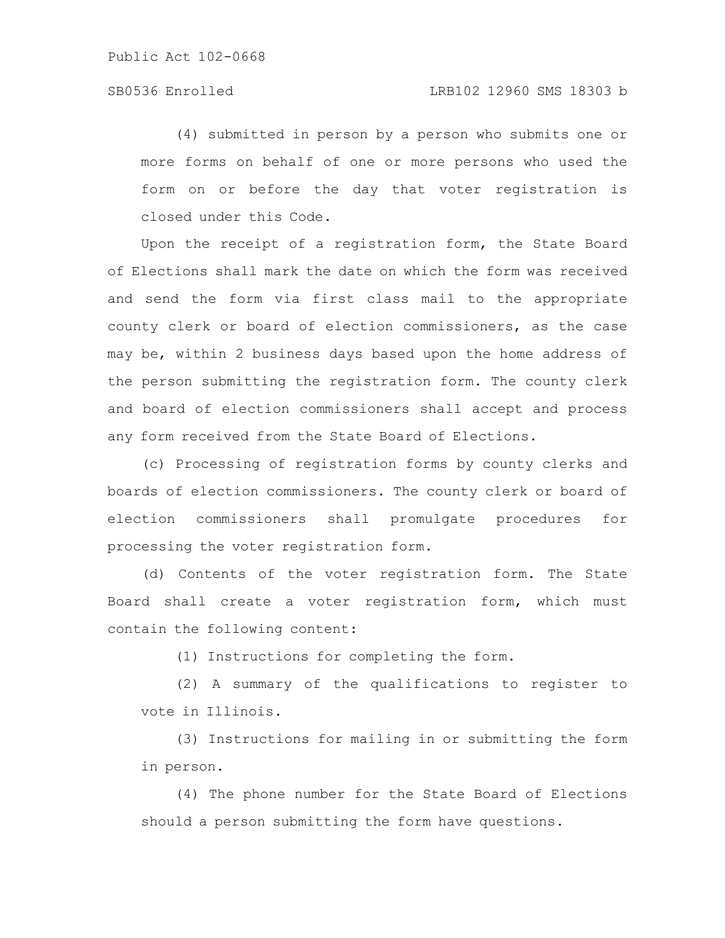(4) submitted in person by a person who submits one or more forms on behalf of one or more persons who used the form on or before the day that voter registration is closed under this Code.

Upon the receipt of a registration form, the State Board of Elections shall mark the date on which the form was received and send the form via first class mail to the appropriate county clerk or board of election commissioners, as the case may be, within 2 business days based upon the home address of the person submitting the registration form. The county clerk and board of election commissioners shall accept and process any form received from the State Board of Elections.

(c) Processing of registration forms by county clerks and boards of election commissioners. The county clerk or board of election commissioners shall promulgate procedures for processing the voter registration form.

(d) Contents of the voter registration form. The State Board shall create a voter registration form, which must contain the following content:

(1) Instructions for completing the form.

(2) A summary of the qualifications to register to vote in Illinois.

(3) Instructions for mailing in or submitting the form in person.

(4) The phone number for the State Board of Elections should a person submitting the form have questions.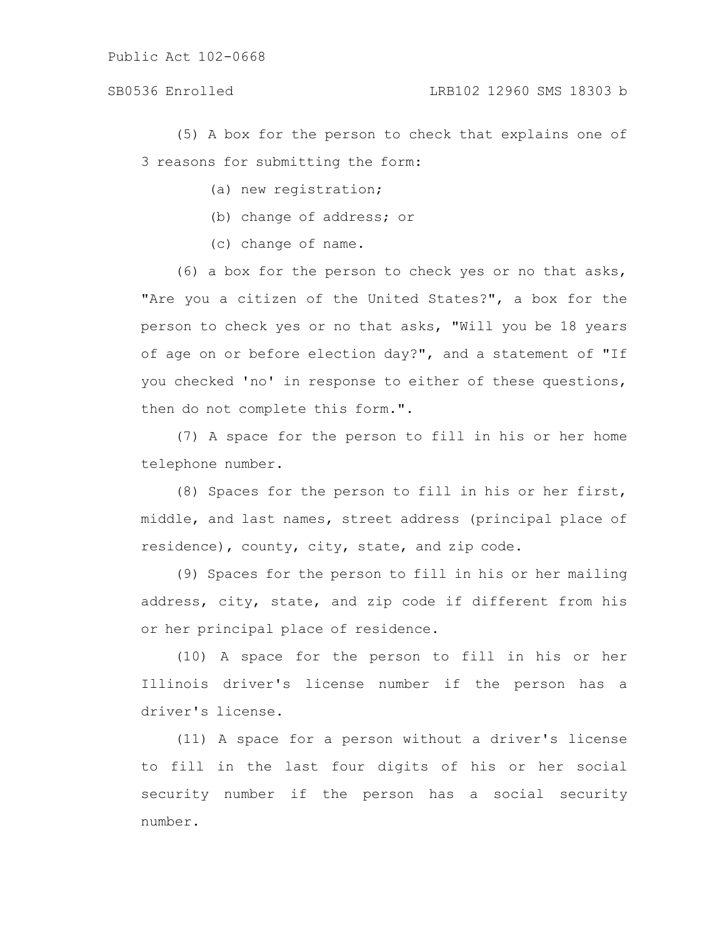(5) A box for the person to check that explains one of 3 reasons for submitting the form:

- (a) new registration;
- (b) change of address; or
- (c) change of name.

(6) a box for the person to check yes or no that asks, "Are you a citizen of the United States?", a box for the person to check yes or no that asks, "Will you be 18 years of age on or before election day?", and a statement of "If you checked 'no' in response to either of these questions, then do not complete this form.".

(7) A space for the person to fill in his or her home telephone number.

(8) Spaces for the person to fill in his or her first, middle, and last names, street address (principal place of residence), county, city, state, and zip code.

(9) Spaces for the person to fill in his or her mailing address, city, state, and zip code if different from his or her principal place of residence.

(10) A space for the person to fill in his or her Illinois driver's license number if the person has a driver's license.

(11) A space for a person without a driver's license to fill in the last four digits of his or her social security number if the person has a social security number.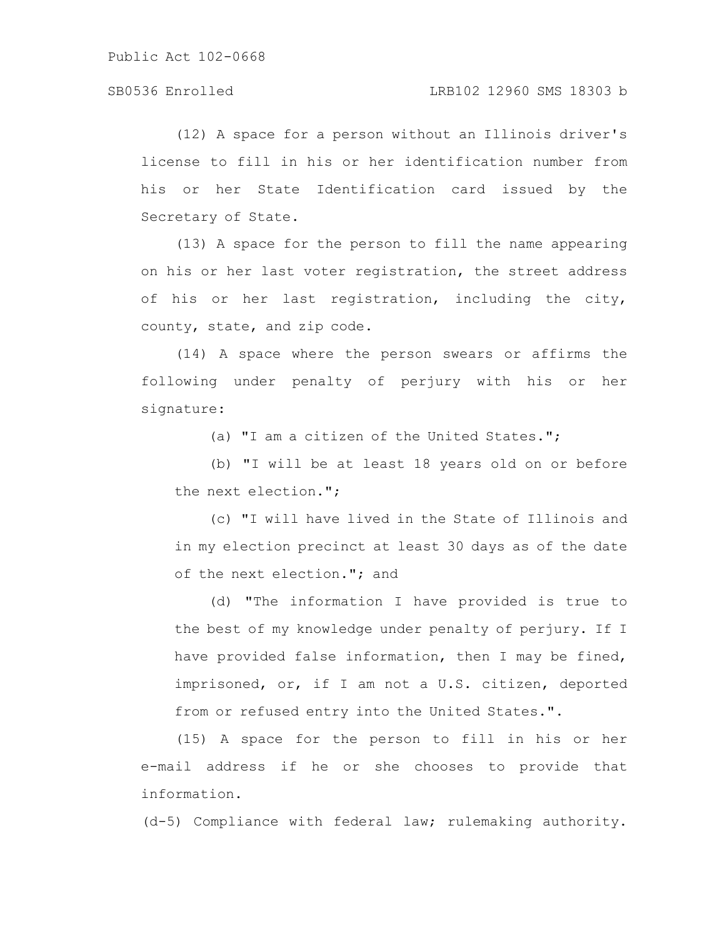(12) A space for a person without an Illinois driver's license to fill in his or her identification number from his or her State Identification card issued by the Secretary of State.

(13) A space for the person to fill the name appearing on his or her last voter registration, the street address of his or her last registration, including the city, county, state, and zip code.

(14) A space where the person swears or affirms the following under penalty of perjury with his or her signature:

(a) "I am a citizen of the United States.";

(b) "I will be at least 18 years old on or before the next election.";

(c) "I will have lived in the State of Illinois and in my election precinct at least 30 days as of the date of the next election."; and

(d) "The information I have provided is true to the best of my knowledge under penalty of perjury. If I have provided false information, then I may be fined, imprisoned, or, if I am not a U.S. citizen, deported from or refused entry into the United States.".

(15) A space for the person to fill in his or her e-mail address if he or she chooses to provide that information.

(d-5) Compliance with federal law; rulemaking authority.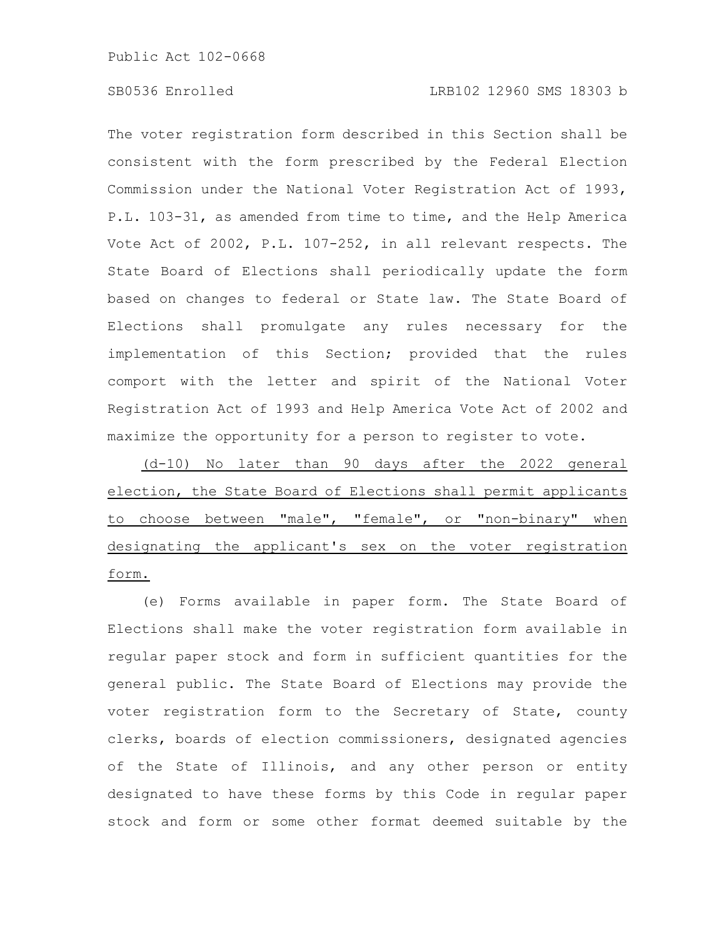The voter registration form described in this Section shall be consistent with the form prescribed by the Federal Election Commission under the National Voter Registration Act of 1993, P.L. 103-31, as amended from time to time, and the Help America Vote Act of 2002, P.L. 107-252, in all relevant respects. The State Board of Elections shall periodically update the form based on changes to federal or State law. The State Board of Elections shall promulgate any rules necessary for the implementation of this Section; provided that the rules comport with the letter and spirit of the National Voter Registration Act of 1993 and Help America Vote Act of 2002 and maximize the opportunity for a person to register to vote.

(d-10) No later than 90 days after the 2022 general election, the State Board of Elections shall permit applicants to choose between "male", "female", or "non-binary" when designating the applicant's sex on the voter registration form.

(e) Forms available in paper form. The State Board of Elections shall make the voter registration form available in regular paper stock and form in sufficient quantities for the general public. The State Board of Elections may provide the voter registration form to the Secretary of State, county clerks, boards of election commissioners, designated agencies of the State of Illinois, and any other person or entity designated to have these forms by this Code in regular paper stock and form or some other format deemed suitable by the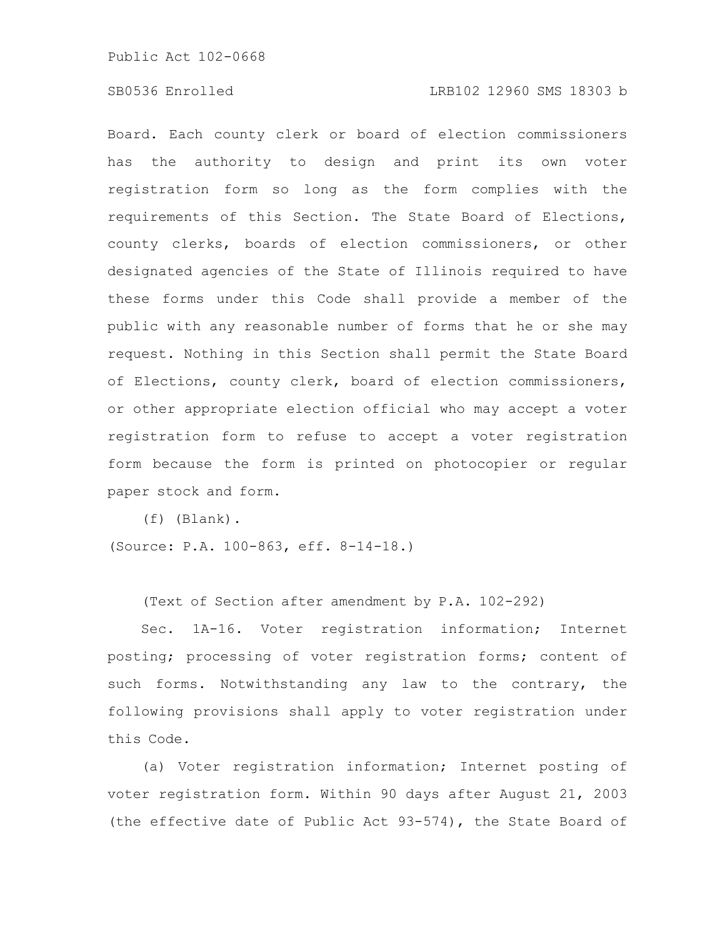### SB0536 Enrolled LRB102 12960 SMS 18303 b

Board. Each county clerk or board of election commissioners has the authority to design and print its own voter registration form so long as the form complies with the requirements of this Section. The State Board of Elections, county clerks, boards of election commissioners, or other designated agencies of the State of Illinois required to have these forms under this Code shall provide a member of the public with any reasonable number of forms that he or she may request. Nothing in this Section shall permit the State Board of Elections, county clerk, board of election commissioners, or other appropriate election official who may accept a voter registration form to refuse to accept a voter registration form because the form is printed on photocopier or regular paper stock and form.

(f) (Blank).

(Source: P.A. 100-863, eff. 8-14-18.)

(Text of Section after amendment by P.A. 102-292)

Sec. 1A-16. Voter registration information; Internet posting; processing of voter registration forms; content of such forms. Notwithstanding any law to the contrary, the following provisions shall apply to voter registration under this Code.

(a) Voter registration information; Internet posting of voter registration form. Within 90 days after August 21, 2003 (the effective date of Public Act 93-574), the State Board of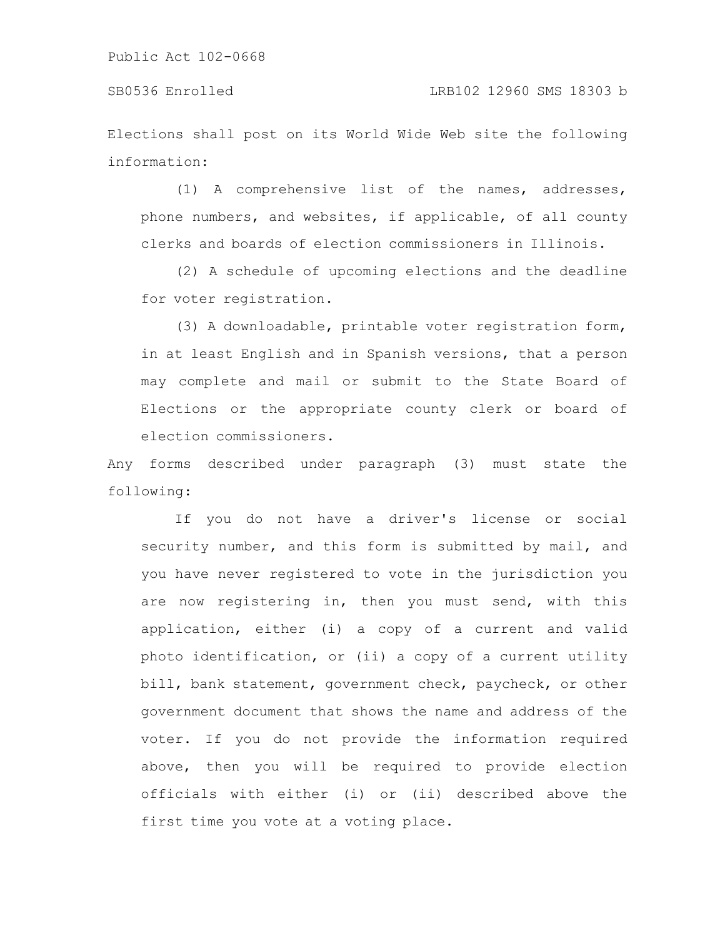Elections shall post on its World Wide Web site the following information:

(1) A comprehensive list of the names, addresses, phone numbers, and websites, if applicable, of all county clerks and boards of election commissioners in Illinois.

(2) A schedule of upcoming elections and the deadline for voter registration.

(3) A downloadable, printable voter registration form, in at least English and in Spanish versions, that a person may complete and mail or submit to the State Board of Elections or the appropriate county clerk or board of election commissioners.

Any forms described under paragraph (3) must state the following:

If you do not have a driver's license or social security number, and this form is submitted by mail, and you have never registered to vote in the jurisdiction you are now registering in, then you must send, with this application, either (i) a copy of a current and valid photo identification, or (ii) a copy of a current utility bill, bank statement, government check, paycheck, or other government document that shows the name and address of the voter. If you do not provide the information required above, then you will be required to provide election officials with either (i) or (ii) described above the first time you vote at a voting place.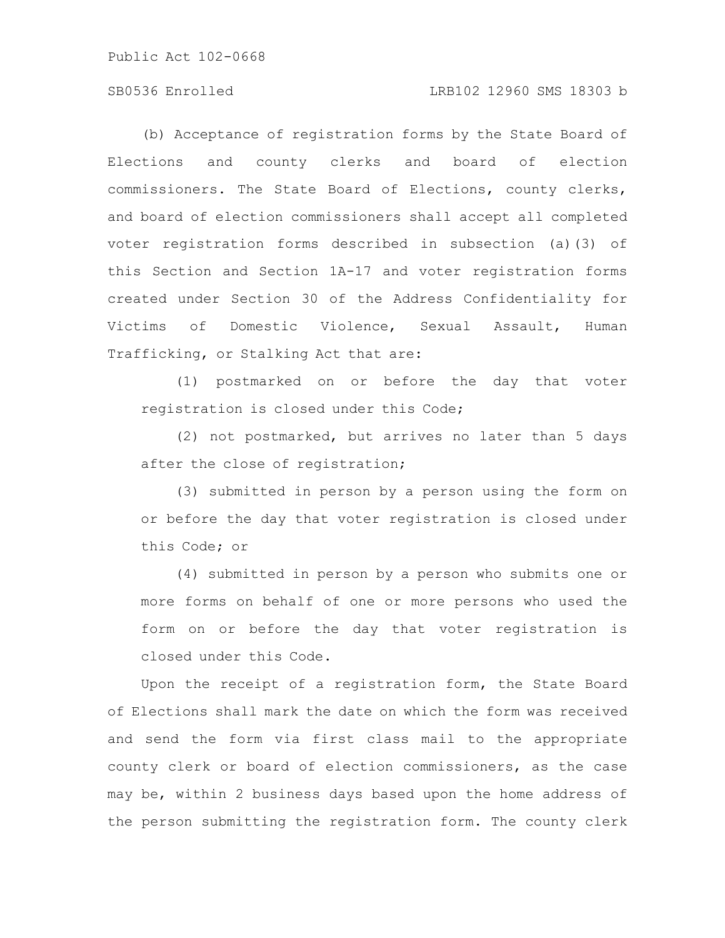### SB0536 Enrolled LRB102 12960 SMS 18303 b

(b) Acceptance of registration forms by the State Board of Elections and county clerks and board of election commissioners. The State Board of Elections, county clerks, and board of election commissioners shall accept all completed voter registration forms described in subsection (a)(3) of this Section and Section 1A-17 and voter registration forms created under Section 30 of the Address Confidentiality for Victims of Domestic Violence, Sexual Assault, Human Trafficking, or Stalking Act that are:

(1) postmarked on or before the day that voter registration is closed under this Code;

(2) not postmarked, but arrives no later than 5 days after the close of registration;

(3) submitted in person by a person using the form on or before the day that voter registration is closed under this Code; or

(4) submitted in person by a person who submits one or more forms on behalf of one or more persons who used the form on or before the day that voter registration is closed under this Code.

Upon the receipt of a registration form, the State Board of Elections shall mark the date on which the form was received and send the form via first class mail to the appropriate county clerk or board of election commissioners, as the case may be, within 2 business days based upon the home address of the person submitting the registration form. The county clerk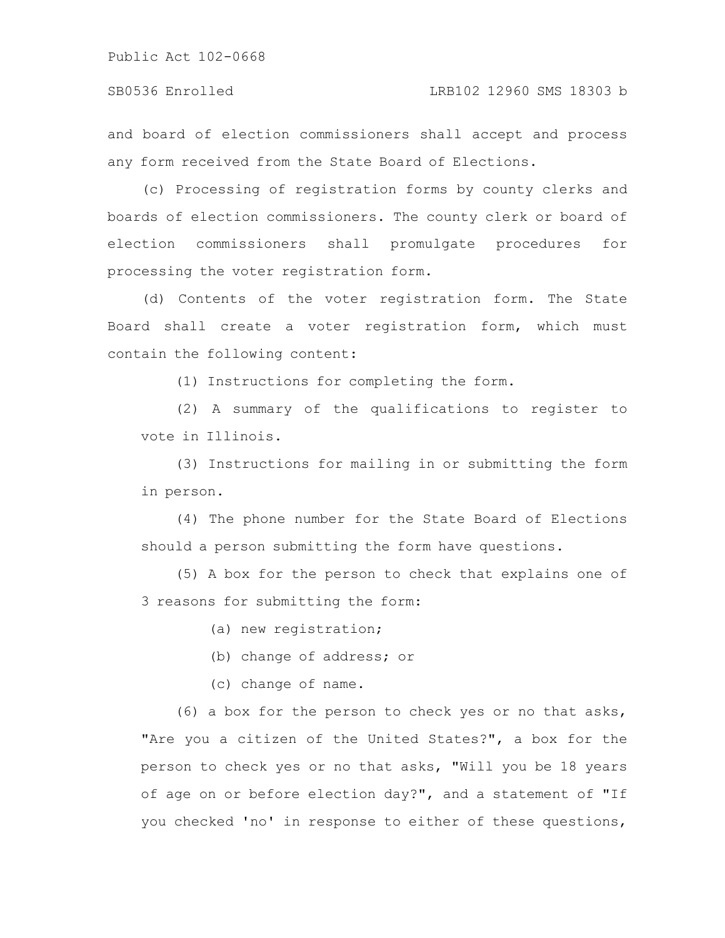#### SB0536 Enrolled LRB102 12960 SMS 18303 b

and board of election commissioners shall accept and process any form received from the State Board of Elections.

(c) Processing of registration forms by county clerks and boards of election commissioners. The county clerk or board of election commissioners shall promulgate procedures for processing the voter registration form.

(d) Contents of the voter registration form. The State Board shall create a voter registration form, which must contain the following content:

(1) Instructions for completing the form.

(2) A summary of the qualifications to register to vote in Illinois.

(3) Instructions for mailing in or submitting the form in person.

(4) The phone number for the State Board of Elections should a person submitting the form have questions.

(5) A box for the person to check that explains one of 3 reasons for submitting the form:

(a) new registration;

(b) change of address; or

(c) change of name.

(6) a box for the person to check yes or no that asks, "Are you a citizen of the United States?", a box for the person to check yes or no that asks, "Will you be 18 years of age on or before election day?", and a statement of "If you checked 'no' in response to either of these questions,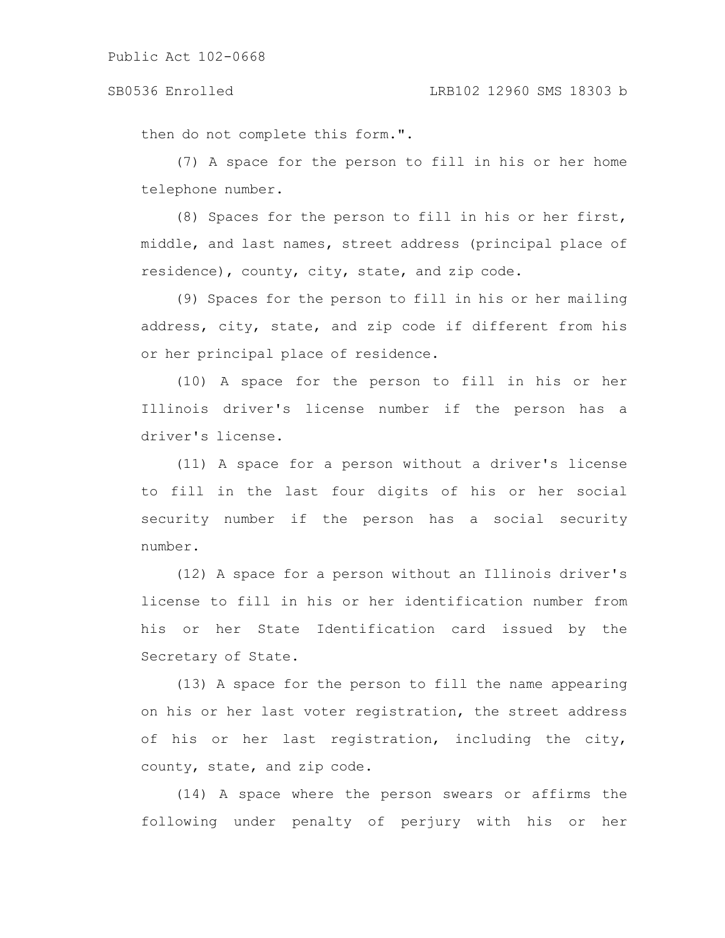#### SB0536 Enrolled LRB102 12960 SMS 18303 b

then do not complete this form.".

(7) A space for the person to fill in his or her home telephone number.

(8) Spaces for the person to fill in his or her first, middle, and last names, street address (principal place of residence), county, city, state, and zip code.

(9) Spaces for the person to fill in his or her mailing address, city, state, and zip code if different from his or her principal place of residence.

(10) A space for the person to fill in his or her Illinois driver's license number if the person has a driver's license.

(11) A space for a person without a driver's license to fill in the last four digits of his or her social security number if the person has a social security number.

(12) A space for a person without an Illinois driver's license to fill in his or her identification number from his or her State Identification card issued by the Secretary of State.

(13) A space for the person to fill the name appearing on his or her last voter registration, the street address of his or her last registration, including the city, county, state, and zip code.

(14) A space where the person swears or affirms the following under penalty of perjury with his or her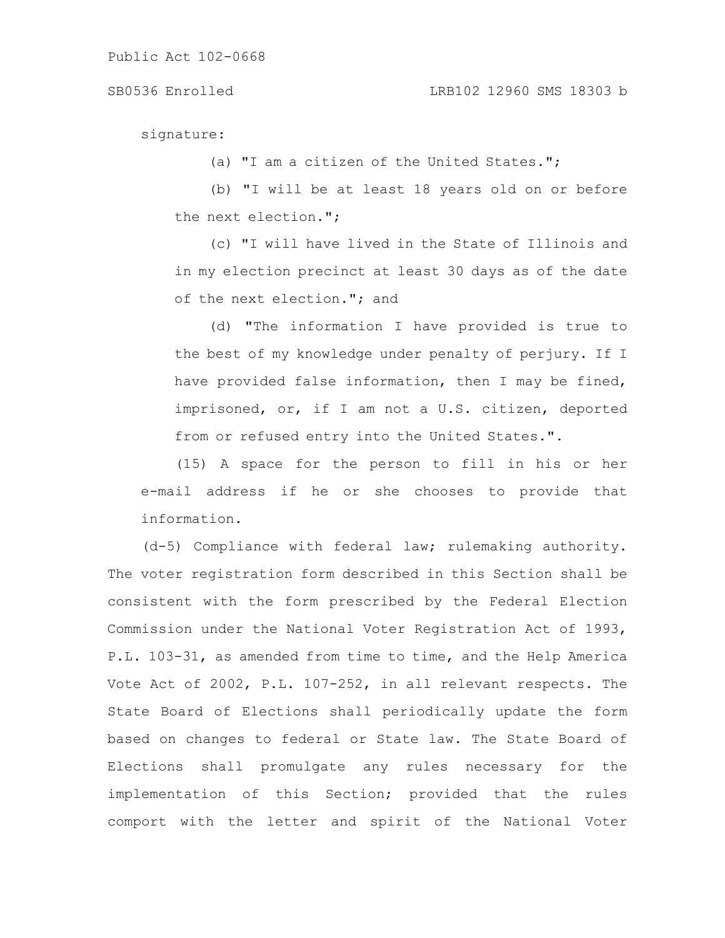signature:

(a) "I am a citizen of the United States.";

(b) "I will be at least 18 years old on or before the next election.";

(c) "I will have lived in the State of Illinois and in my election precinct at least 30 days as of the date of the next election."; and

(d) "The information I have provided is true to the best of my knowledge under penalty of perjury. If I have provided false information, then I may be fined, imprisoned, or, if I am not a U.S. citizen, deported from or refused entry into the United States.".

(15) A space for the person to fill in his or her e-mail address if he or she chooses to provide that information.

(d-5) Compliance with federal law; rulemaking authority. The voter registration form described in this Section shall be consistent with the form prescribed by the Federal Election Commission under the National Voter Registration Act of 1993, P.L. 103-31, as amended from time to time, and the Help America Vote Act of 2002, P.L. 107-252, in all relevant respects. The State Board of Elections shall periodically update the form based on changes to federal or State law. The State Board of Elections shall promulgate any rules necessary for the implementation of this Section; provided that the rules comport with the letter and spirit of the National Voter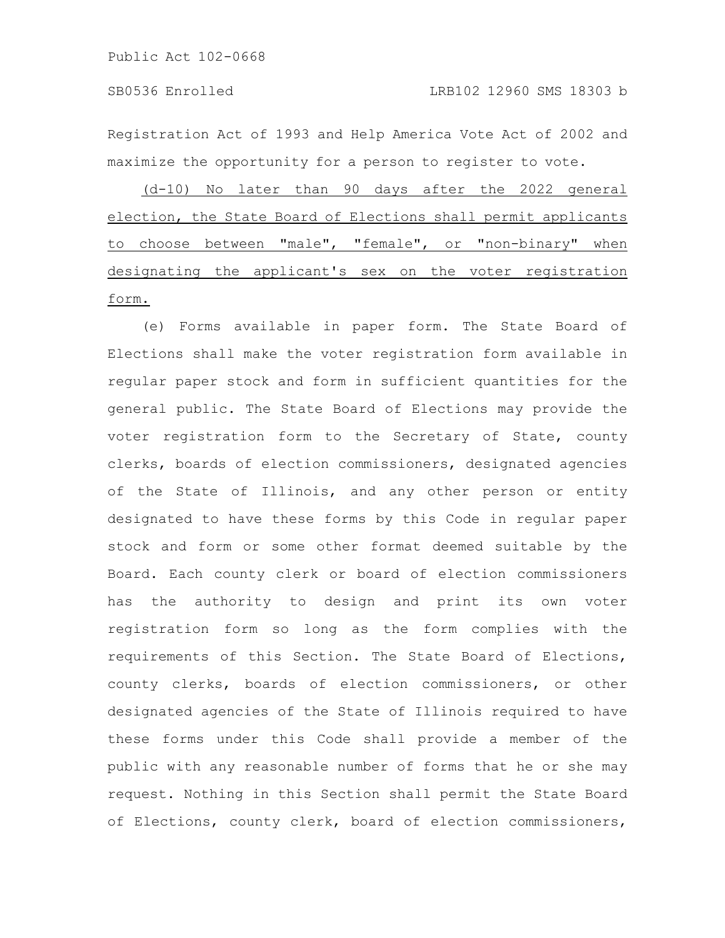Registration Act of 1993 and Help America Vote Act of 2002 and maximize the opportunity for a person to register to vote.

(d-10) No later than 90 days after the 2022 general election, the State Board of Elections shall permit applicants to choose between "male", "female", or "non-binary" when designating the applicant's sex on the voter registration form.

(e) Forms available in paper form. The State Board of Elections shall make the voter registration form available in regular paper stock and form in sufficient quantities for the general public. The State Board of Elections may provide the voter registration form to the Secretary of State, county clerks, boards of election commissioners, designated agencies of the State of Illinois, and any other person or entity designated to have these forms by this Code in regular paper stock and form or some other format deemed suitable by the Board. Each county clerk or board of election commissioners has the authority to design and print its own voter registration form so long as the form complies with the requirements of this Section. The State Board of Elections, county clerks, boards of election commissioners, or other designated agencies of the State of Illinois required to have these forms under this Code shall provide a member of the public with any reasonable number of forms that he or she may request. Nothing in this Section shall permit the State Board of Elections, county clerk, board of election commissioners,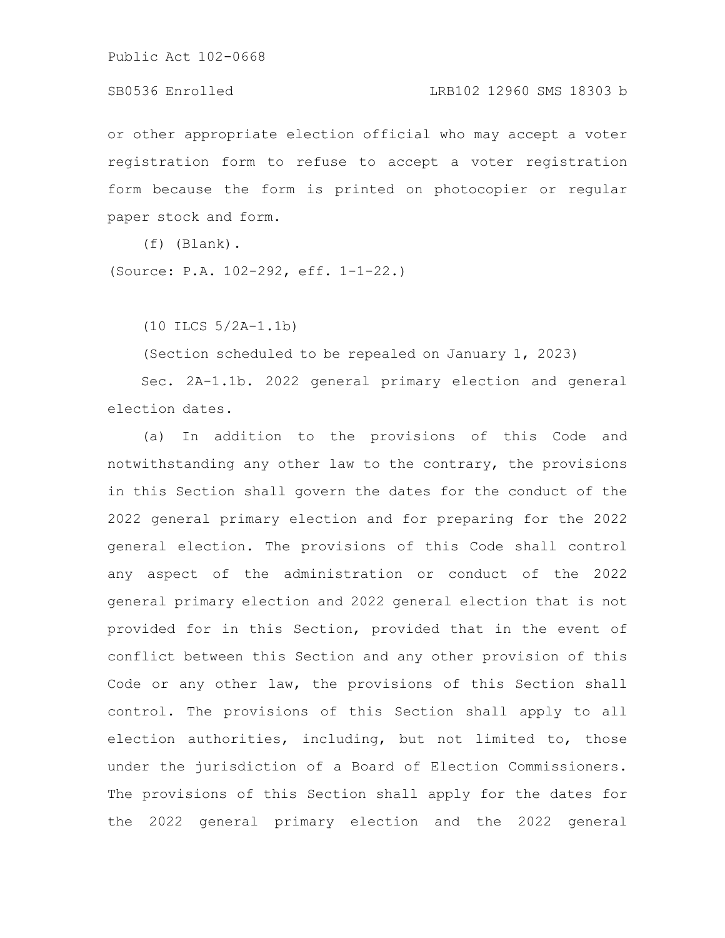### SB0536 Enrolled LRB102 12960 SMS 18303 b

or other appropriate election official who may accept a voter registration form to refuse to accept a voter registration form because the form is printed on photocopier or regular paper stock and form.

(f) (Blank).

(Source: P.A. 102-292, eff. 1-1-22.)

(10 ILCS 5/2A-1.1b)

(Section scheduled to be repealed on January 1, 2023)

Sec. 2A-1.1b. 2022 general primary election and general election dates.

(a) In addition to the provisions of this Code and notwithstanding any other law to the contrary, the provisions in this Section shall govern the dates for the conduct of the 2022 general primary election and for preparing for the 2022 general election. The provisions of this Code shall control any aspect of the administration or conduct of the 2022 general primary election and 2022 general election that is not provided for in this Section, provided that in the event of conflict between this Section and any other provision of this Code or any other law, the provisions of this Section shall control. The provisions of this Section shall apply to all election authorities, including, but not limited to, those under the jurisdiction of a Board of Election Commissioners. The provisions of this Section shall apply for the dates for the 2022 general primary election and the 2022 general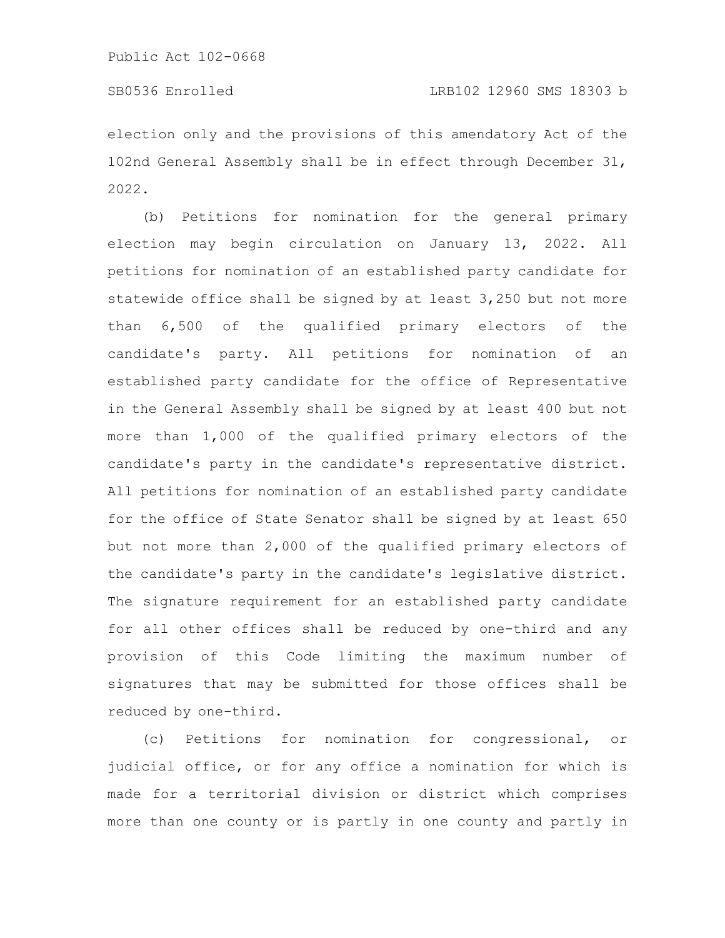election only and the provisions of this amendatory Act of the 102nd General Assembly shall be in effect through December 31, 2022.

(b) Petitions for nomination for the general primary election may begin circulation on January 13, 2022. All petitions for nomination of an established party candidate for statewide office shall be signed by at least 3,250 but not more than 6,500 of the qualified primary electors of the candidate's party. All petitions for nomination of an established party candidate for the office of Representative in the General Assembly shall be signed by at least 400 but not more than 1,000 of the qualified primary electors of the candidate's party in the candidate's representative district. All petitions for nomination of an established party candidate for the office of State Senator shall be signed by at least 650 but not more than 2,000 of the qualified primary electors of the candidate's party in the candidate's legislative district. The signature requirement for an established party candidate for all other offices shall be reduced by one-third and any provision of this Code limiting the maximum number of signatures that may be submitted for those offices shall be reduced by one-third.

(c) Petitions for nomination for congressional, or judicial office, or for any office a nomination for which is made for a territorial division or district which comprises more than one county or is partly in one county and partly in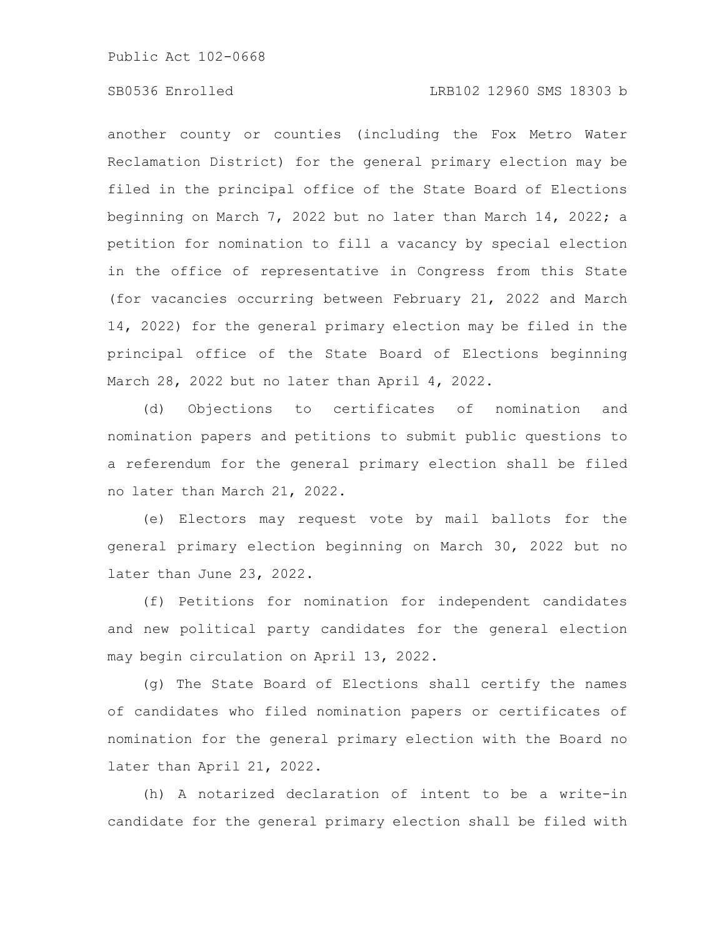### SB0536 Enrolled LRB102 12960 SMS 18303 b

another county or counties (including the Fox Metro Water Reclamation District) for the general primary election may be filed in the principal office of the State Board of Elections beginning on March 7, 2022 but no later than March 14, 2022; a petition for nomination to fill a vacancy by special election in the office of representative in Congress from this State (for vacancies occurring between February 21, 2022 and March 14, 2022) for the general primary election may be filed in the principal office of the State Board of Elections beginning March 28, 2022 but no later than April 4, 2022.

(d) Objections to certificates of nomination and nomination papers and petitions to submit public questions to a referendum for the general primary election shall be filed no later than March 21, 2022.

(e) Electors may request vote by mail ballots for the general primary election beginning on March 30, 2022 but no later than June 23, 2022.

(f) Petitions for nomination for independent candidates and new political party candidates for the general election may begin circulation on April 13, 2022.

(g) The State Board of Elections shall certify the names of candidates who filed nomination papers or certificates of nomination for the general primary election with the Board no later than April 21, 2022.

(h) A notarized declaration of intent to be a write-in candidate for the general primary election shall be filed with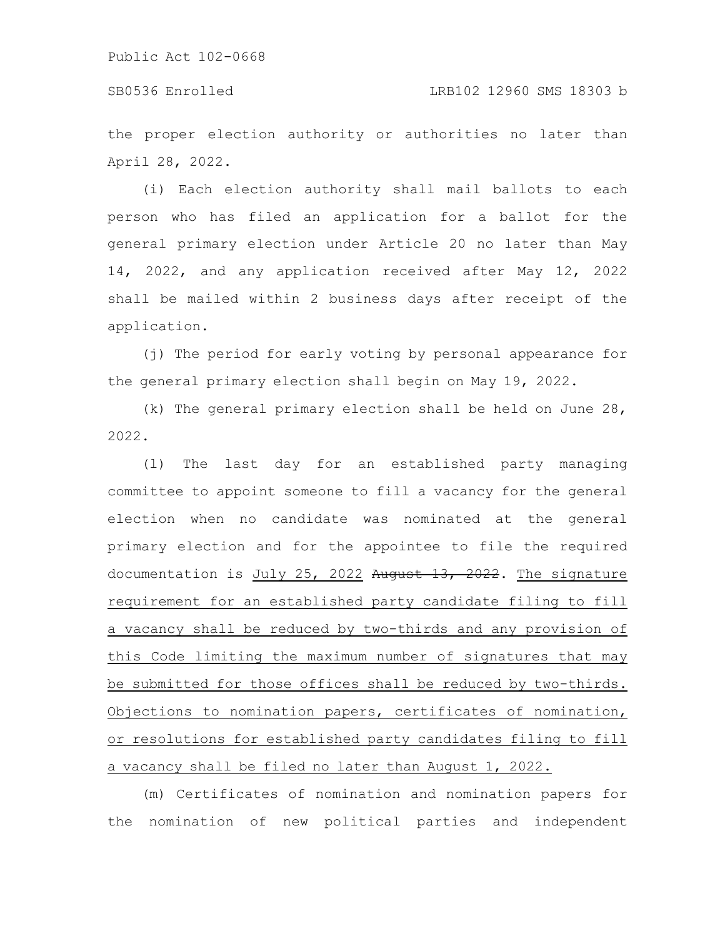the proper election authority or authorities no later than April 28, 2022.

(i) Each election authority shall mail ballots to each person who has filed an application for a ballot for the general primary election under Article 20 no later than May 14, 2022, and any application received after May 12, 2022 shall be mailed within 2 business days after receipt of the application.

(j) The period for early voting by personal appearance for the general primary election shall begin on May 19, 2022.

(k) The general primary election shall be held on June 28, 2022.

(l) The last day for an established party managing committee to appoint someone to fill a vacancy for the general election when no candidate was nominated at the general primary election and for the appointee to file the required documentation is July 25, 2022 August 13, 2022. The signature requirement for an established party candidate filing to fill a vacancy shall be reduced by two-thirds and any provision of this Code limiting the maximum number of signatures that may be submitted for those offices shall be reduced by two-thirds. Objections to nomination papers, certificates of nomination, or resolutions for established party candidates filing to fill a vacancy shall be filed no later than August 1, 2022.

(m) Certificates of nomination and nomination papers for the nomination of new political parties and independent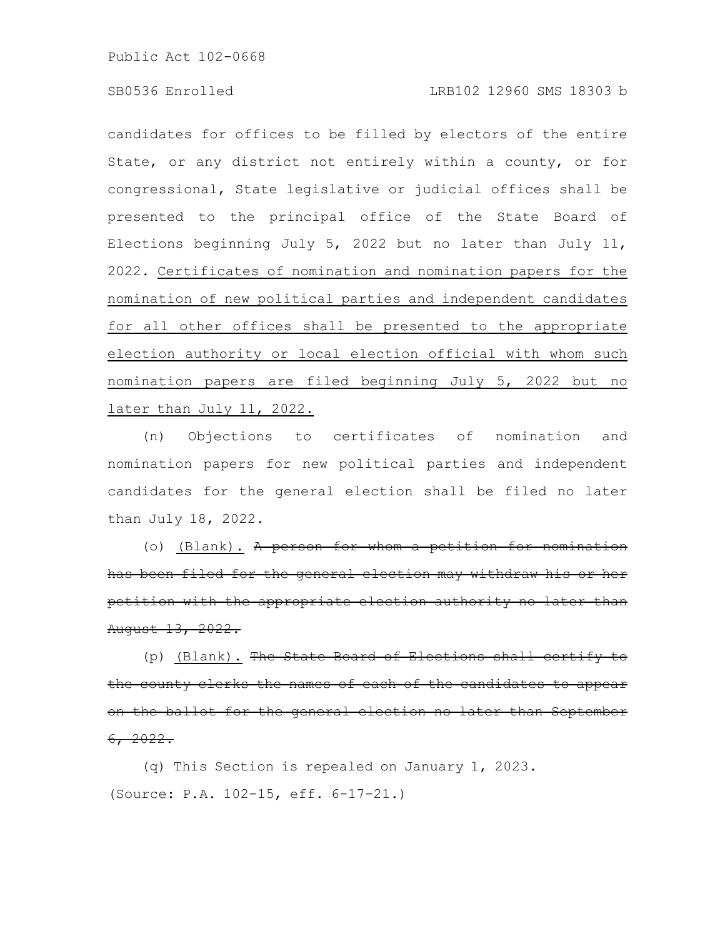candidates for offices to be filled by electors of the entire State, or any district not entirely within a county, or for congressional, State legislative or judicial offices shall be presented to the principal office of the State Board of Elections beginning July 5, 2022 but no later than July 11, 2022. Certificates of nomination and nomination papers for the nomination of new political parties and independent candidates for all other offices shall be presented to the appropriate election authority or local election official with whom such nomination papers are filed beginning July 5, 2022 but no later than July 11, 2022.

(n) Objections to certificates of nomination and nomination papers for new political parties and independent candidates for the general election shall be filed no later than July 18, 2022.

(o) (Blank). A person for whom a petition has been filed for the general election may withdraw his petition with the appropriate election authority August 13, 2022.

(p) (Blank). The State Board of Elections shal the county clerks the names of each of the candidates to appear on the ballot for the general election no later than September 6, 2022.

(q) This Section is repealed on January 1, 2023. (Source: P.A. 102-15, eff. 6-17-21.)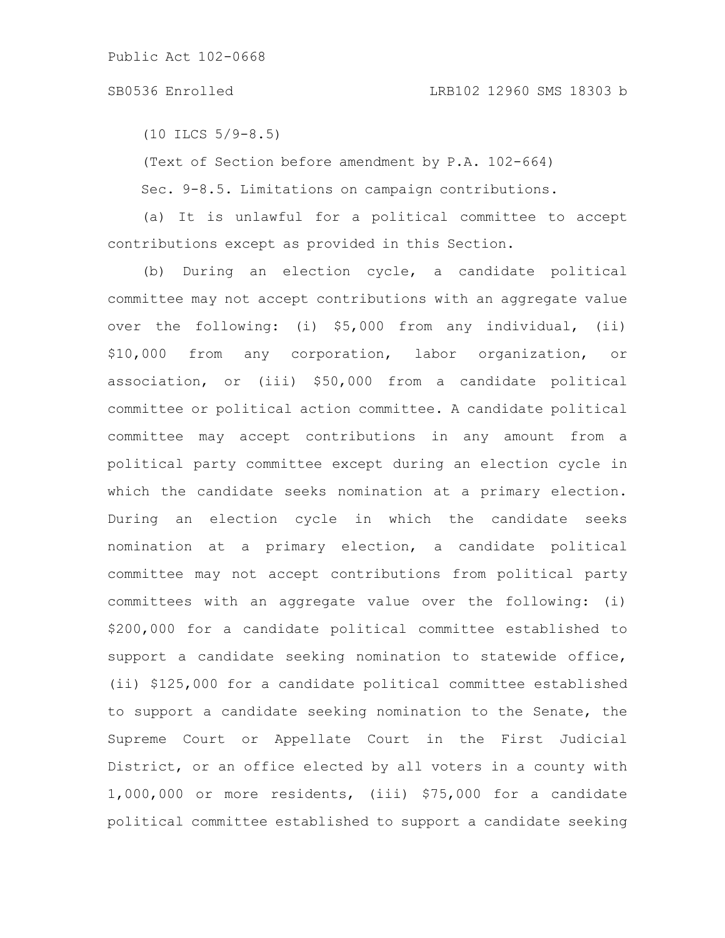#### SB0536 Enrolled LRB102 12960 SMS 18303 b

(10 ILCS 5/9-8.5)

(Text of Section before amendment by P.A. 102-664)

Sec. 9-8.5. Limitations on campaign contributions.

(a) It is unlawful for a political committee to accept contributions except as provided in this Section.

(b) During an election cycle, a candidate political committee may not accept contributions with an aggregate value over the following: (i) \$5,000 from any individual, (ii) \$10,000 from any corporation, labor organization, or association, or (iii) \$50,000 from a candidate political committee or political action committee. A candidate political committee may accept contributions in any amount from a political party committee except during an election cycle in which the candidate seeks nomination at a primary election. During an election cycle in which the candidate seeks nomination at a primary election, a candidate political committee may not accept contributions from political party committees with an aggregate value over the following: (i) \$200,000 for a candidate political committee established to support a candidate seeking nomination to statewide office, (ii) \$125,000 for a candidate political committee established to support a candidate seeking nomination to the Senate, the Supreme Court or Appellate Court in the First Judicial District, or an office elected by all voters in a county with 1,000,000 or more residents, (iii) \$75,000 for a candidate political committee established to support a candidate seeking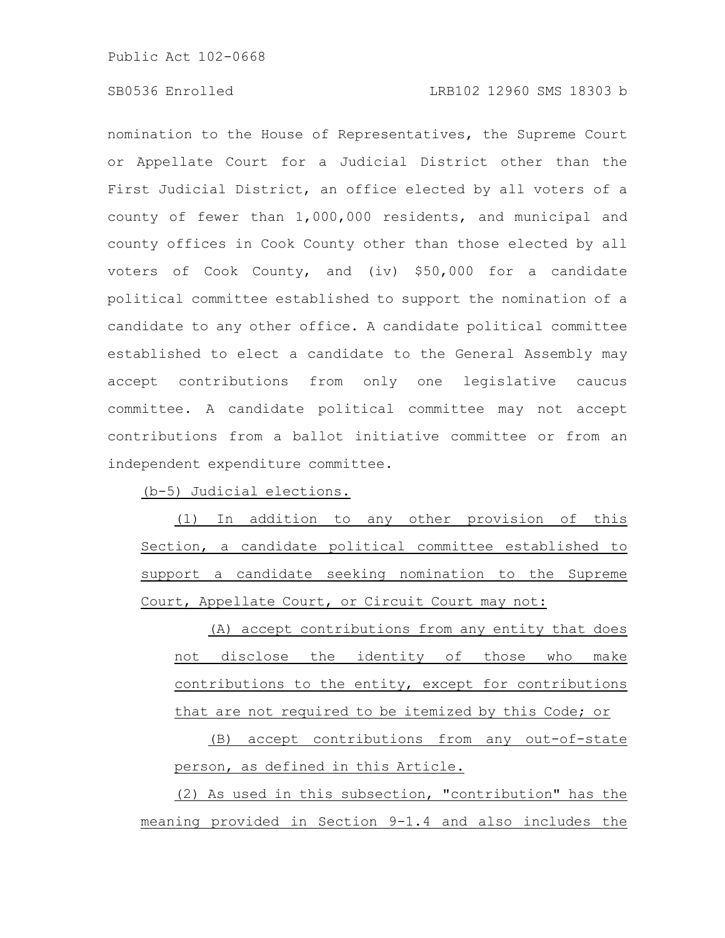nomination to the House of Representatives, the Supreme Court or Appellate Court for a Judicial District other than the First Judicial District, an office elected by all voters of a county of fewer than 1,000,000 residents, and municipal and county offices in Cook County other than those elected by all voters of Cook County, and (iv) \$50,000 for a candidate political committee established to support the nomination of a candidate to any other office. A candidate political committee established to elect a candidate to the General Assembly may accept contributions from only one legislative caucus committee. A candidate political committee may not accept contributions from a ballot initiative committee or from an independent expenditure committee.

(b-5) Judicial elections.

(1) In addition to any other provision of this Section, a candidate political committee established to support a candidate seeking nomination to the Supreme Court, Appellate Court, or Circuit Court may not:

(A) accept contributions from any entity that does not disclose the identity of those who make contributions to the entity, except for contributions that are not required to be itemized by this Code; or

(B) accept contributions from any out-of-state person, as defined in this Article.

(2) As used in this subsection, "contribution" has the meaning provided in Section 9-1.4 and also includes the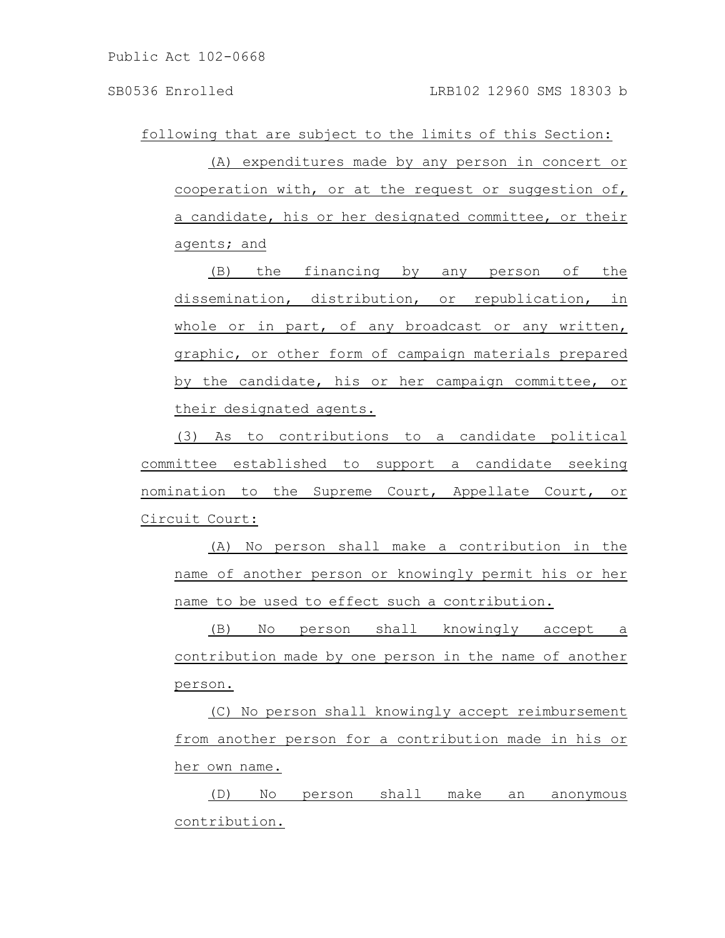following that are subject to the limits of this Section:

(A) expenditures made by any person in concert or cooperation with, or at the request or suggestion of, a candidate, his or her designated committee, or their agents; and

(B) the financing by any person of the dissemination, distribution, or republication, in whole or in part, of any broadcast or any written, graphic, or other form of campaign materials prepared by the candidate, his or her campaign committee, or their designated agents.

(3) As to contributions to a candidate political committee established to support a candidate seeking nomination to the Supreme Court, Appellate Court, or Circuit Court:

(A) No person shall make a contribution in the name of another person or knowingly permit his or her name to be used to effect such a contribution.

(B) No person shall knowingly accept a contribution made by one person in the name of another person.

(C) No person shall knowingly accept reimbursement from another person for a contribution made in his or her own name.

(D) No person shall make an anonymous contribution.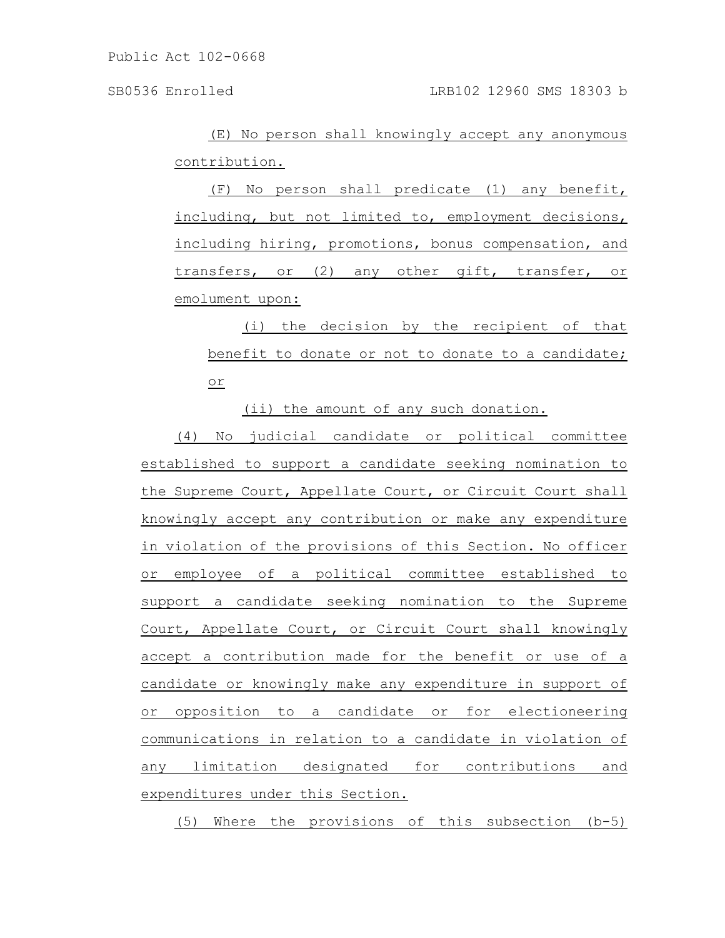(E) No person shall knowingly accept any anonymous contribution.

(F) No person shall predicate (1) any benefit, including, but not limited to, employment decisions, including hiring, promotions, bonus compensation, and transfers, or (2) any other gift, transfer, or emolument upon:

(i) the decision by the recipient of that benefit to donate or not to donate to a candidate; or

(ii) the amount of any such donation.

(4) No judicial candidate or political committee established to support a candidate seeking nomination to the Supreme Court, Appellate Court, or Circuit Court shall knowingly accept any contribution or make any expenditure in violation of the provisions of this Section. No officer or employee of a political committee established to support a candidate seeking nomination to the Supreme Court, Appellate Court, or Circuit Court shall knowingly accept a contribution made for the benefit or use of a candidate or knowingly make any expenditure in support of or opposition to a candidate or for electioneering communications in relation to a candidate in violation of any limitation designated for contributions and expenditures under this Section.

(5) Where the provisions of this subsection (b-5)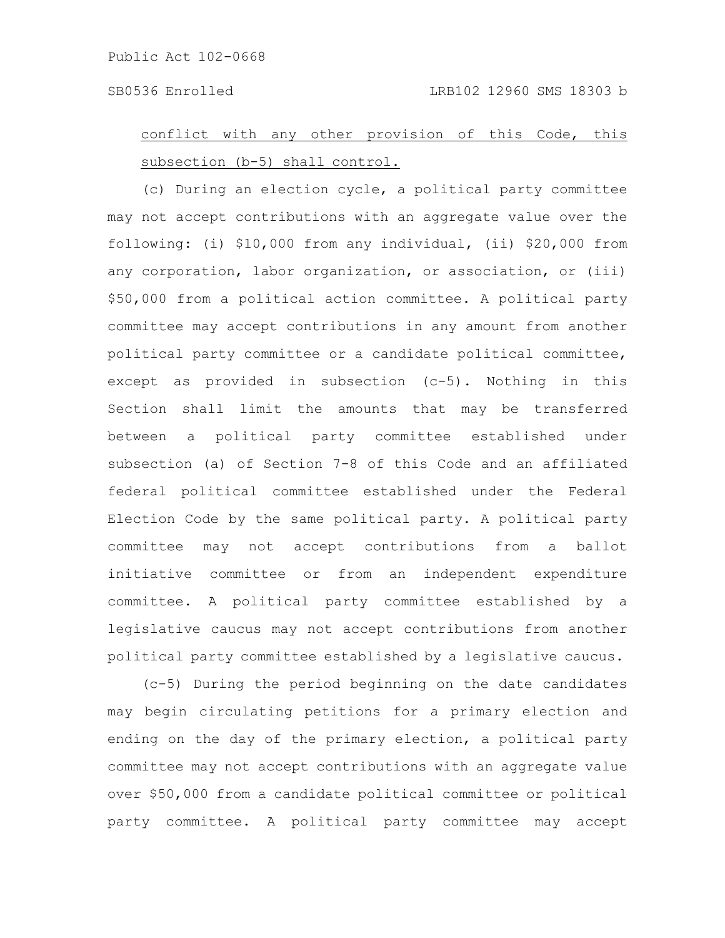## conflict with any other provision of this Code, this subsection (b-5) shall control.

(c) During an election cycle, a political party committee may not accept contributions with an aggregate value over the following: (i) \$10,000 from any individual, (ii) \$20,000 from any corporation, labor organization, or association, or (iii) \$50,000 from a political action committee. A political party committee may accept contributions in any amount from another political party committee or a candidate political committee, except as provided in subsection (c-5). Nothing in this Section shall limit the amounts that may be transferred between a political party committee established under subsection (a) of Section 7-8 of this Code and an affiliated federal political committee established under the Federal Election Code by the same political party. A political party committee may not accept contributions from a ballot initiative committee or from an independent expenditure committee. A political party committee established by a legislative caucus may not accept contributions from another political party committee established by a legislative caucus.

(c-5) During the period beginning on the date candidates may begin circulating petitions for a primary election and ending on the day of the primary election, a political party committee may not accept contributions with an aggregate value over \$50,000 from a candidate political committee or political party committee. A political party committee may accept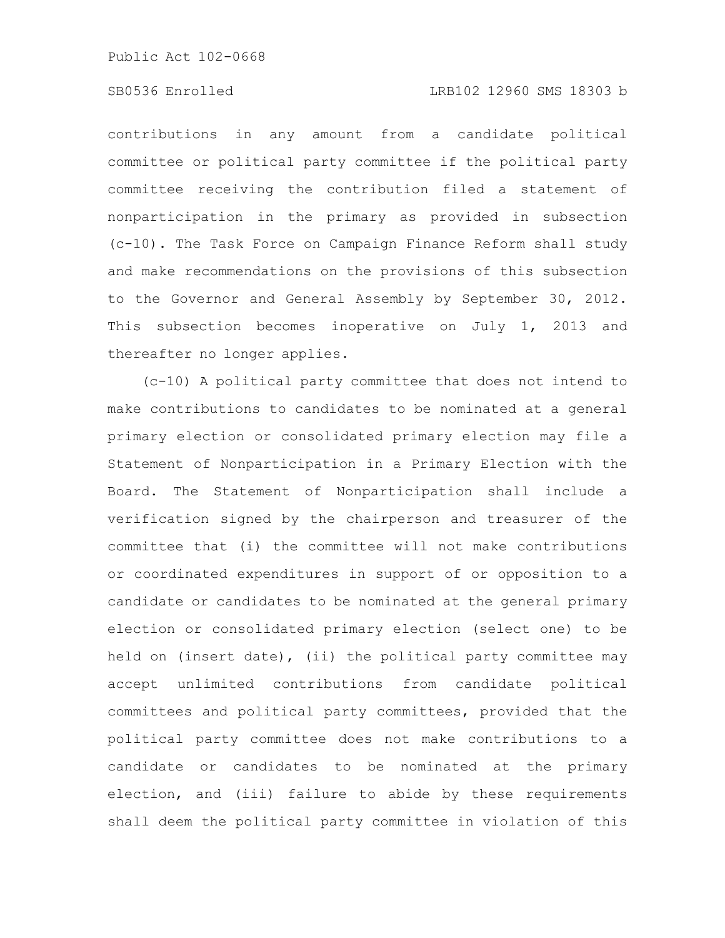### SB0536 Enrolled LRB102 12960 SMS 18303 b

contributions in any amount from a candidate political committee or political party committee if the political party committee receiving the contribution filed a statement of nonparticipation in the primary as provided in subsection (c-10). The Task Force on Campaign Finance Reform shall study and make recommendations on the provisions of this subsection to the Governor and General Assembly by September 30, 2012. This subsection becomes inoperative on July 1, 2013 and thereafter no longer applies.

(c-10) A political party committee that does not intend to make contributions to candidates to be nominated at a general primary election or consolidated primary election may file a Statement of Nonparticipation in a Primary Election with the Board. The Statement of Nonparticipation shall include a verification signed by the chairperson and treasurer of the committee that (i) the committee will not make contributions or coordinated expenditures in support of or opposition to a candidate or candidates to be nominated at the general primary election or consolidated primary election (select one) to be held on (insert date), (ii) the political party committee may accept unlimited contributions from candidate political committees and political party committees, provided that the political party committee does not make contributions to a candidate or candidates to be nominated at the primary election, and (iii) failure to abide by these requirements shall deem the political party committee in violation of this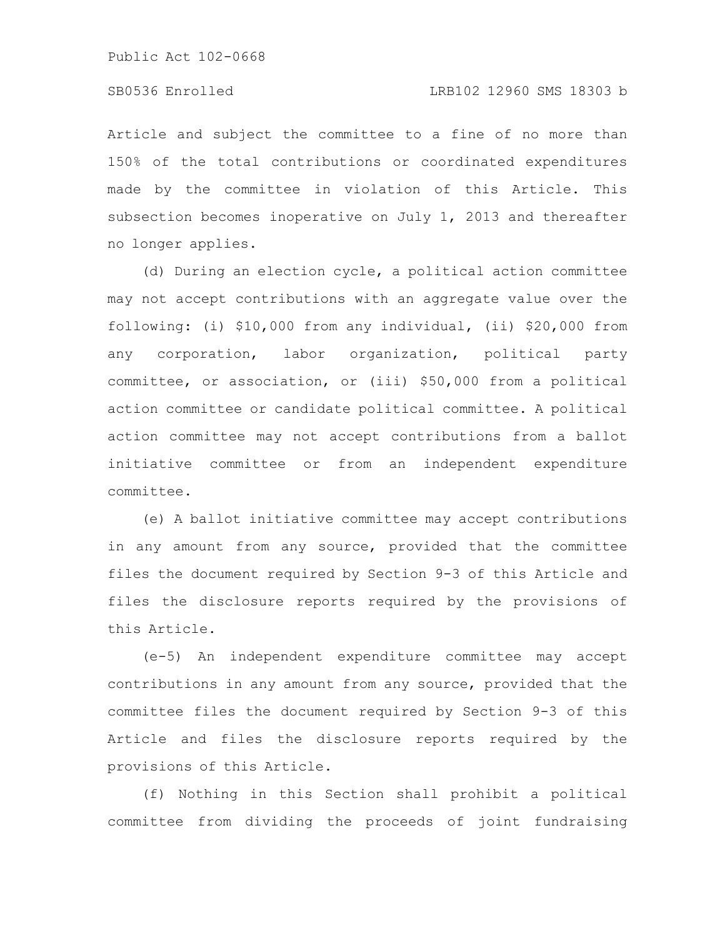Article and subject the committee to a fine of no more than 150% of the total contributions or coordinated expenditures made by the committee in violation of this Article. This subsection becomes inoperative on July 1, 2013 and thereafter no longer applies.

(d) During an election cycle, a political action committee may not accept contributions with an aggregate value over the following: (i) \$10,000 from any individual, (ii) \$20,000 from any corporation, labor organization, political party committee, or association, or (iii) \$50,000 from a political action committee or candidate political committee. A political action committee may not accept contributions from a ballot initiative committee or from an independent expenditure committee.

(e) A ballot initiative committee may accept contributions in any amount from any source, provided that the committee files the document required by Section 9-3 of this Article and files the disclosure reports required by the provisions of this Article.

(e-5) An independent expenditure committee may accept contributions in any amount from any source, provided that the committee files the document required by Section 9-3 of this Article and files the disclosure reports required by the provisions of this Article.

(f) Nothing in this Section shall prohibit a political committee from dividing the proceeds of joint fundraising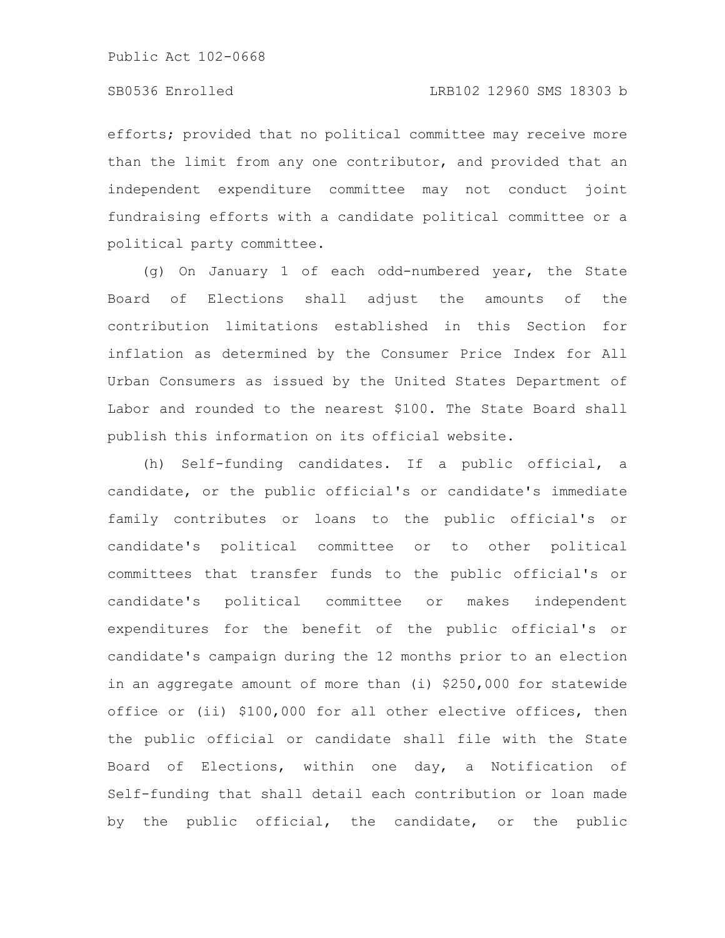efforts; provided that no political committee may receive more than the limit from any one contributor, and provided that an independent expenditure committee may not conduct joint fundraising efforts with a candidate political committee or a political party committee.

(g) On January 1 of each odd-numbered year, the State Board of Elections shall adjust the amounts of the contribution limitations established in this Section for inflation as determined by the Consumer Price Index for All Urban Consumers as issued by the United States Department of Labor and rounded to the nearest \$100. The State Board shall publish this information on its official website.

(h) Self-funding candidates. If a public official, a candidate, or the public official's or candidate's immediate family contributes or loans to the public official's or candidate's political committee or to other political committees that transfer funds to the public official's or candidate's political committee or makes independent expenditures for the benefit of the public official's or candidate's campaign during the 12 months prior to an election in an aggregate amount of more than (i) \$250,000 for statewide office or (ii) \$100,000 for all other elective offices, then the public official or candidate shall file with the State Board of Elections, within one day, a Notification of Self-funding that shall detail each contribution or loan made by the public official, the candidate, or the public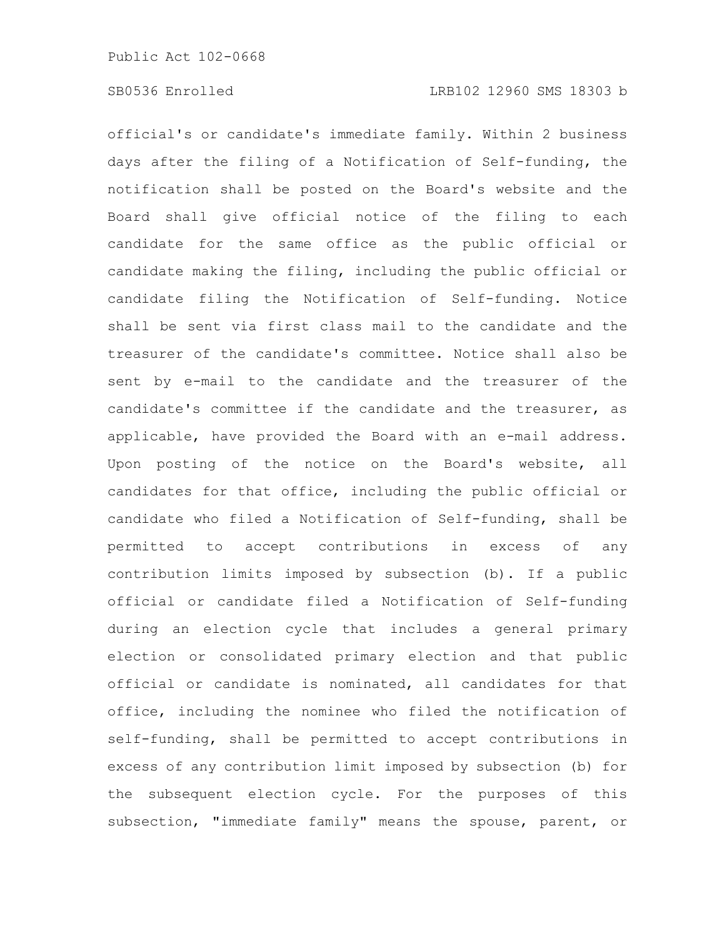official's or candidate's immediate family. Within 2 business days after the filing of a Notification of Self-funding, the notification shall be posted on the Board's website and the Board shall give official notice of the filing to each candidate for the same office as the public official or candidate making the filing, including the public official or candidate filing the Notification of Self-funding. Notice shall be sent via first class mail to the candidate and the treasurer of the candidate's committee. Notice shall also be sent by e-mail to the candidate and the treasurer of the candidate's committee if the candidate and the treasurer, as applicable, have provided the Board with an e-mail address. Upon posting of the notice on the Board's website, all candidates for that office, including the public official or candidate who filed a Notification of Self-funding, shall be permitted to accept contributions in excess of any contribution limits imposed by subsection (b). If a public official or candidate filed a Notification of Self-funding during an election cycle that includes a general primary election or consolidated primary election and that public official or candidate is nominated, all candidates for that office, including the nominee who filed the notification of self-funding, shall be permitted to accept contributions in excess of any contribution limit imposed by subsection (b) for the subsequent election cycle. For the purposes of this subsection, "immediate family" means the spouse, parent, or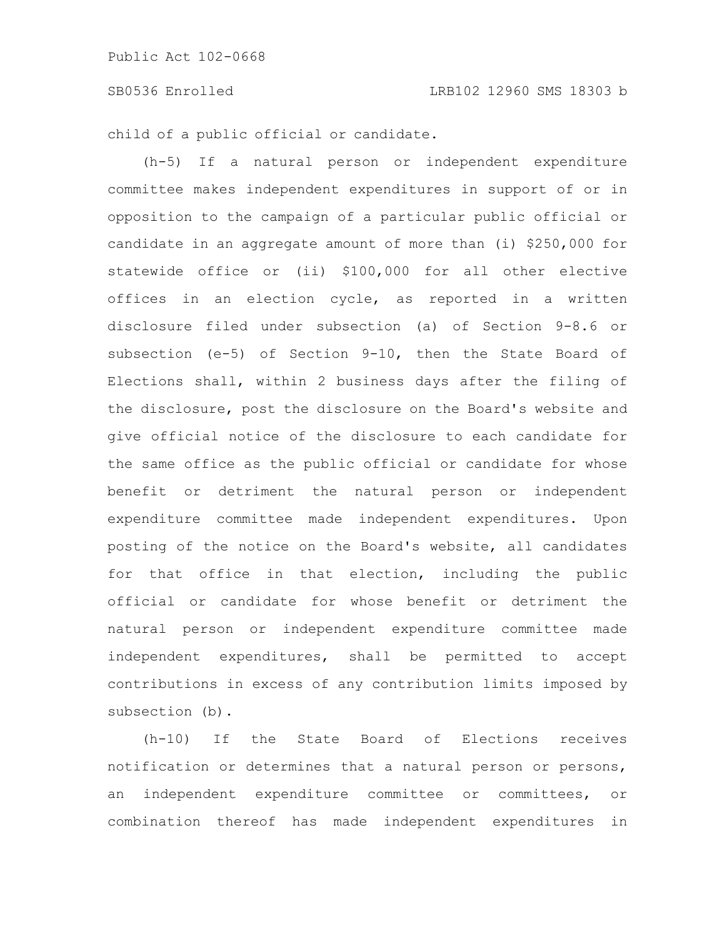child of a public official or candidate.

(h-5) If a natural person or independent expenditure committee makes independent expenditures in support of or in opposition to the campaign of a particular public official or candidate in an aggregate amount of more than (i) \$250,000 for statewide office or (ii) \$100,000 for all other elective offices in an election cycle, as reported in a written disclosure filed under subsection (a) of Section 9-8.6 or subsection (e-5) of Section 9-10, then the State Board of Elections shall, within 2 business days after the filing of the disclosure, post the disclosure on the Board's website and give official notice of the disclosure to each candidate for the same office as the public official or candidate for whose benefit or detriment the natural person or independent expenditure committee made independent expenditures. Upon posting of the notice on the Board's website, all candidates for that office in that election, including the public official or candidate for whose benefit or detriment the natural person or independent expenditure committee made independent expenditures, shall be permitted to accept contributions in excess of any contribution limits imposed by subsection (b).

(h-10) If the State Board of Elections receives notification or determines that a natural person or persons, an independent expenditure committee or committees, or combination thereof has made independent expenditures in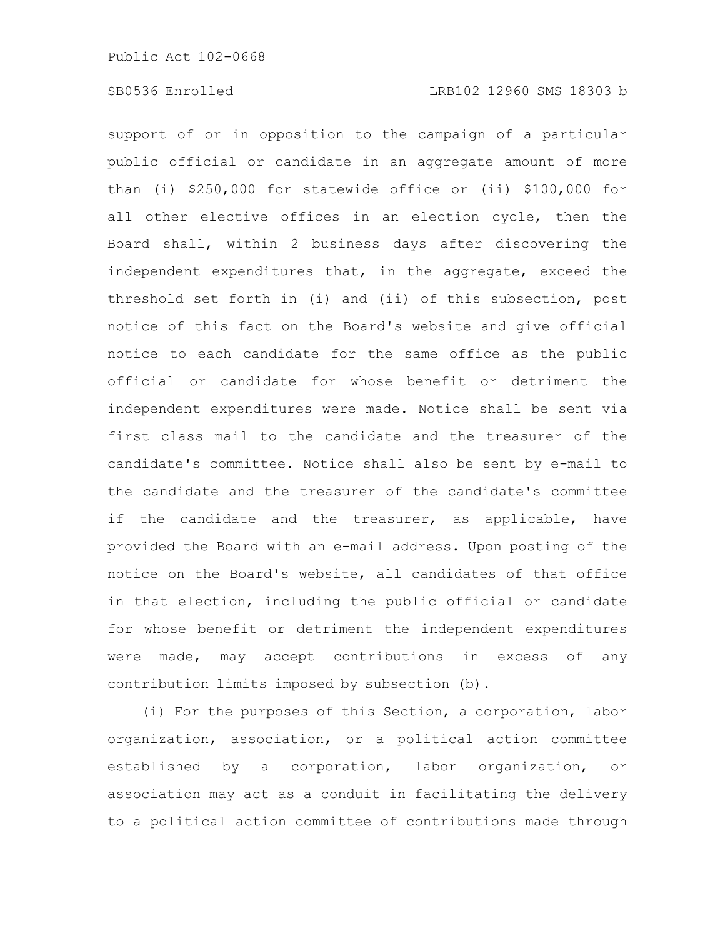support of or in opposition to the campaign of a particular public official or candidate in an aggregate amount of more than (i) \$250,000 for statewide office or (ii) \$100,000 for all other elective offices in an election cycle, then the Board shall, within 2 business days after discovering the independent expenditures that, in the aggregate, exceed the threshold set forth in (i) and (ii) of this subsection, post notice of this fact on the Board's website and give official notice to each candidate for the same office as the public official or candidate for whose benefit or detriment the independent expenditures were made. Notice shall be sent via first class mail to the candidate and the treasurer of the candidate's committee. Notice shall also be sent by e-mail to the candidate and the treasurer of the candidate's committee if the candidate and the treasurer, as applicable, have provided the Board with an e-mail address. Upon posting of the notice on the Board's website, all candidates of that office in that election, including the public official or candidate for whose benefit or detriment the independent expenditures were made, may accept contributions in excess of any contribution limits imposed by subsection (b).

(i) For the purposes of this Section, a corporation, labor organization, association, or a political action committee established by a corporation, labor organization, or association may act as a conduit in facilitating the delivery to a political action committee of contributions made through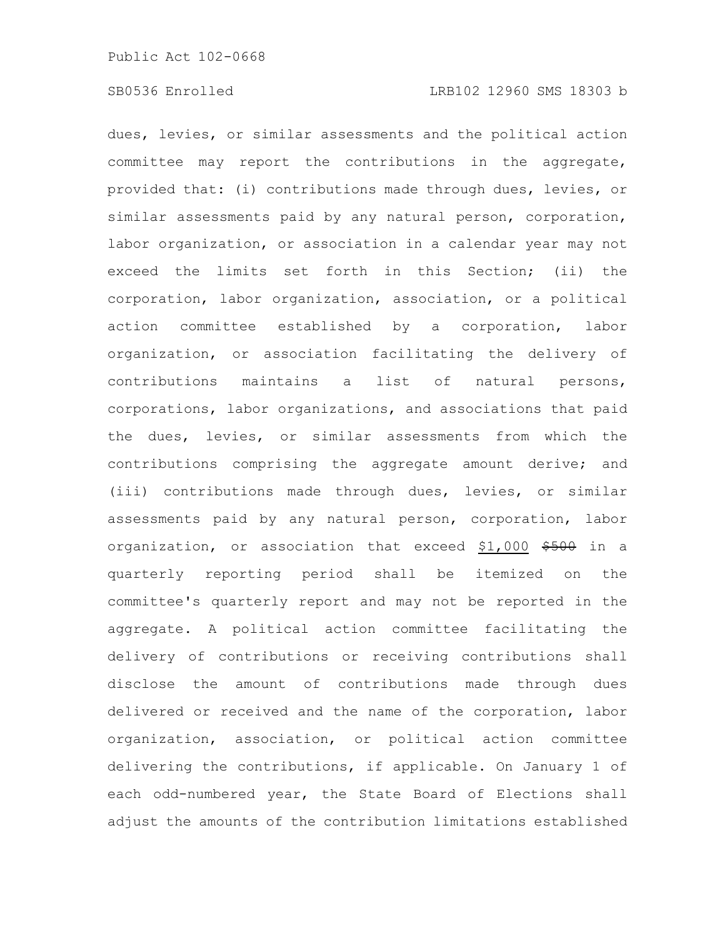dues, levies, or similar assessments and the political action committee may report the contributions in the aggregate, provided that: (i) contributions made through dues, levies, or similar assessments paid by any natural person, corporation, labor organization, or association in a calendar year may not exceed the limits set forth in this Section; (ii) the corporation, labor organization, association, or a political action committee established by a corporation, labor organization, or association facilitating the delivery of contributions maintains a list of natural persons, corporations, labor organizations, and associations that paid the dues, levies, or similar assessments from which the contributions comprising the aggregate amount derive; and (iii) contributions made through dues, levies, or similar assessments paid by any natural person, corporation, labor organization, or association that exceed \$1,000 \$500 in a quarterly reporting period shall be itemized on the committee's quarterly report and may not be reported in the aggregate. A political action committee facilitating the delivery of contributions or receiving contributions shall disclose the amount of contributions made through dues delivered or received and the name of the corporation, labor organization, association, or political action committee delivering the contributions, if applicable. On January 1 of each odd-numbered year, the State Board of Elections shall adjust the amounts of the contribution limitations established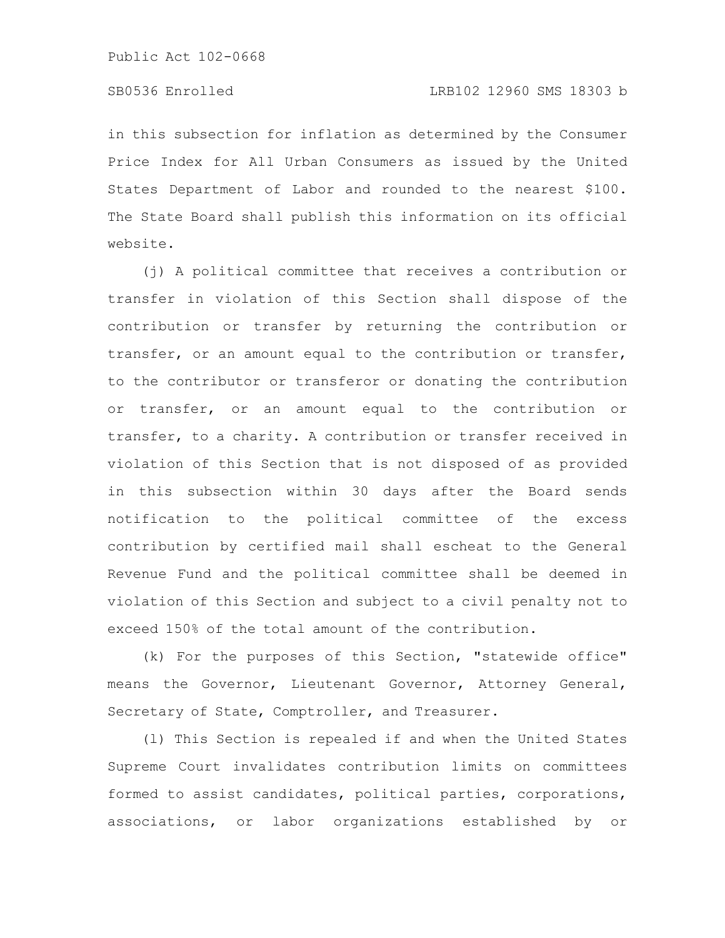in this subsection for inflation as determined by the Consumer Price Index for All Urban Consumers as issued by the United States Department of Labor and rounded to the nearest \$100. The State Board shall publish this information on its official website.

(j) A political committee that receives a contribution or transfer in violation of this Section shall dispose of the contribution or transfer by returning the contribution or transfer, or an amount equal to the contribution or transfer, to the contributor or transferor or donating the contribution or transfer, or an amount equal to the contribution or transfer, to a charity. A contribution or transfer received in violation of this Section that is not disposed of as provided in this subsection within 30 days after the Board sends notification to the political committee of the excess contribution by certified mail shall escheat to the General Revenue Fund and the political committee shall be deemed in violation of this Section and subject to a civil penalty not to exceed 150% of the total amount of the contribution.

(k) For the purposes of this Section, "statewide office" means the Governor, Lieutenant Governor, Attorney General, Secretary of State, Comptroller, and Treasurer.

(l) This Section is repealed if and when the United States Supreme Court invalidates contribution limits on committees formed to assist candidates, political parties, corporations, associations, or labor organizations established by or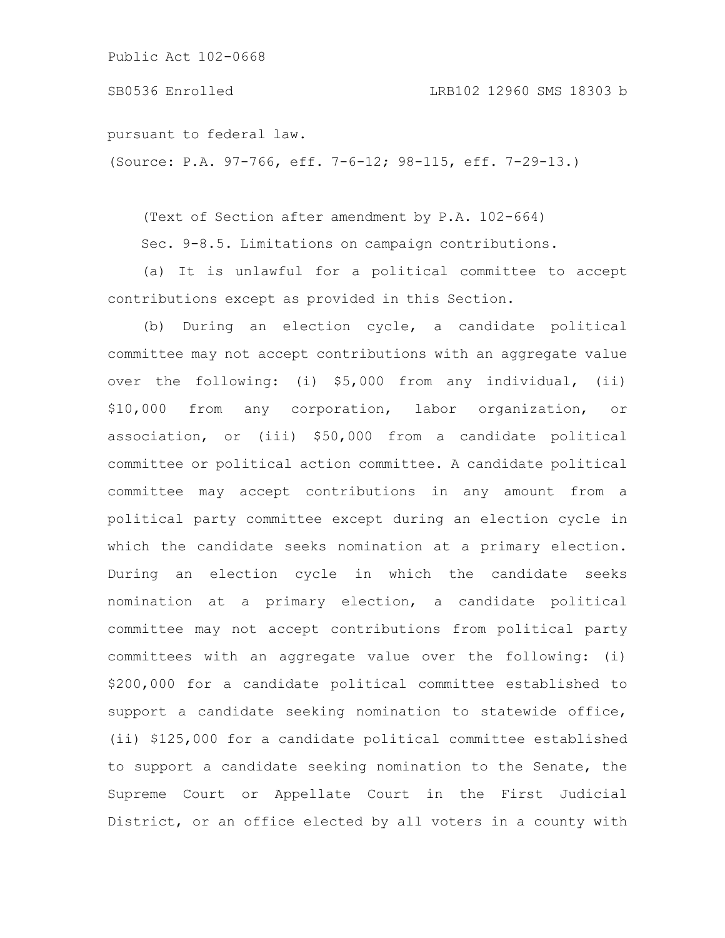SB0536 Enrolled LRB102 12960 SMS 18303 b

pursuant to federal law.

(Source: P.A. 97-766, eff. 7-6-12; 98-115, eff. 7-29-13.)

(Text of Section after amendment by P.A. 102-664)

Sec. 9-8.5. Limitations on campaign contributions.

(a) It is unlawful for a political committee to accept contributions except as provided in this Section.

(b) During an election cycle, a candidate political committee may not accept contributions with an aggregate value over the following: (i) \$5,000 from any individual, (ii) \$10,000 from any corporation, labor organization, or association, or (iii) \$50,000 from a candidate political committee or political action committee. A candidate political committee may accept contributions in any amount from a political party committee except during an election cycle in which the candidate seeks nomination at a primary election. During an election cycle in which the candidate seeks nomination at a primary election, a candidate political committee may not accept contributions from political party committees with an aggregate value over the following: (i) \$200,000 for a candidate political committee established to support a candidate seeking nomination to statewide office, (ii) \$125,000 for a candidate political committee established to support a candidate seeking nomination to the Senate, the Supreme Court or Appellate Court in the First Judicial District, or an office elected by all voters in a county with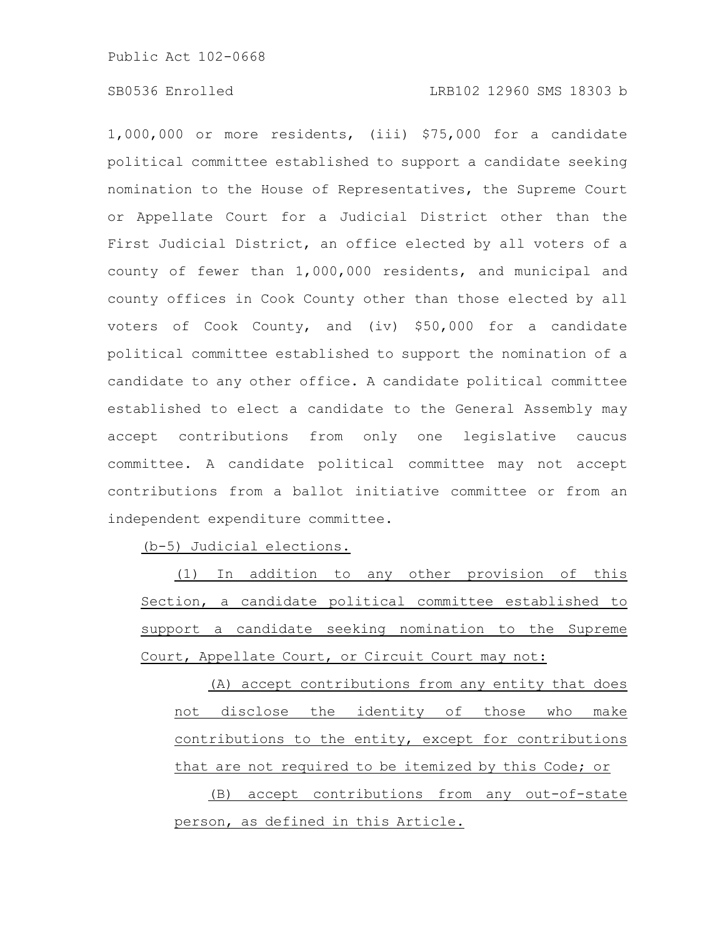### SB0536 Enrolled LRB102 12960 SMS 18303 b

1,000,000 or more residents, (iii) \$75,000 for a candidate political committee established to support a candidate seeking nomination to the House of Representatives, the Supreme Court or Appellate Court for a Judicial District other than the First Judicial District, an office elected by all voters of a county of fewer than 1,000,000 residents, and municipal and county offices in Cook County other than those elected by all voters of Cook County, and (iv) \$50,000 for a candidate political committee established to support the nomination of a candidate to any other office. A candidate political committee established to elect a candidate to the General Assembly may accept contributions from only one legislative caucus committee. A candidate political committee may not accept contributions from a ballot initiative committee or from an independent expenditure committee.

(b-5) Judicial elections.

(1) In addition to any other provision of this Section, a candidate political committee established to support a candidate seeking nomination to the Supreme Court, Appellate Court, or Circuit Court may not:

(A) accept contributions from any entity that does not disclose the identity of those who make contributions to the entity, except for contributions that are not required to be itemized by this Code; or (B) accept contributions from any out-of-state person, as defined in this Article.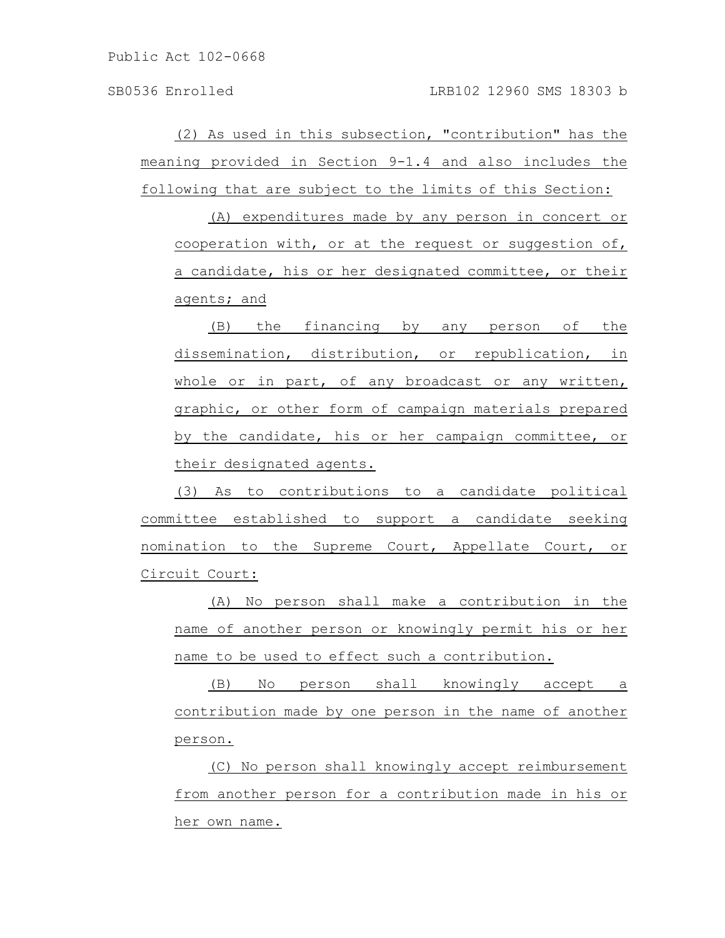(2) As used in this subsection, "contribution" has the meaning provided in Section 9-1.4 and also includes the following that are subject to the limits of this Section:

(A) expenditures made by any person in concert or cooperation with, or at the request or suggestion of, a candidate, his or her designated committee, or their agents; and

(B) the financing by any person of the dissemination, distribution, or republication, in whole or in part, of any broadcast or any written, graphic, or other form of campaign materials prepared by the candidate, his or her campaign committee, or their designated agents.

(3) As to contributions to a candidate political committee established to support a candidate seeking nomination to the Supreme Court, Appellate Court, or Circuit Court:

(A) No person shall make a contribution in the name of another person or knowingly permit his or her name to be used to effect such a contribution.

(B) No person shall knowingly accept a contribution made by one person in the name of another person.

(C) No person shall knowingly accept reimbursement from another person for a contribution made in his or her own name.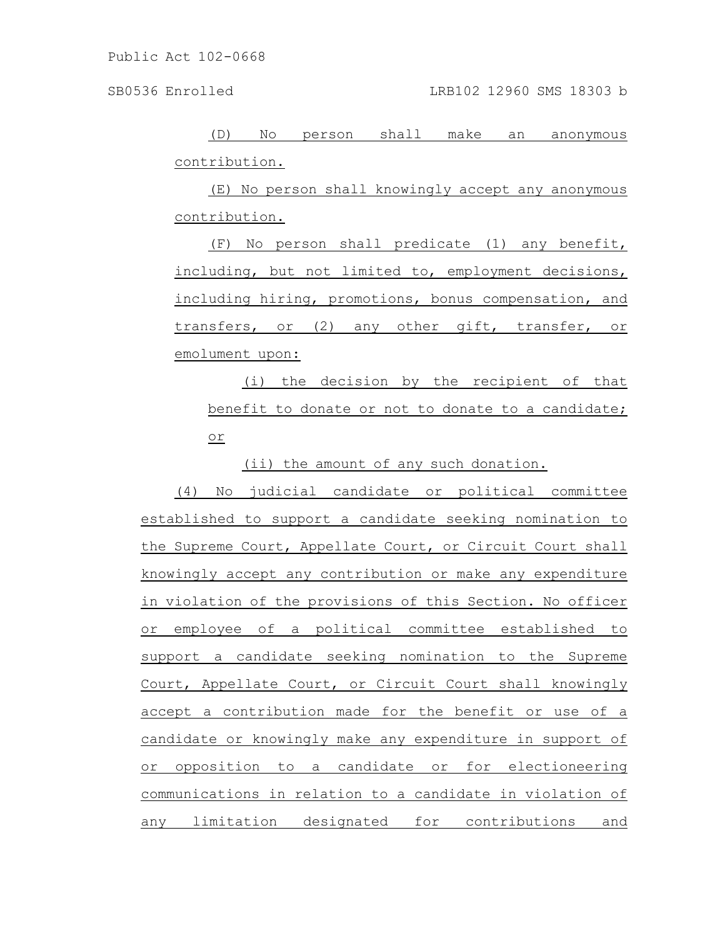(D) No person shall make an anonymous contribution.

(E) No person shall knowingly accept any anonymous contribution.

(F) No person shall predicate (1) any benefit, including, but not limited to, employment decisions, including hiring, promotions, bonus compensation, and transfers, or (2) any other gift, transfer, or emolument upon:

(i) the decision by the recipient of that benefit to donate or not to donate to a candidate; or

(ii) the amount of any such donation.

(4) No judicial candidate or political committee established to support a candidate seeking nomination to the Supreme Court, Appellate Court, or Circuit Court shall knowingly accept any contribution or make any expenditure in violation of the provisions of this Section. No officer or employee of a political committee established to support a candidate seeking nomination to the Supreme Court, Appellate Court, or Circuit Court shall knowingly accept a contribution made for the benefit or use of a candidate or knowingly make any expenditure in support of or opposition to a candidate or for electioneering communications in relation to a candidate in violation of any limitation designated for contributions and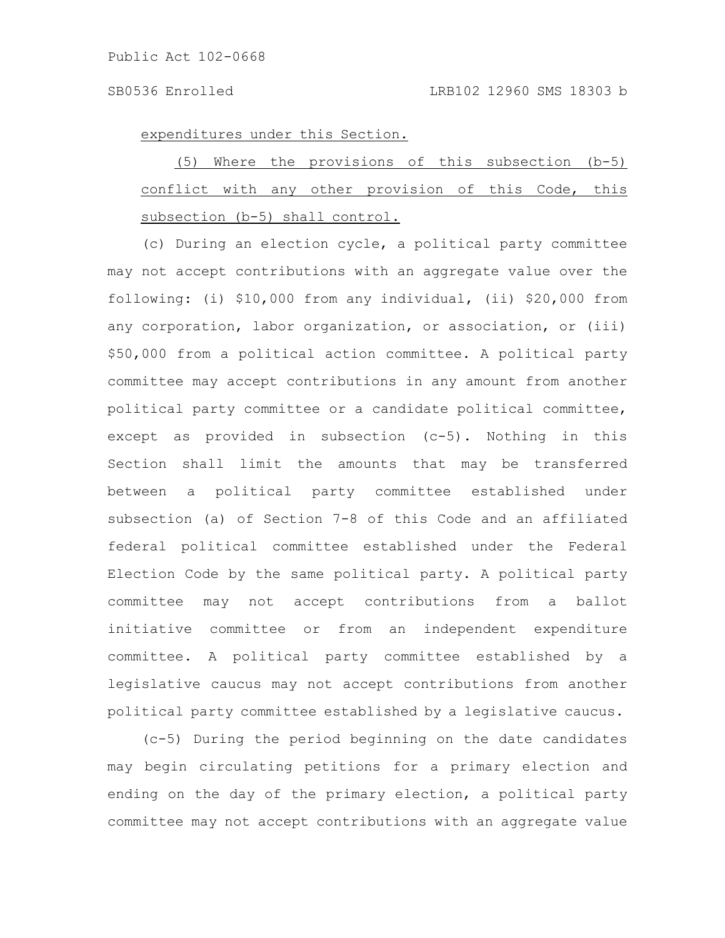expenditures under this Section.

|                                                      |  | (5) Where the provisions of this subsection (b-5) |  |  |  |
|------------------------------------------------------|--|---------------------------------------------------|--|--|--|
| conflict with any other provision of this Code, this |  |                                                   |  |  |  |
| subsection (b-5) shall control.                      |  |                                                   |  |  |  |

(c) During an election cycle, a political party committee may not accept contributions with an aggregate value over the following: (i) \$10,000 from any individual, (ii) \$20,000 from any corporation, labor organization, or association, or (iii) \$50,000 from a political action committee. A political party committee may accept contributions in any amount from another political party committee or a candidate political committee, except as provided in subsection (c-5). Nothing in this Section shall limit the amounts that may be transferred between a political party committee established under subsection (a) of Section 7-8 of this Code and an affiliated federal political committee established under the Federal Election Code by the same political party. A political party committee may not accept contributions from a ballot initiative committee or from an independent expenditure committee. A political party committee established by a legislative caucus may not accept contributions from another political party committee established by a legislative caucus.

(c-5) During the period beginning on the date candidates may begin circulating petitions for a primary election and ending on the day of the primary election, a political party committee may not accept contributions with an aggregate value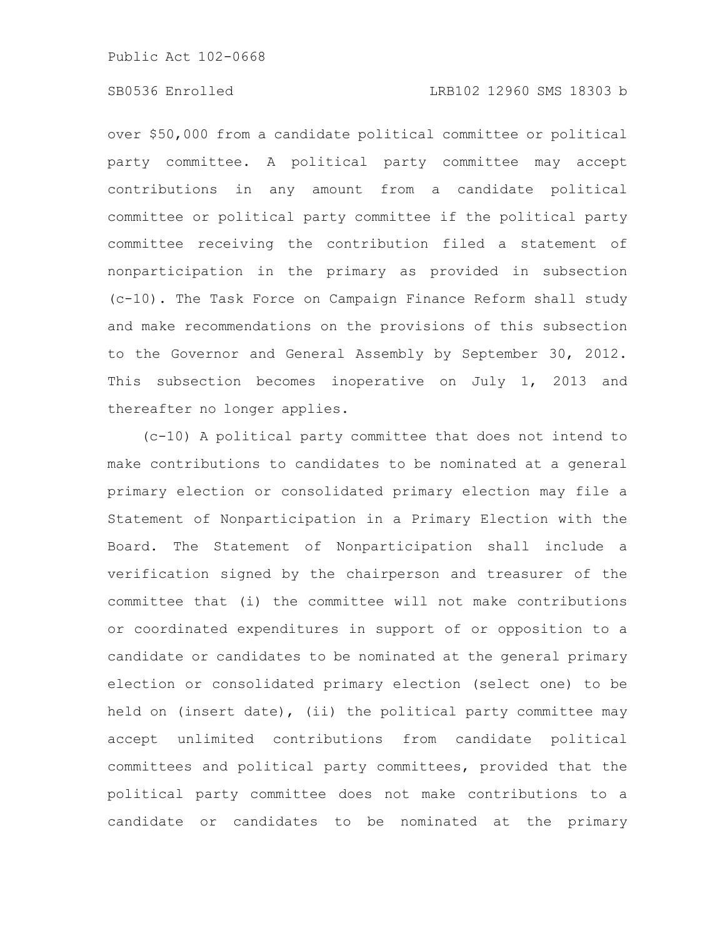# SB0536 Enrolled LRB102 12960 SMS 18303 b

over \$50,000 from a candidate political committee or political party committee. A political party committee may accept contributions in any amount from a candidate political committee or political party committee if the political party committee receiving the contribution filed a statement of nonparticipation in the primary as provided in subsection (c-10). The Task Force on Campaign Finance Reform shall study and make recommendations on the provisions of this subsection to the Governor and General Assembly by September 30, 2012. This subsection becomes inoperative on July 1, 2013 and thereafter no longer applies.

(c-10) A political party committee that does not intend to make contributions to candidates to be nominated at a general primary election or consolidated primary election may file a Statement of Nonparticipation in a Primary Election with the Board. The Statement of Nonparticipation shall include a verification signed by the chairperson and treasurer of the committee that (i) the committee will not make contributions or coordinated expenditures in support of or opposition to a candidate or candidates to be nominated at the general primary election or consolidated primary election (select one) to be held on (insert date), (ii) the political party committee may accept unlimited contributions from candidate political committees and political party committees, provided that the political party committee does not make contributions to a candidate or candidates to be nominated at the primary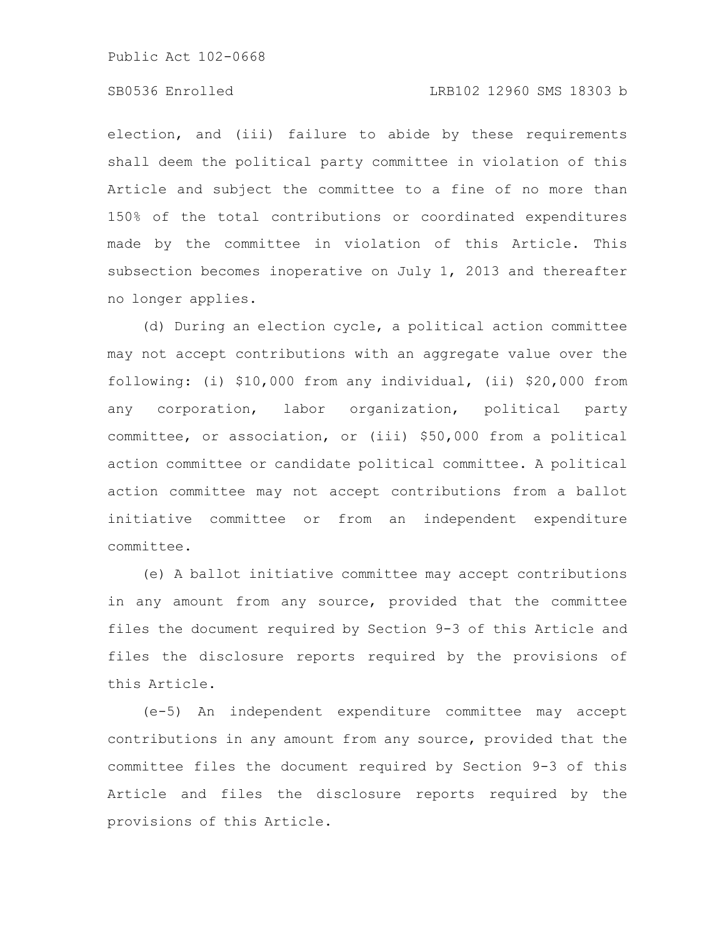### SB0536 Enrolled LRB102 12960 SMS 18303 b

election, and (iii) failure to abide by these requirements shall deem the political party committee in violation of this Article and subject the committee to a fine of no more than 150% of the total contributions or coordinated expenditures made by the committee in violation of this Article. This subsection becomes inoperative on July 1, 2013 and thereafter no longer applies.

(d) During an election cycle, a political action committee may not accept contributions with an aggregate value over the following: (i) \$10,000 from any individual, (ii) \$20,000 from any corporation, labor organization, political party committee, or association, or (iii) \$50,000 from a political action committee or candidate political committee. A political action committee may not accept contributions from a ballot initiative committee or from an independent expenditure committee.

(e) A ballot initiative committee may accept contributions in any amount from any source, provided that the committee files the document required by Section 9-3 of this Article and files the disclosure reports required by the provisions of this Article.

(e-5) An independent expenditure committee may accept contributions in any amount from any source, provided that the committee files the document required by Section 9-3 of this Article and files the disclosure reports required by the provisions of this Article.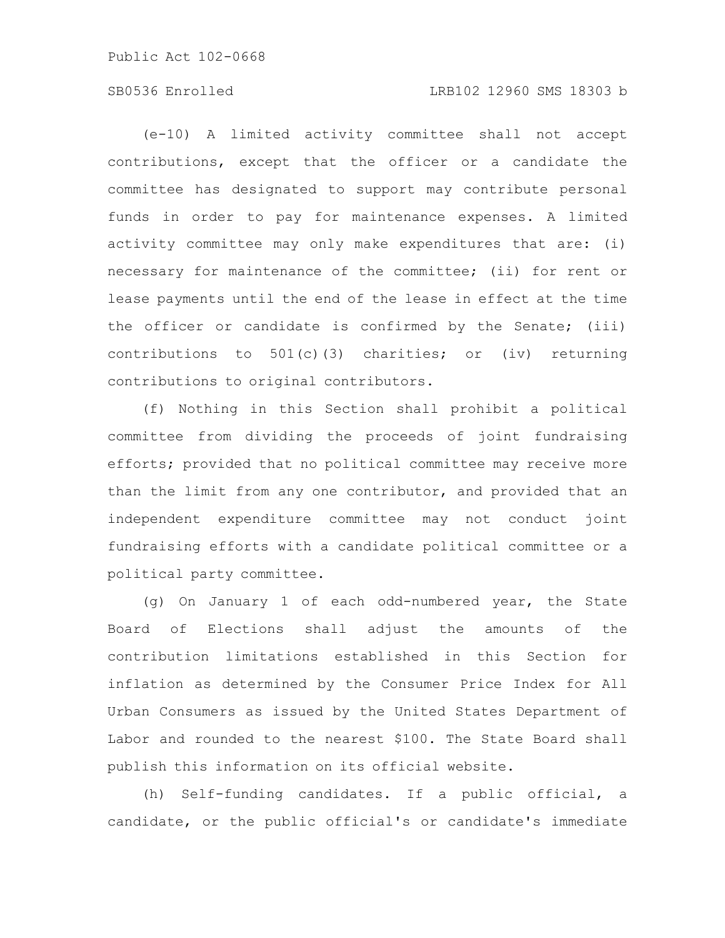# SB0536 Enrolled LRB102 12960 SMS 18303 b

(e-10) A limited activity committee shall not accept contributions, except that the officer or a candidate the committee has designated to support may contribute personal funds in order to pay for maintenance expenses. A limited activity committee may only make expenditures that are: (i) necessary for maintenance of the committee; (ii) for rent or lease payments until the end of the lease in effect at the time the officer or candidate is confirmed by the Senate; (iii) contributions to  $501(c)(3)$  charities; or (iv) returning contributions to original contributors.

(f) Nothing in this Section shall prohibit a political committee from dividing the proceeds of joint fundraising efforts; provided that no political committee may receive more than the limit from any one contributor, and provided that an independent expenditure committee may not conduct joint fundraising efforts with a candidate political committee or a political party committee.

(g) On January 1 of each odd-numbered year, the State Board of Elections shall adjust the amounts of the contribution limitations established in this Section for inflation as determined by the Consumer Price Index for All Urban Consumers as issued by the United States Department of Labor and rounded to the nearest \$100. The State Board shall publish this information on its official website.

(h) Self-funding candidates. If a public official, a candidate, or the public official's or candidate's immediate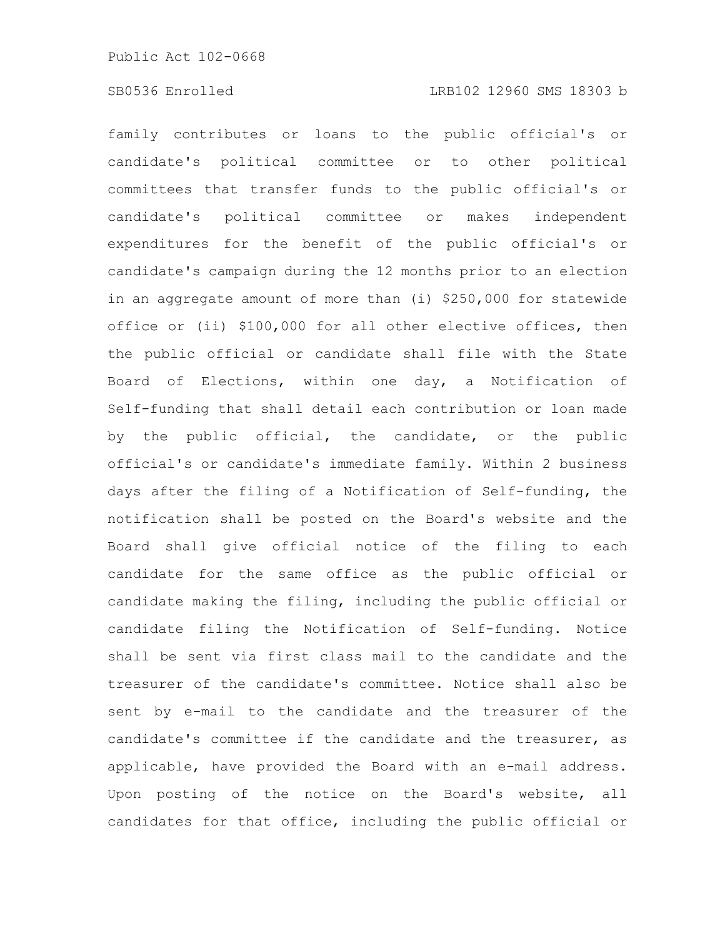# SB0536 Enrolled LRB102 12960 SMS 18303 b

family contributes or loans to the public official's or candidate's political committee or to other political committees that transfer funds to the public official's or candidate's political committee or makes independent expenditures for the benefit of the public official's or candidate's campaign during the 12 months prior to an election in an aggregate amount of more than (i) \$250,000 for statewide office or (ii) \$100,000 for all other elective offices, then the public official or candidate shall file with the State Board of Elections, within one day, a Notification of Self-funding that shall detail each contribution or loan made by the public official, the candidate, or the public official's or candidate's immediate family. Within 2 business days after the filing of a Notification of Self-funding, the notification shall be posted on the Board's website and the Board shall give official notice of the filing to each candidate for the same office as the public official or candidate making the filing, including the public official or candidate filing the Notification of Self-funding. Notice shall be sent via first class mail to the candidate and the treasurer of the candidate's committee. Notice shall also be sent by e-mail to the candidate and the treasurer of the candidate's committee if the candidate and the treasurer, as applicable, have provided the Board with an e-mail address. Upon posting of the notice on the Board's website, all candidates for that office, including the public official or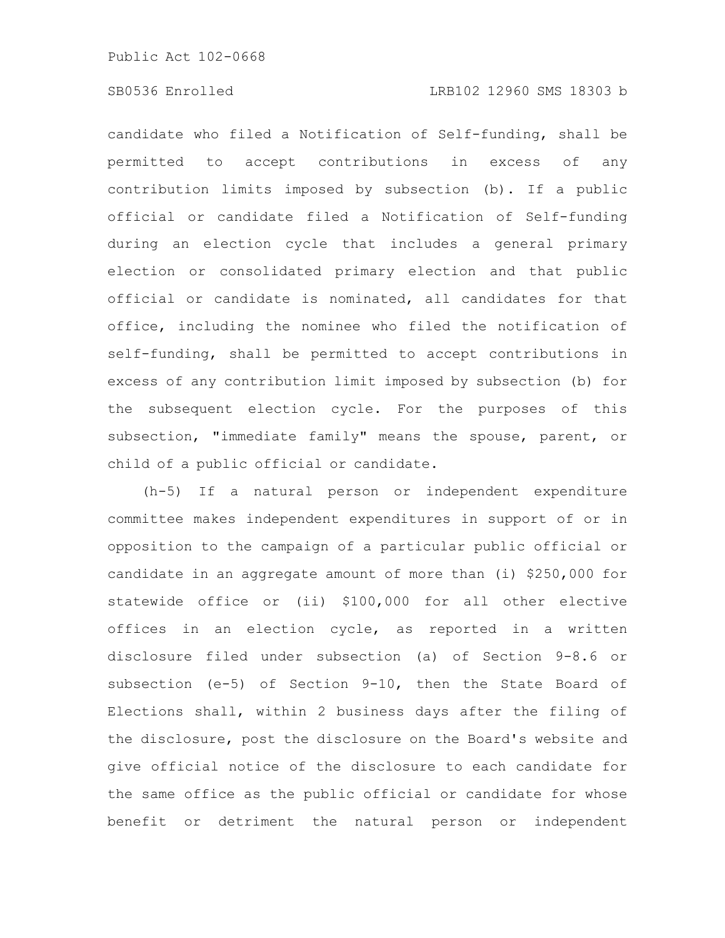candidate who filed a Notification of Self-funding, shall be permitted to accept contributions in excess of any contribution limits imposed by subsection (b). If a public official or candidate filed a Notification of Self-funding during an election cycle that includes a general primary election or consolidated primary election and that public official or candidate is nominated, all candidates for that office, including the nominee who filed the notification of self-funding, shall be permitted to accept contributions in excess of any contribution limit imposed by subsection (b) for the subsequent election cycle. For the purposes of this subsection, "immediate family" means the spouse, parent, or child of a public official or candidate.

(h-5) If a natural person or independent expenditure committee makes independent expenditures in support of or in opposition to the campaign of a particular public official or candidate in an aggregate amount of more than (i) \$250,000 for statewide office or (ii) \$100,000 for all other elective offices in an election cycle, as reported in a written disclosure filed under subsection (a) of Section 9-8.6 or subsection (e-5) of Section 9-10, then the State Board of Elections shall, within 2 business days after the filing of the disclosure, post the disclosure on the Board's website and give official notice of the disclosure to each candidate for the same office as the public official or candidate for whose benefit or detriment the natural person or independent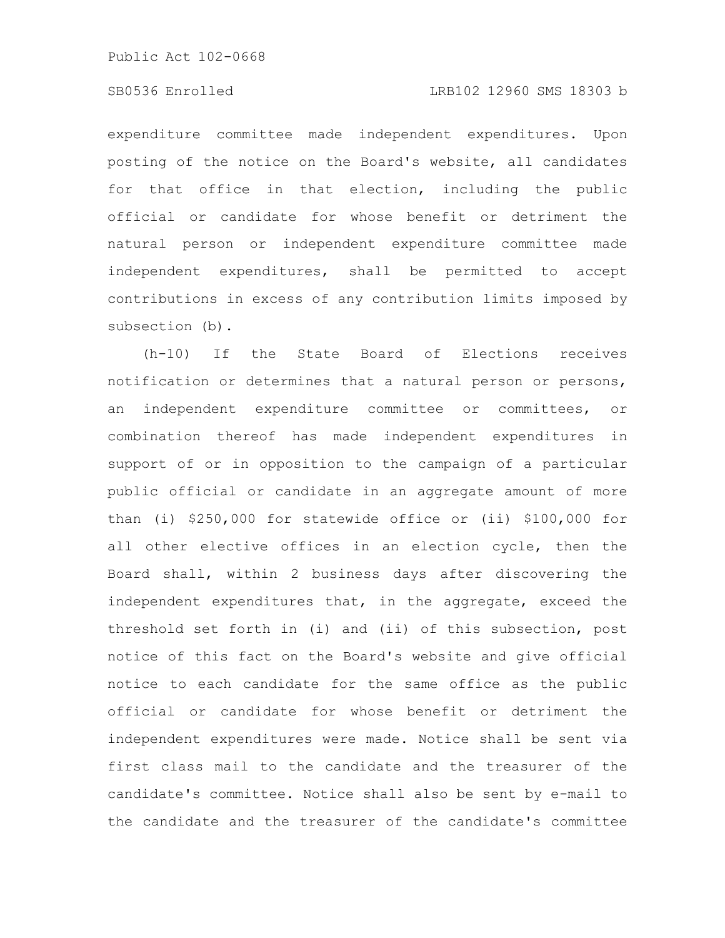# SB0536 Enrolled LRB102 12960 SMS 18303 b

expenditure committee made independent expenditures. Upon posting of the notice on the Board's website, all candidates for that office in that election, including the public official or candidate for whose benefit or detriment the natural person or independent expenditure committee made independent expenditures, shall be permitted to accept contributions in excess of any contribution limits imposed by subsection (b).

(h-10) If the State Board of Elections receives notification or determines that a natural person or persons, an independent expenditure committee or committees, or combination thereof has made independent expenditures in support of or in opposition to the campaign of a particular public official or candidate in an aggregate amount of more than (i) \$250,000 for statewide office or (ii) \$100,000 for all other elective offices in an election cycle, then the Board shall, within 2 business days after discovering the independent expenditures that, in the aggregate, exceed the threshold set forth in (i) and (ii) of this subsection, post notice of this fact on the Board's website and give official notice to each candidate for the same office as the public official or candidate for whose benefit or detriment the independent expenditures were made. Notice shall be sent via first class mail to the candidate and the treasurer of the candidate's committee. Notice shall also be sent by e-mail to the candidate and the treasurer of the candidate's committee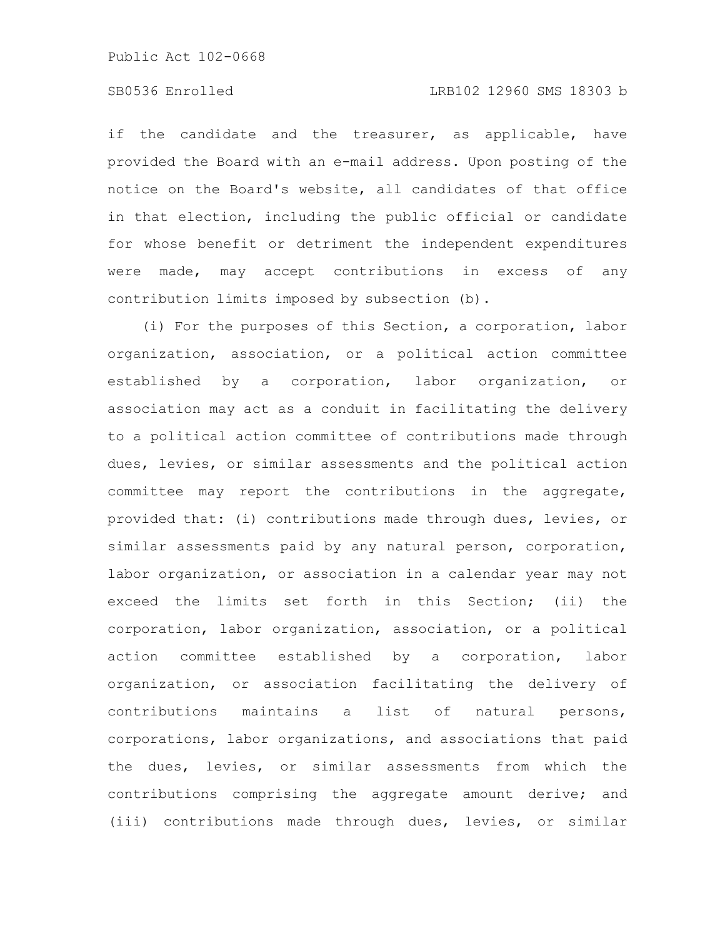# SB0536 Enrolled LRB102 12960 SMS 18303 b

if the candidate and the treasurer, as applicable, have provided the Board with an e-mail address. Upon posting of the notice on the Board's website, all candidates of that office in that election, including the public official or candidate for whose benefit or detriment the independent expenditures were made, may accept contributions in excess of any contribution limits imposed by subsection (b).

(i) For the purposes of this Section, a corporation, labor organization, association, or a political action committee established by a corporation, labor organization, or association may act as a conduit in facilitating the delivery to a political action committee of contributions made through dues, levies, or similar assessments and the political action committee may report the contributions in the aggregate, provided that: (i) contributions made through dues, levies, or similar assessments paid by any natural person, corporation, labor organization, or association in a calendar year may not exceed the limits set forth in this Section; (ii) the corporation, labor organization, association, or a political action committee established by a corporation, labor organization, or association facilitating the delivery of contributions maintains a list of natural persons, corporations, labor organizations, and associations that paid the dues, levies, or similar assessments from which the contributions comprising the aggregate amount derive; and (iii) contributions made through dues, levies, or similar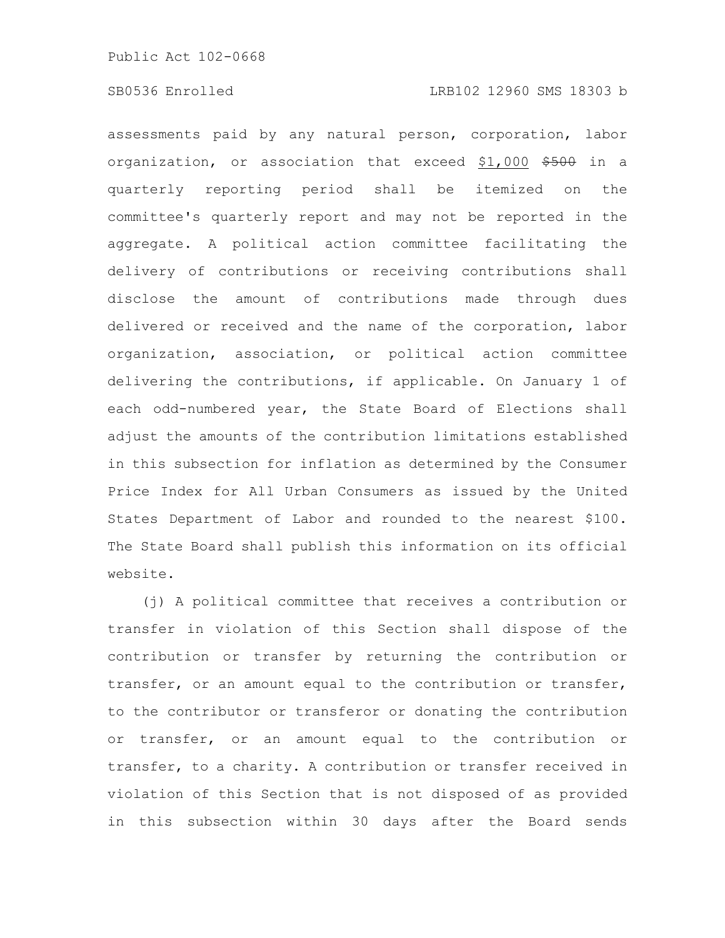assessments paid by any natural person, corporation, labor organization, or association that exceed \$1,000 \$500 in a quarterly reporting period shall be itemized on the committee's quarterly report and may not be reported in the aggregate. A political action committee facilitating the delivery of contributions or receiving contributions shall disclose the amount of contributions made through dues delivered or received and the name of the corporation, labor organization, association, or political action committee delivering the contributions, if applicable. On January 1 of each odd-numbered year, the State Board of Elections shall adjust the amounts of the contribution limitations established in this subsection for inflation as determined by the Consumer Price Index for All Urban Consumers as issued by the United States Department of Labor and rounded to the nearest \$100. The State Board shall publish this information on its official website.

(j) A political committee that receives a contribution or transfer in violation of this Section shall dispose of the contribution or transfer by returning the contribution or transfer, or an amount equal to the contribution or transfer, to the contributor or transferor or donating the contribution or transfer, or an amount equal to the contribution or transfer, to a charity. A contribution or transfer received in violation of this Section that is not disposed of as provided in this subsection within 30 days after the Board sends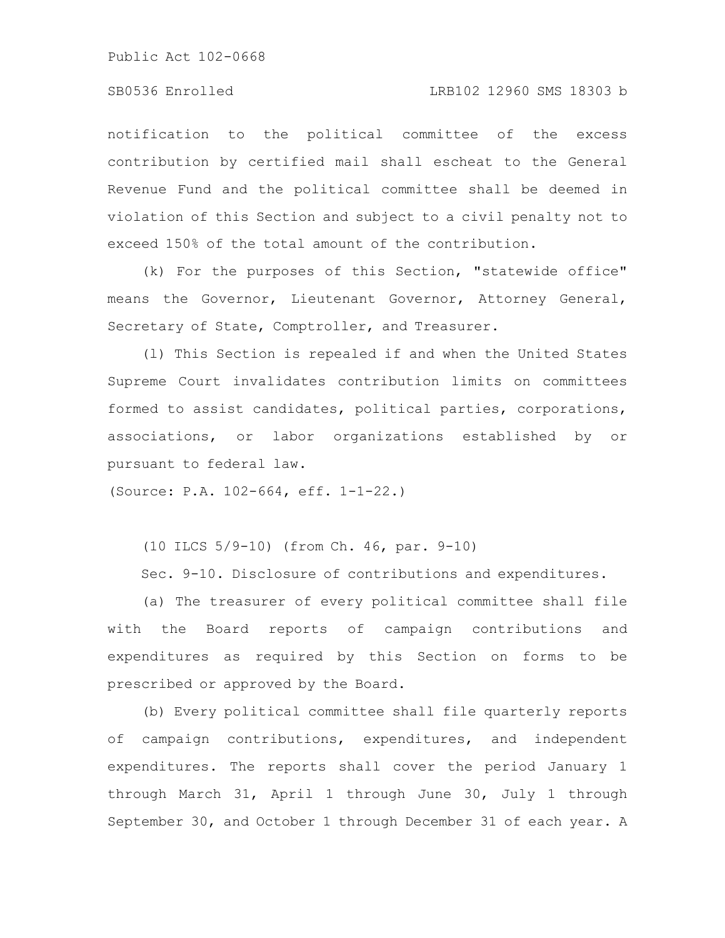# SB0536 Enrolled LRB102 12960 SMS 18303 b

notification to the political committee of the excess contribution by certified mail shall escheat to the General Revenue Fund and the political committee shall be deemed in violation of this Section and subject to a civil penalty not to exceed 150% of the total amount of the contribution.

(k) For the purposes of this Section, "statewide office" means the Governor, Lieutenant Governor, Attorney General, Secretary of State, Comptroller, and Treasurer.

(l) This Section is repealed if and when the United States Supreme Court invalidates contribution limits on committees formed to assist candidates, political parties, corporations, associations, or labor organizations established by or pursuant to federal law.

(Source: P.A. 102-664, eff. 1-1-22.)

(10 ILCS 5/9-10) (from Ch. 46, par. 9-10)

Sec. 9-10. Disclosure of contributions and expenditures.

(a) The treasurer of every political committee shall file with the Board reports of campaign contributions and expenditures as required by this Section on forms to be prescribed or approved by the Board.

(b) Every political committee shall file quarterly reports of campaign contributions, expenditures, and independent expenditures. The reports shall cover the period January 1 through March 31, April 1 through June 30, July 1 through September 30, and October 1 through December 31 of each year. A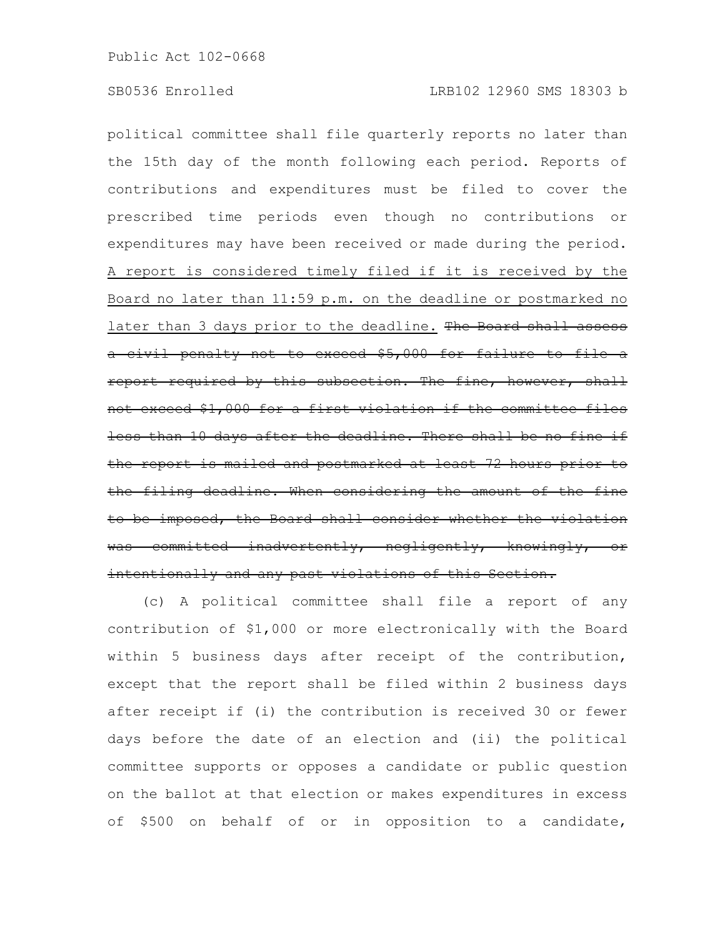political committee shall file quarterly reports no later than the 15th day of the month following each period. Reports of contributions and expenditures must be filed to cover the prescribed time periods even though no contributions or expenditures may have been received or made during the period. A report is considered timely filed if it is received by the Board no later than 11:59 p.m. on the deadline or postmarked no later than 3 days prior to the deadline. The Board shall a civil penalty not to exceed \$5,000 for failure to file a report required by this subsection. The fine, however, shall not exceed \$1,000 for a first violation if the committee files less than 10 days after the deadline. There shall be no fine if the report is mailed and postmarked at least 72 hours prior to the filing deadline. When considering the amount of the fine to be imposed, the Board shall consider whether the violation was committed inadvertently, negligently, knowingly, or intentionally and any past violations of this Section.

(c) A political committee shall file a report of any contribution of \$1,000 or more electronically with the Board within 5 business days after receipt of the contribution, except that the report shall be filed within 2 business days after receipt if (i) the contribution is received 30 or fewer days before the date of an election and (ii) the political committee supports or opposes a candidate or public question on the ballot at that election or makes expenditures in excess of \$500 on behalf of or in opposition to a candidate,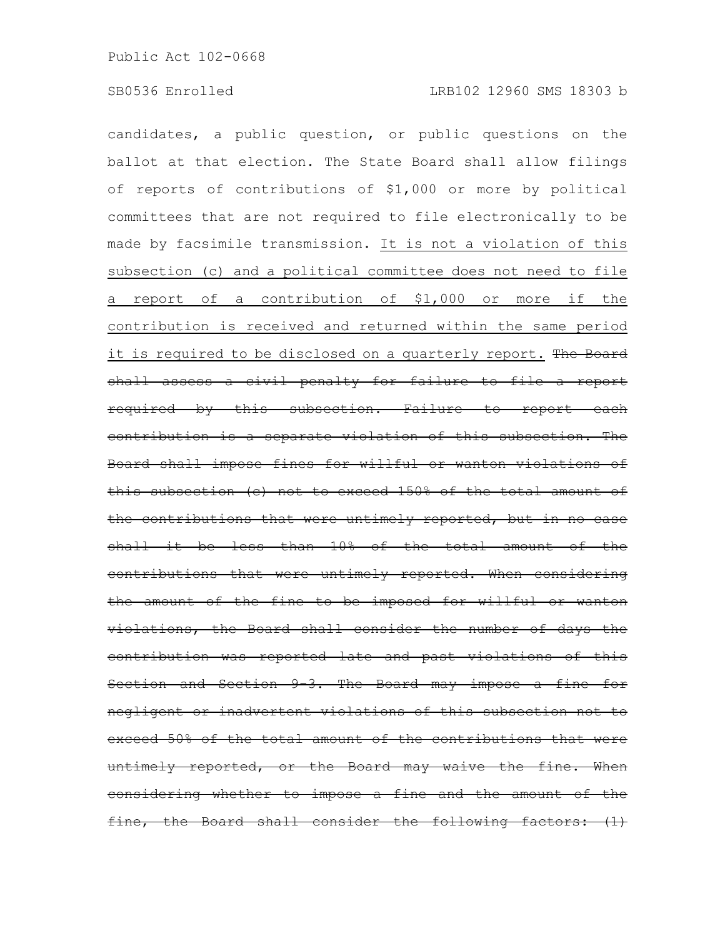candidates, a public question, or public questions on the ballot at that election. The State Board shall allow filings of reports of contributions of \$1,000 or more by political committees that are not required to file electronically to be made by facsimile transmission. It is not a violation of this subsection (c) and a political committee does not need to file a report of a contribution of \$1,000 or more if the contribution is received and returned within the same period it is required to be disclosed on a quarterly report. The Board shall assess a civil penalty for failure to file a report required by this subsection. Failure to report each contribution is a separate violation of this subsection. The Board shall impose fines for willful or wanton violations of this subsection (c) not to exceed 150% of the total amount of the contributions that were untimely reported, but in no case  $shall$  it be less than  $10\%$  of the total amount of contributions that were untimely reported. When considering the amount of the fine to be imposed for willful or wanton violations, the Board shall consider the number of days the contribution was reported late and past violations of this Section and Section 9-3. The Board may impose a fine for negligent or inadvertent violations of this subsection not to exceed 50% of the total amount of the contributions that untimely reported, or the Board may waive the fine. When considering whether to impose a fine and the amount of the fine, the Board shall consider the following factors: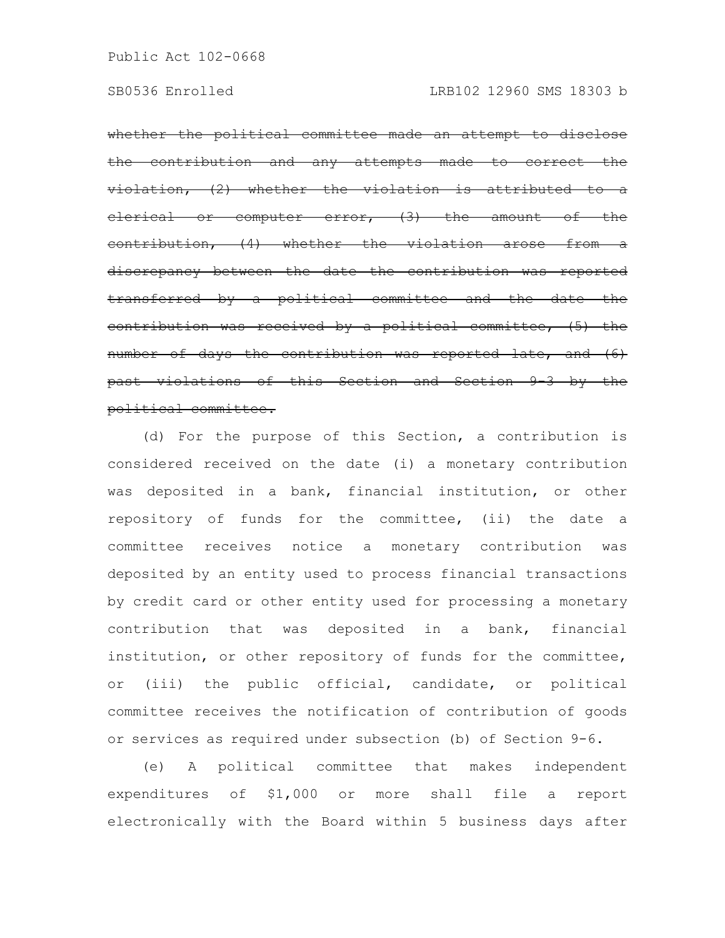whether the political committee made an attempt to disclose the contribution and any attempts made to correct the  $violation,$   $(2)$  whether the violation is attributed or computer error, (3) the amount contribution, (4) whether the violation arose from a discrepancy between the date the contribution was reported transferred by a political committee and the date the contribution was received by a political committee, (5) the number of days the contribution was reported late, and (6) past violations of this Section and Section 9-3 by the political committee.

(d) For the purpose of this Section, a contribution is considered received on the date (i) a monetary contribution was deposited in a bank, financial institution, or other repository of funds for the committee, (ii) the date a committee receives notice a monetary contribution was deposited by an entity used to process financial transactions by credit card or other entity used for processing a monetary contribution that was deposited in a bank, financial institution, or other repository of funds for the committee, or (iii) the public official, candidate, or political committee receives the notification of contribution of goods or services as required under subsection (b) of Section 9-6.

(e) A political committee that makes independent expenditures of \$1,000 or more shall file a report electronically with the Board within 5 business days after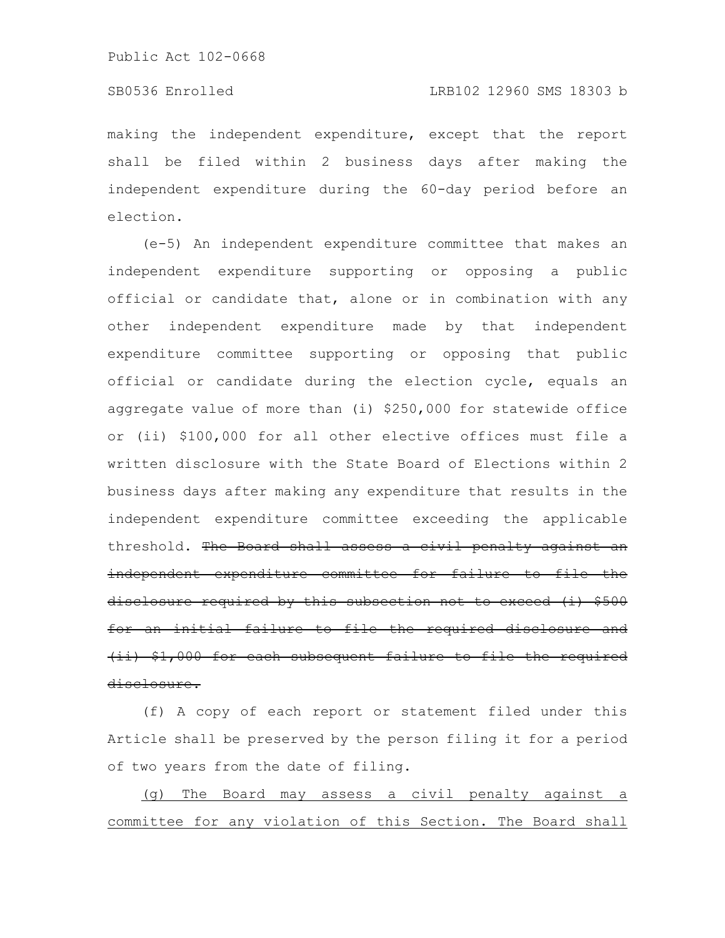# SB0536 Enrolled LRB102 12960 SMS 18303 b

making the independent expenditure, except that the report shall be filed within 2 business days after making the independent expenditure during the 60-day period before an election.

(e-5) An independent expenditure committee that makes an independent expenditure supporting or opposing a public official or candidate that, alone or in combination with any other independent expenditure made by that independent expenditure committee supporting or opposing that public official or candidate during the election cycle, equals an aggregate value of more than (i) \$250,000 for statewide office or (ii) \$100,000 for all other elective offices must file a written disclosure with the State Board of Elections within 2 business days after making any expenditure that results in the independent expenditure committee exceeding the applicable threshold. The Board shall assess a civil penalty against an independent expenditure committee for failure to file the disclosure required by this subsection not to exceed (i) \$500 for an initial failure to file the required disclosure and (ii) \$1,000 for each subsequent failure to file the required disclosure.

(f) A copy of each report or statement filed under this Article shall be preserved by the person filing it for a period of two years from the date of filing.

(g) The Board may assess a civil penalty against a committee for any violation of this Section. The Board shall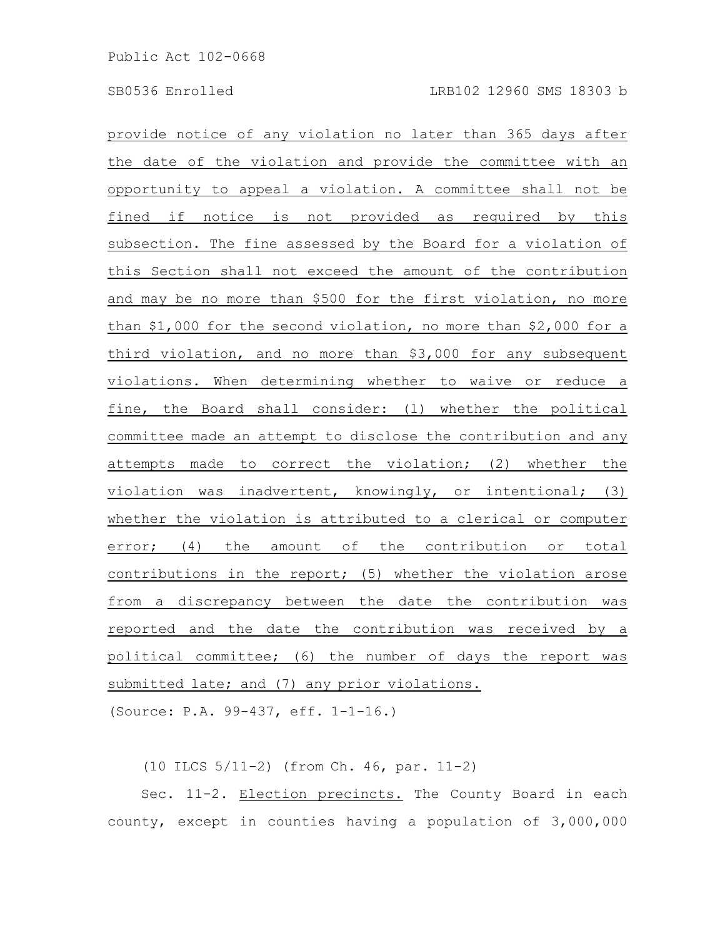provide notice of any violation no later than 365 days after the date of the violation and provide the committee with an opportunity to appeal a violation. A committee shall not be fined if notice is not provided as required by this subsection. The fine assessed by the Board for a violation of this Section shall not exceed the amount of the contribution and may be no more than \$500 for the first violation, no more than \$1,000 for the second violation, no more than \$2,000 for a third violation, and no more than \$3,000 for any subsequent violations. When determining whether to waive or reduce a fine, the Board shall consider: (1) whether the political committee made an attempt to disclose the contribution and any attempts made to correct the violation; (2) whether the violation was inadvertent, knowingly, or intentional; (3) whether the violation is attributed to a clerical or computer error; (4) the amount of the contribution or total contributions in the report; (5) whether the violation arose from a discrepancy between the date the contribution was reported and the date the contribution was received by a political committee; (6) the number of days the report was submitted late; and (7) any prior violations.

(Source: P.A. 99-437, eff. 1-1-16.)

(10 ILCS 5/11-2) (from Ch. 46, par. 11-2)

Sec. 11-2. Election precincts. The County Board in each county, except in counties having a population of 3,000,000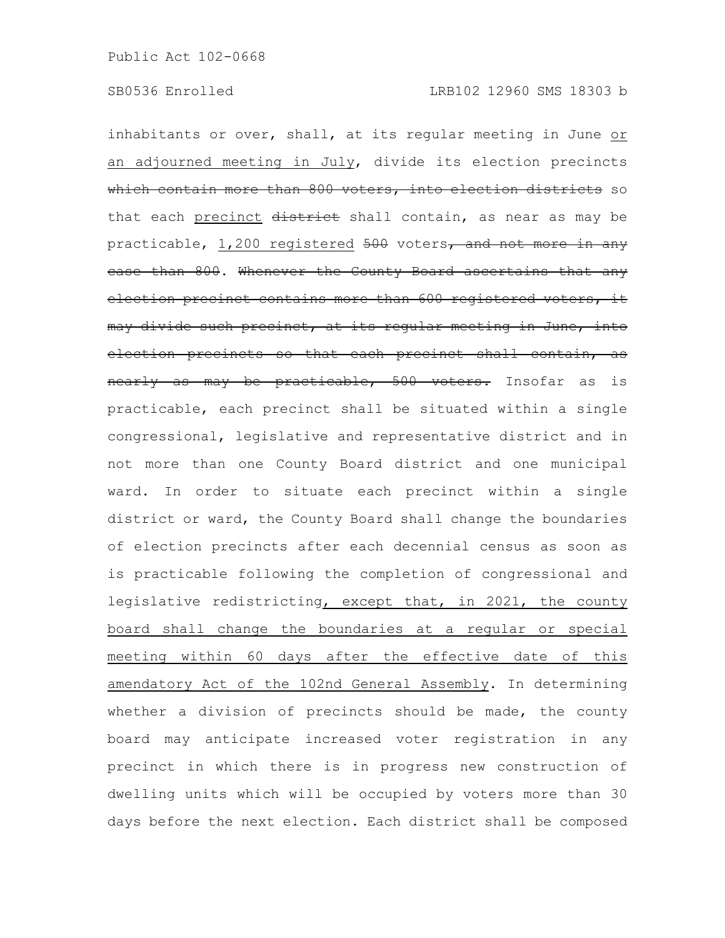inhabitants or over, shall, at its regular meeting in June or an adjourned meeting in July, divide its election precincts which contain more than 800 voters, into election districts so that each precinct district shall contain, as near as may be practicable, 1,200 registered 500 voters, and not more in any case than 800. Whenever the County Board ascertains that any election precinct contains more than 600 registered voters, it may divide such precinct, at its reqular meeting in June, into election precincts so that each precinct shall contain, as nearly as may be practicable, 500 voters. Insofar as is practicable, each precinct shall be situated within a single congressional, legislative and representative district and in not more than one County Board district and one municipal ward. In order to situate each precinct within a single district or ward, the County Board shall change the boundaries of election precincts after each decennial census as soon as is practicable following the completion of congressional and legislative redistricting, except that, in 2021, the county board shall change the boundaries at a regular or special meeting within 60 days after the effective date of this amendatory Act of the 102nd General Assembly. In determining whether a division of precincts should be made, the county board may anticipate increased voter registration in any precinct in which there is in progress new construction of dwelling units which will be occupied by voters more than 30 days before the next election. Each district shall be composed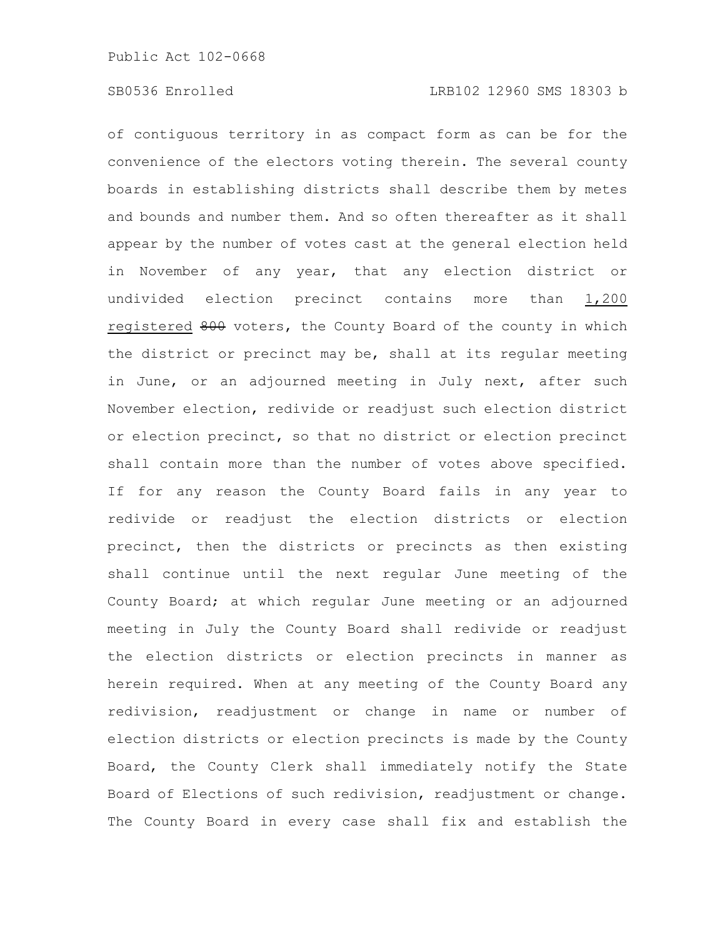of contiguous territory in as compact form as can be for the convenience of the electors voting therein. The several county boards in establishing districts shall describe them by metes and bounds and number them. And so often thereafter as it shall appear by the number of votes cast at the general election held in November of any year, that any election district or undivided election precinct contains more than 1,200 registered 800 voters, the County Board of the county in which the district or precinct may be, shall at its regular meeting in June, or an adjourned meeting in July next, after such November election, redivide or readjust such election district or election precinct, so that no district or election precinct shall contain more than the number of votes above specified. If for any reason the County Board fails in any year to redivide or readjust the election districts or election precinct, then the districts or precincts as then existing shall continue until the next regular June meeting of the County Board; at which regular June meeting or an adjourned meeting in July the County Board shall redivide or readjust the election districts or election precincts in manner as herein required. When at any meeting of the County Board any redivision, readjustment or change in name or number of election districts or election precincts is made by the County Board, the County Clerk shall immediately notify the State Board of Elections of such redivision, readjustment or change. The County Board in every case shall fix and establish the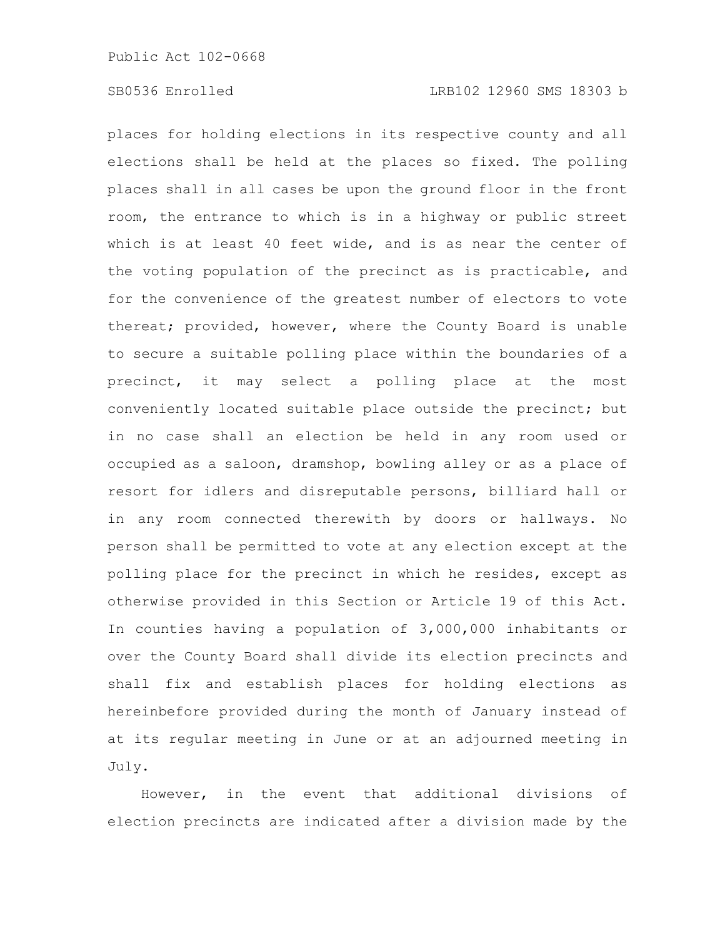places for holding elections in its respective county and all elections shall be held at the places so fixed. The polling places shall in all cases be upon the ground floor in the front room, the entrance to which is in a highway or public street which is at least 40 feet wide, and is as near the center of the voting population of the precinct as is practicable, and for the convenience of the greatest number of electors to vote thereat; provided, however, where the County Board is unable to secure a suitable polling place within the boundaries of a precinct, it may select a polling place at the most conveniently located suitable place outside the precinct; but in no case shall an election be held in any room used or occupied as a saloon, dramshop, bowling alley or as a place of resort for idlers and disreputable persons, billiard hall or in any room connected therewith by doors or hallways. No person shall be permitted to vote at any election except at the polling place for the precinct in which he resides, except as otherwise provided in this Section or Article 19 of this Act. In counties having a population of 3,000,000 inhabitants or over the County Board shall divide its election precincts and shall fix and establish places for holding elections as hereinbefore provided during the month of January instead of at its regular meeting in June or at an adjourned meeting in July.

However, in the event that additional divisions of election precincts are indicated after a division made by the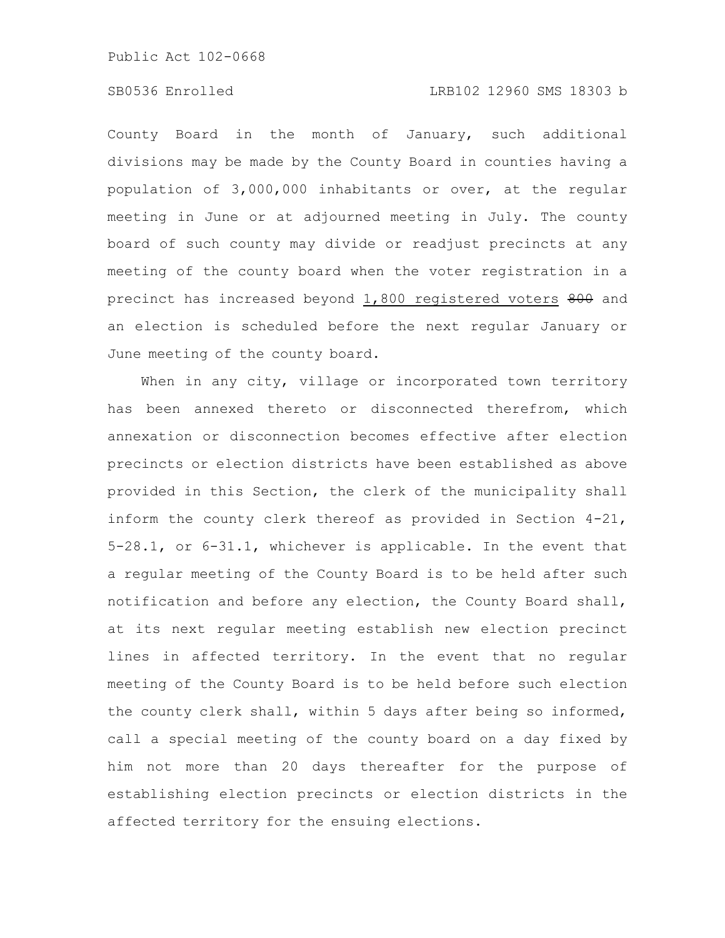# SB0536 Enrolled LRB102 12960 SMS 18303 b

County Board in the month of January, such additional divisions may be made by the County Board in counties having a population of 3,000,000 inhabitants or over, at the regular meeting in June or at adjourned meeting in July. The county board of such county may divide or readjust precincts at any meeting of the county board when the voter registration in a precinct has increased beyond 1,800 registered voters 800 and an election is scheduled before the next regular January or June meeting of the county board.

When in any city, village or incorporated town territory has been annexed thereto or disconnected therefrom, which annexation or disconnection becomes effective after election precincts or election districts have been established as above provided in this Section, the clerk of the municipality shall inform the county clerk thereof as provided in Section 4-21, 5-28.1, or 6-31.1, whichever is applicable. In the event that a regular meeting of the County Board is to be held after such notification and before any election, the County Board shall, at its next regular meeting establish new election precinct lines in affected territory. In the event that no regular meeting of the County Board is to be held before such election the county clerk shall, within 5 days after being so informed, call a special meeting of the county board on a day fixed by him not more than 20 days thereafter for the purpose of establishing election precincts or election districts in the affected territory for the ensuing elections.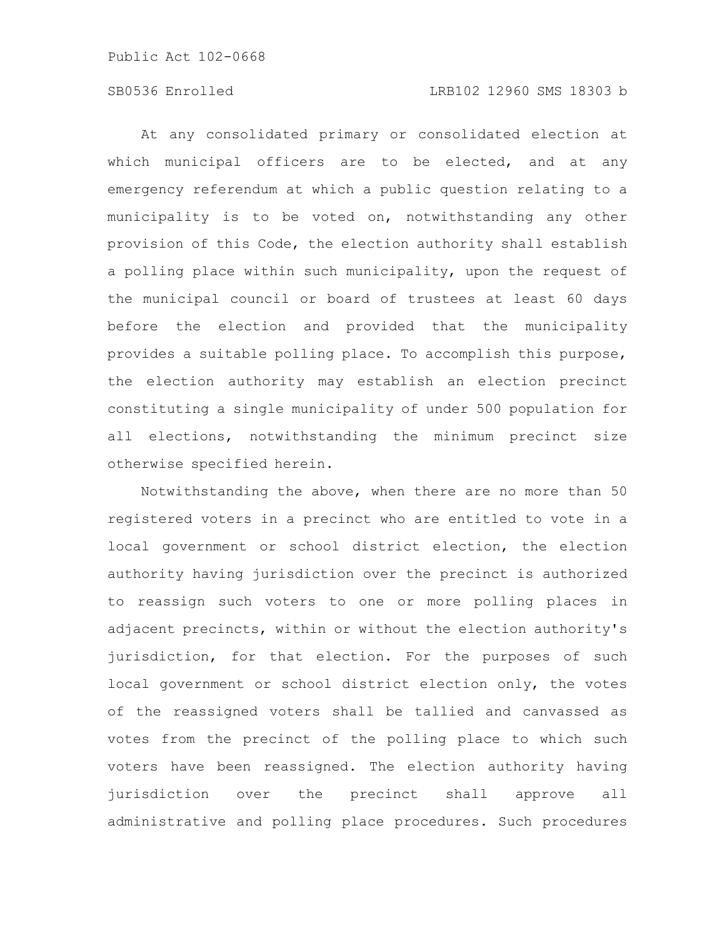# SB0536 Enrolled LRB102 12960 SMS 18303 b

At any consolidated primary or consolidated election at which municipal officers are to be elected, and at any emergency referendum at which a public question relating to a municipality is to be voted on, notwithstanding any other provision of this Code, the election authority shall establish a polling place within such municipality, upon the request of the municipal council or board of trustees at least 60 days before the election and provided that the municipality provides a suitable polling place. To accomplish this purpose, the election authority may establish an election precinct constituting a single municipality of under 500 population for all elections, notwithstanding the minimum precinct size otherwise specified herein.

Notwithstanding the above, when there are no more than 50 registered voters in a precinct who are entitled to vote in a local government or school district election, the election authority having jurisdiction over the precinct is authorized to reassign such voters to one or more polling places in adjacent precincts, within or without the election authority's jurisdiction, for that election. For the purposes of such local government or school district election only, the votes of the reassigned voters shall be tallied and canvassed as votes from the precinct of the polling place to which such voters have been reassigned. The election authority having jurisdiction over the precinct shall approve all administrative and polling place procedures. Such procedures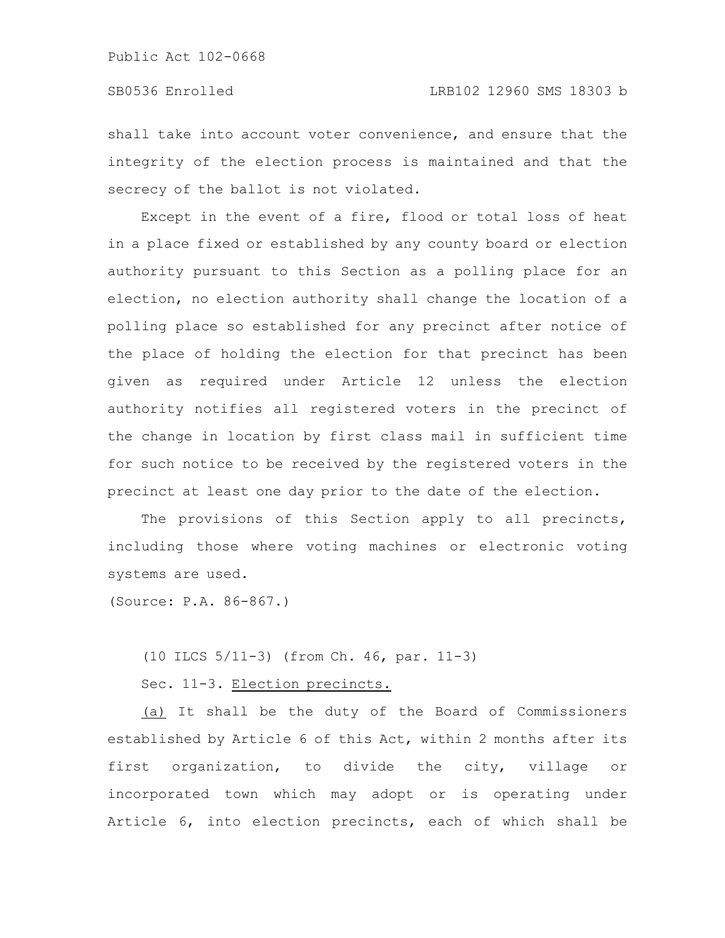shall take into account voter convenience, and ensure that the integrity of the election process is maintained and that the secrecy of the ballot is not violated.

Except in the event of a fire, flood or total loss of heat in a place fixed or established by any county board or election authority pursuant to this Section as a polling place for an election, no election authority shall change the location of a polling place so established for any precinct after notice of the place of holding the election for that precinct has been given as required under Article 12 unless the election authority notifies all registered voters in the precinct of the change in location by first class mail in sufficient time for such notice to be received by the registered voters in the precinct at least one day prior to the date of the election.

The provisions of this Section apply to all precincts, including those where voting machines or electronic voting systems are used.

(Source: P.A. 86-867.)

(10 ILCS 5/11-3) (from Ch. 46, par. 11-3)

Sec. 11-3. Election precincts.

(a) It shall be the duty of the Board of Commissioners established by Article 6 of this Act, within 2 months after its first organization, to divide the city, village or incorporated town which may adopt or is operating under Article 6, into election precincts, each of which shall be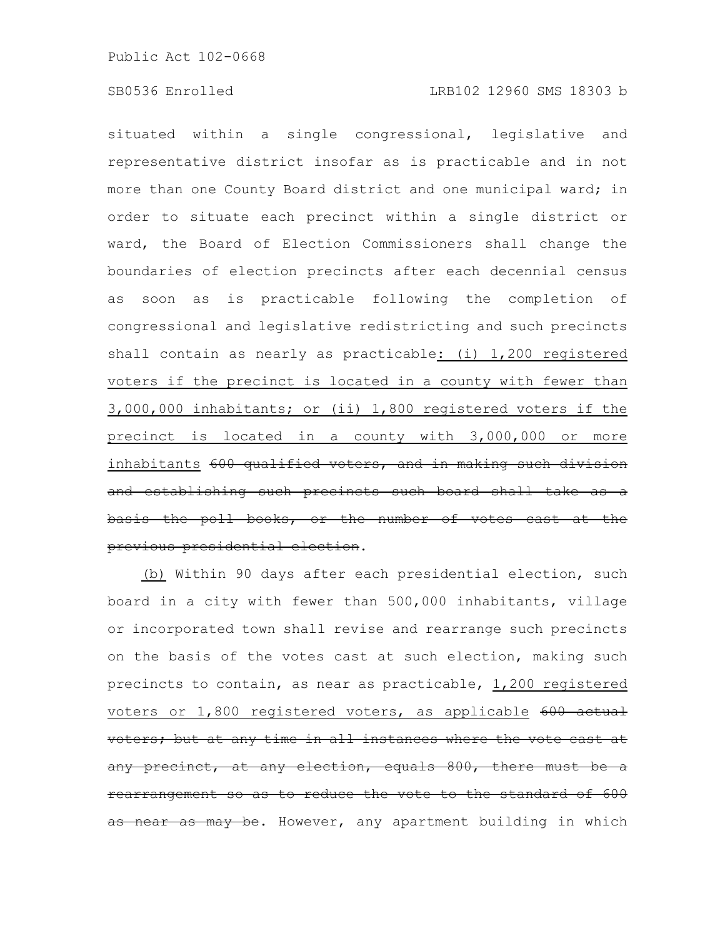situated within a single congressional, legislative and representative district insofar as is practicable and in not more than one County Board district and one municipal ward; in order to situate each precinct within a single district or ward, the Board of Election Commissioners shall change the boundaries of election precincts after each decennial census as soon as is practicable following the completion of congressional and legislative redistricting and such precincts shall contain as nearly as practicable: (i) 1,200 registered voters if the precinct is located in a county with fewer than 3,000,000 inhabitants; or (ii) 1,800 registered voters if the precinct is located in a county with 3,000,000 or more inhabitants 600 qualified voters, and in making such division and establishing such precincts such board shall take as a basis the poll books, or the number of votes cast at previous presidential election.

(b) Within 90 days after each presidential election, such board in a city with fewer than 500,000 inhabitants, village or incorporated town shall revise and rearrange such precincts on the basis of the votes cast at such election, making such precincts to contain, as near as practicable, 1,200 registered voters or 1,800 registered voters, as applicable 600 actual voters; but at any time in all instances where the vote cast at any precinct, at any election, equals 800, there must rearrangement so as to reduce the vote to the standard of 600 as near as may be. However, any apartment building in which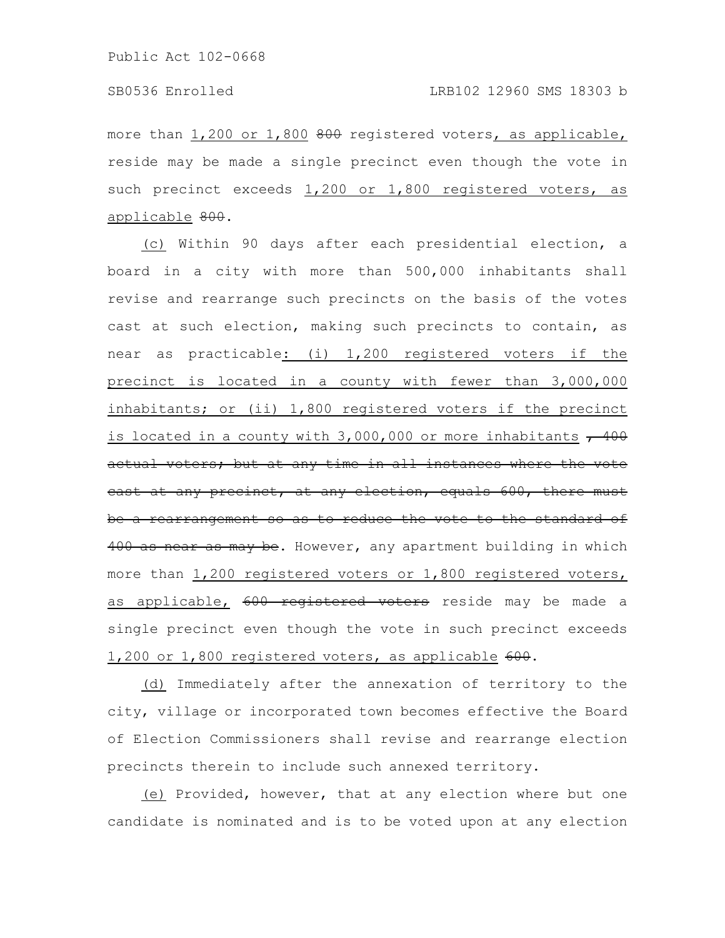more than 1,200 or 1,800 800 registered voters, as applicable, reside may be made a single precinct even though the vote in such precinct exceeds 1,200 or 1,800 registered voters, as applicable 800.

(c) Within 90 days after each presidential election, a board in a city with more than 500,000 inhabitants shall revise and rearrange such precincts on the basis of the votes cast at such election, making such precincts to contain, as near as practicable: (i) 1,200 registered voters if the precinct is located in a county with fewer than 3,000,000 inhabitants; or (ii) 1,800 registered voters if the precinct is located in a county with  $3,000,000$  or more inhabitants  $+400$ actual voters; but at any time in all instances where the vote cast at any precinct, at any election, equals 600, there must be a rearrangement so as to reduce the vote to the standard of 400 as near as may be. However, any apartment building in which more than 1,200 registered voters or 1,800 registered voters, as applicable, 600 registered voters reside may be made a single precinct even though the vote in such precinct exceeds 1,200 or 1,800 registered voters, as applicable 600.

(d) Immediately after the annexation of territory to the city, village or incorporated town becomes effective the Board of Election Commissioners shall revise and rearrange election precincts therein to include such annexed territory.

(e) Provided, however, that at any election where but one candidate is nominated and is to be voted upon at any election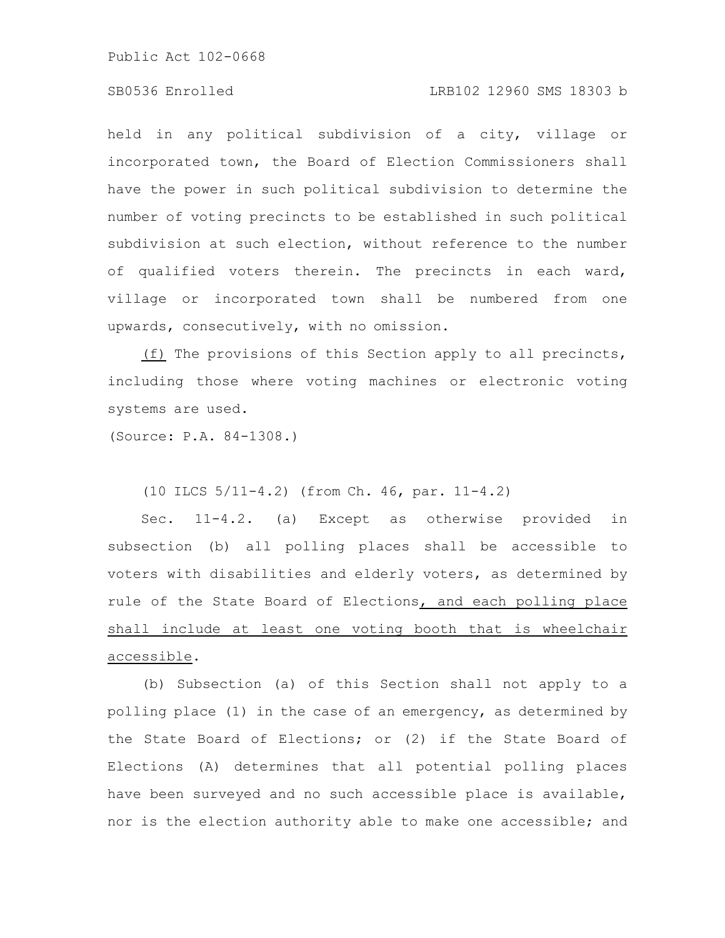### SB0536 Enrolled LRB102 12960 SMS 18303 b

held in any political subdivision of a city, village or incorporated town, the Board of Election Commissioners shall have the power in such political subdivision to determine the number of voting precincts to be established in such political subdivision at such election, without reference to the number of qualified voters therein. The precincts in each ward, village or incorporated town shall be numbered from one upwards, consecutively, with no omission.

(f) The provisions of this Section apply to all precincts, including those where voting machines or electronic voting systems are used.

(Source: P.A. 84-1308.)

(10 ILCS 5/11-4.2) (from Ch. 46, par. 11-4.2)

Sec. 11-4.2. (a) Except as otherwise provided in subsection (b) all polling places shall be accessible to voters with disabilities and elderly voters, as determined by rule of the State Board of Elections, and each polling place shall include at least one voting booth that is wheelchair accessible.

(b) Subsection (a) of this Section shall not apply to a polling place (1) in the case of an emergency, as determined by the State Board of Elections; or (2) if the State Board of Elections (A) determines that all potential polling places have been surveyed and no such accessible place is available, nor is the election authority able to make one accessible; and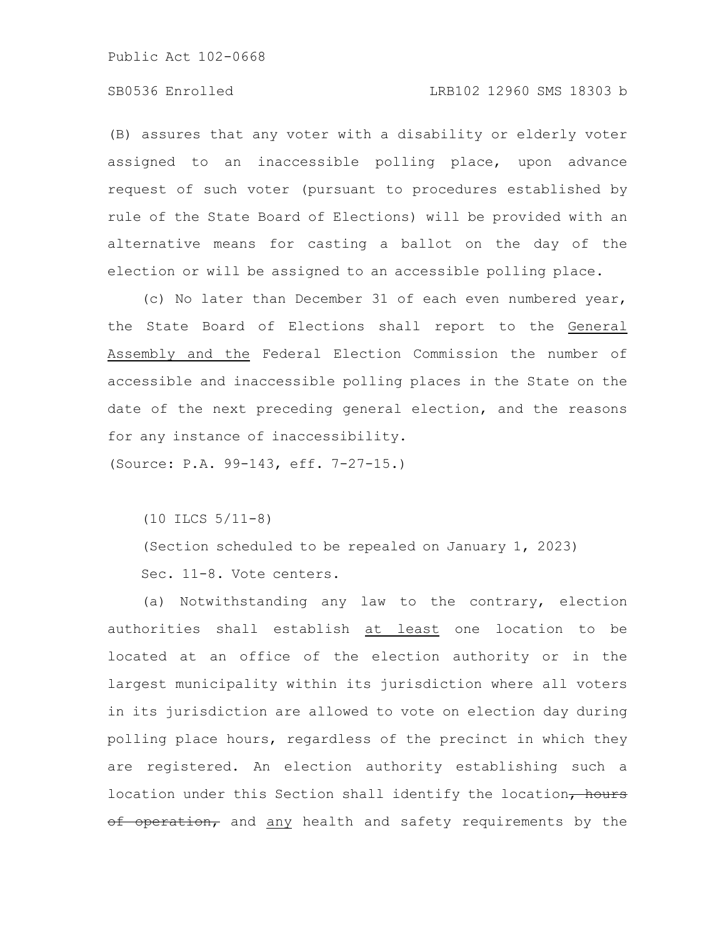# SB0536 Enrolled LRB102 12960 SMS 18303 b

(B) assures that any voter with a disability or elderly voter assigned to an inaccessible polling place, upon advance request of such voter (pursuant to procedures established by rule of the State Board of Elections) will be provided with an alternative means for casting a ballot on the day of the election or will be assigned to an accessible polling place.

(c) No later than December 31 of each even numbered year, the State Board of Elections shall report to the General Assembly and the Federal Election Commission the number of accessible and inaccessible polling places in the State on the date of the next preceding general election, and the reasons for any instance of inaccessibility.

(Source: P.A. 99-143, eff. 7-27-15.)

(10 ILCS 5/11-8)

(Section scheduled to be repealed on January 1, 2023) Sec. 11-8. Vote centers.

(a) Notwithstanding any law to the contrary, election authorities shall establish at least one location to be located at an office of the election authority or in the largest municipality within its jurisdiction where all voters in its jurisdiction are allowed to vote on election day during polling place hours, regardless of the precinct in which they are registered. An election authority establishing such a location under this Section shall identify the location, hours of operation, and any health and safety requirements by the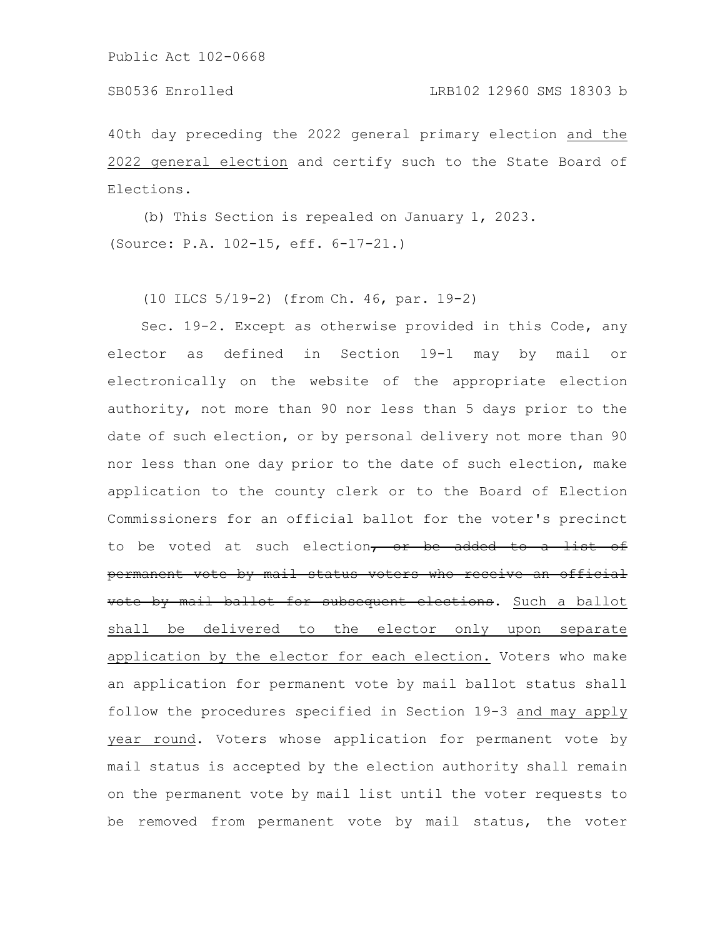# SB0536 Enrolled LRB102 12960 SMS 18303 b

40th day preceding the 2022 general primary election and the 2022 general election and certify such to the State Board of Elections.

(b) This Section is repealed on January 1, 2023. (Source: P.A. 102-15, eff. 6-17-21.)

(10 ILCS 5/19-2) (from Ch. 46, par. 19-2)

Sec. 19-2. Except as otherwise provided in this Code, any elector as defined in Section 19-1 may by mail or electronically on the website of the appropriate election authority, not more than 90 nor less than 5 days prior to the date of such election, or by personal delivery not more than 90 nor less than one day prior to the date of such election, make application to the county clerk or to the Board of Election Commissioners for an official ballot for the voter's precinct to be voted at such election, or be added to a list of permanent vote by mail status voters who receive an official vote by mail ballot for subsequent elections. Such a ballot shall be delivered to the elector only upon separate application by the elector for each election. Voters who make an application for permanent vote by mail ballot status shall follow the procedures specified in Section 19-3 and may apply year round. Voters whose application for permanent vote by mail status is accepted by the election authority shall remain on the permanent vote by mail list until the voter requests to be removed from permanent vote by mail status, the voter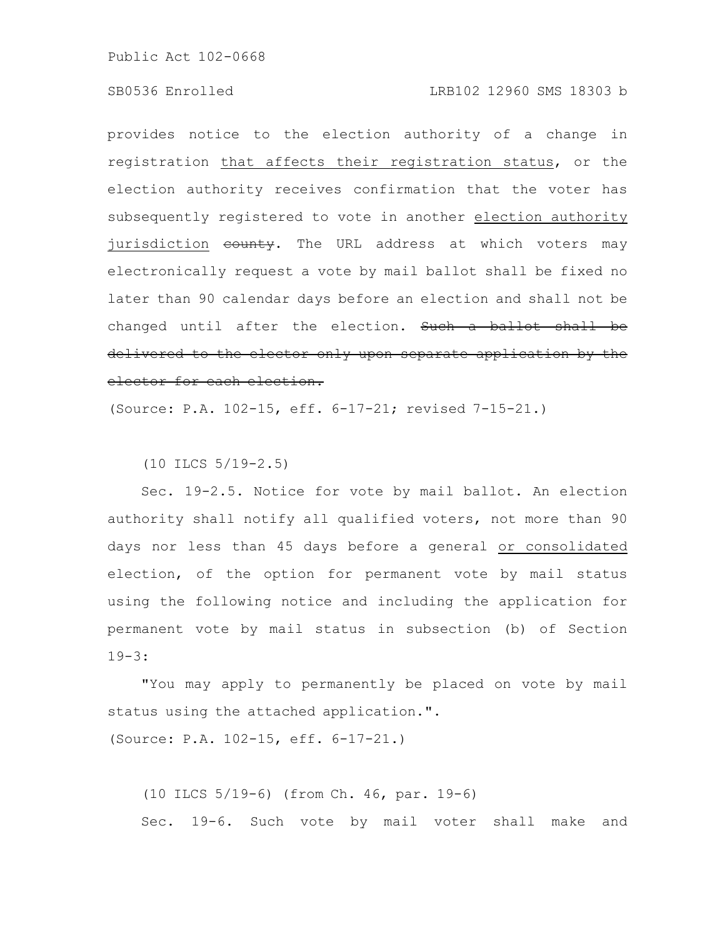### SB0536 Enrolled LRB102 12960 SMS 18303 b

provides notice to the election authority of a change in registration that affects their registration status, or the election authority receives confirmation that the voter has subsequently registered to vote in another election authority jurisdiction county. The URL address at which voters may electronically request a vote by mail ballot shall be fixed no later than 90 calendar days before an election and shall not be changed until after the election. Such a ballot shall be delivered to the elector only upon separate application by the elector for each election.

(Source: P.A. 102-15, eff. 6-17-21; revised 7-15-21.)

(10 ILCS 5/19-2.5)

Sec. 19-2.5. Notice for vote by mail ballot. An election authority shall notify all qualified voters, not more than 90 days nor less than 45 days before a general or consolidated election, of the option for permanent vote by mail status using the following notice and including the application for permanent vote by mail status in subsection (b) of Section 19-3:

"You may apply to permanently be placed on vote by mail status using the attached application.".

(Source: P.A. 102-15, eff. 6-17-21.)

(10 ILCS 5/19-6) (from Ch. 46, par. 19-6) Sec. 19-6. Such vote by mail voter shall make and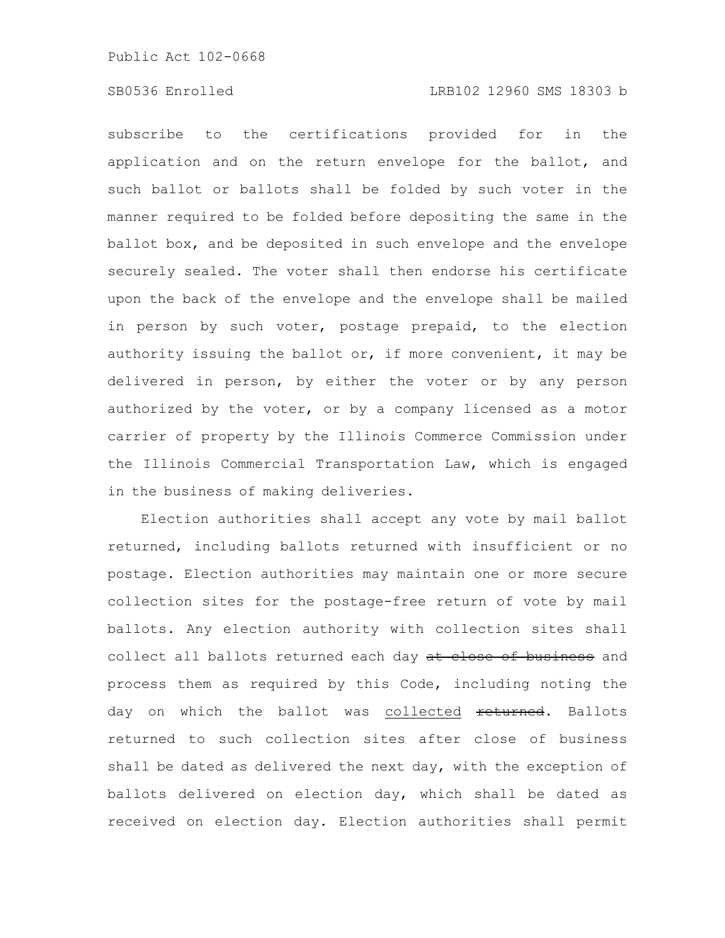# SB0536 Enrolled LRB102 12960 SMS 18303 b

subscribe to the certifications provided for in the application and on the return envelope for the ballot, and such ballot or ballots shall be folded by such voter in the manner required to be folded before depositing the same in the ballot box, and be deposited in such envelope and the envelope securely sealed. The voter shall then endorse his certificate upon the back of the envelope and the envelope shall be mailed in person by such voter, postage prepaid, to the election authority issuing the ballot or, if more convenient, it may be delivered in person, by either the voter or by any person authorized by the voter, or by a company licensed as a motor carrier of property by the Illinois Commerce Commission under the Illinois Commercial Transportation Law, which is engaged in the business of making deliveries.

Election authorities shall accept any vote by mail ballot returned, including ballots returned with insufficient or no postage. Election authorities may maintain one or more secure collection sites for the postage-free return of vote by mail ballots. Any election authority with collection sites shall collect all ballots returned each day at close of business and process them as required by this Code, including noting the day on which the ballot was collected returned. Ballots returned to such collection sites after close of business shall be dated as delivered the next day, with the exception of ballots delivered on election day, which shall be dated as received on election day. Election authorities shall permit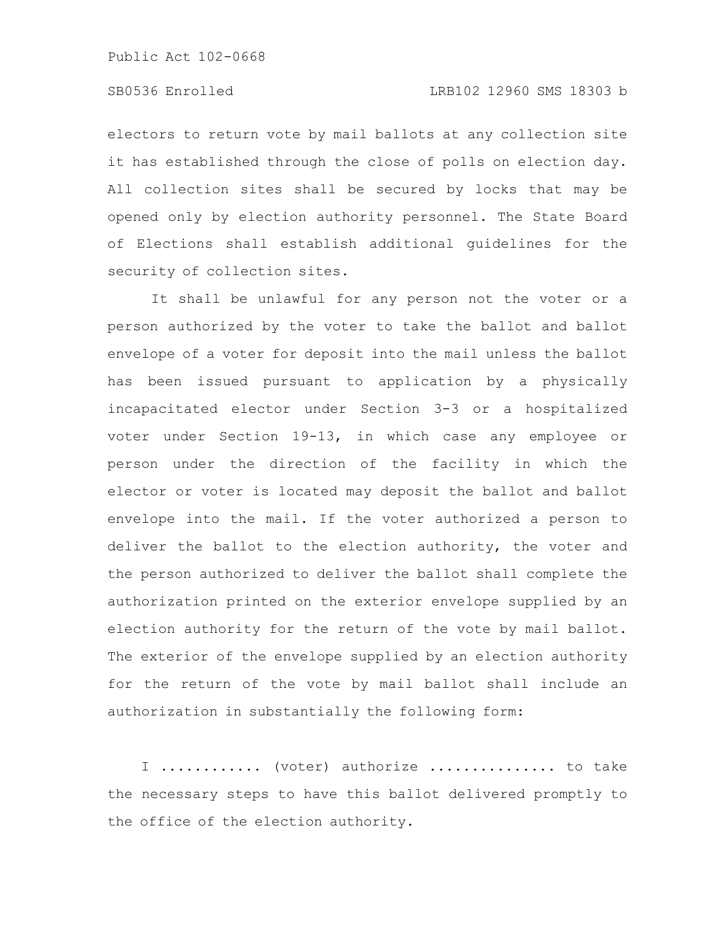# SB0536 Enrolled LRB102 12960 SMS 18303 b

electors to return vote by mail ballots at any collection site it has established through the close of polls on election day. All collection sites shall be secured by locks that may be opened only by election authority personnel. The State Board of Elections shall establish additional guidelines for the security of collection sites.

It shall be unlawful for any person not the voter or a person authorized by the voter to take the ballot and ballot envelope of a voter for deposit into the mail unless the ballot has been issued pursuant to application by a physically incapacitated elector under Section 3-3 or a hospitalized voter under Section 19-13, in which case any employee or person under the direction of the facility in which the elector or voter is located may deposit the ballot and ballot envelope into the mail. If the voter authorized a person to deliver the ballot to the election authority, the voter and the person authorized to deliver the ballot shall complete the authorization printed on the exterior envelope supplied by an election authority for the return of the vote by mail ballot. The exterior of the envelope supplied by an election authority for the return of the vote by mail ballot shall include an authorization in substantially the following form:

I ............ (voter) authorize ............... to take the necessary steps to have this ballot delivered promptly to the office of the election authority.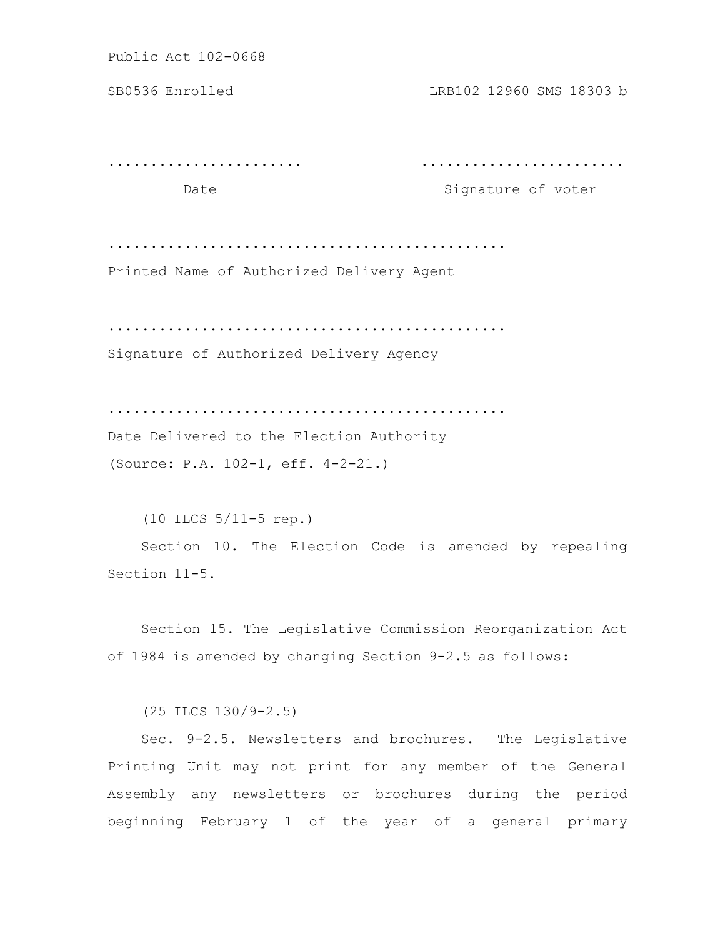SB0536 Enrolled LRB102 12960 SMS 18303 b

....................... ........................

Date Signature of voter

...............................................

Printed Name of Authorized Delivery Agent

...............................................

Signature of Authorized Delivery Agency

...............................................

Date Delivered to the Election Authority (Source: P.A. 102-1, eff. 4-2-21.)

(10 ILCS 5/11-5 rep.) Section 10. The Election Code is amended by repealing Section 11-5.

Section 15. The Legislative Commission Reorganization Act of 1984 is amended by changing Section 9-2.5 as follows:

(25 ILCS 130/9-2.5)

Sec. 9-2.5. Newsletters and brochures. The Legislative Printing Unit may not print for any member of the General Assembly any newsletters or brochures during the period beginning February 1 of the year of a general primary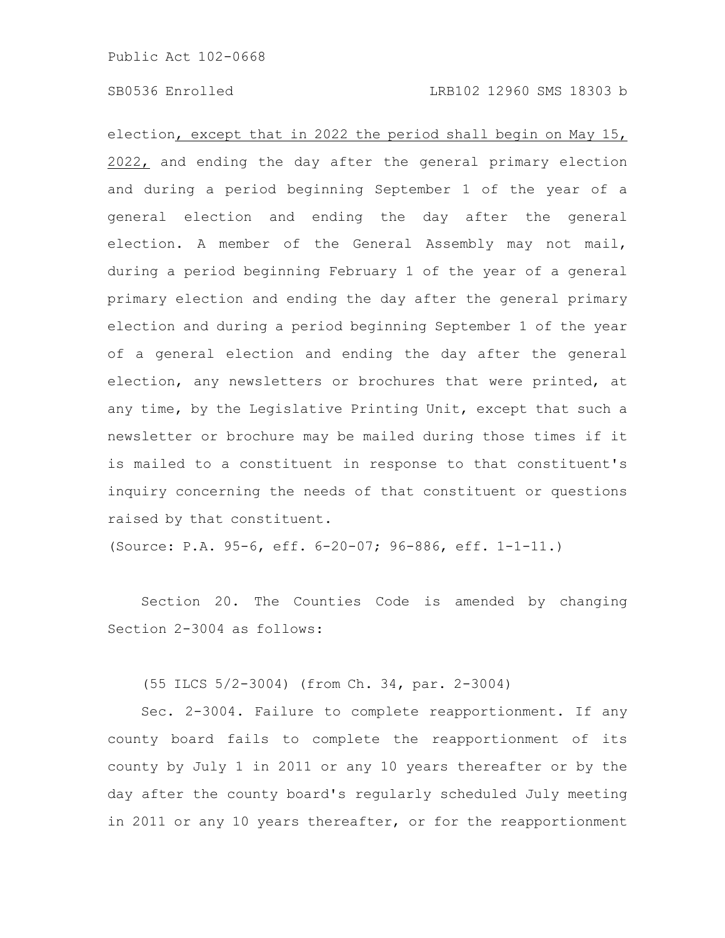### SB0536 Enrolled LRB102 12960 SMS 18303 b

election, except that in 2022 the period shall begin on May 15, 2022, and ending the day after the general primary election and during a period beginning September 1 of the year of a general election and ending the day after the general election. A member of the General Assembly may not mail, during a period beginning February 1 of the year of a general primary election and ending the day after the general primary election and during a period beginning September 1 of the year of a general election and ending the day after the general election, any newsletters or brochures that were printed, at any time, by the Legislative Printing Unit, except that such a newsletter or brochure may be mailed during those times if it is mailed to a constituent in response to that constituent's inquiry concerning the needs of that constituent or questions raised by that constituent.

(Source: P.A. 95-6, eff. 6-20-07; 96-886, eff. 1-1-11.)

Section 20. The Counties Code is amended by changing Section 2-3004 as follows:

(55 ILCS 5/2-3004) (from Ch. 34, par. 2-3004)

Sec. 2-3004. Failure to complete reapportionment. If any county board fails to complete the reapportionment of its county by July 1 in 2011 or any 10 years thereafter or by the day after the county board's regularly scheduled July meeting in 2011 or any 10 years thereafter, or for the reapportionment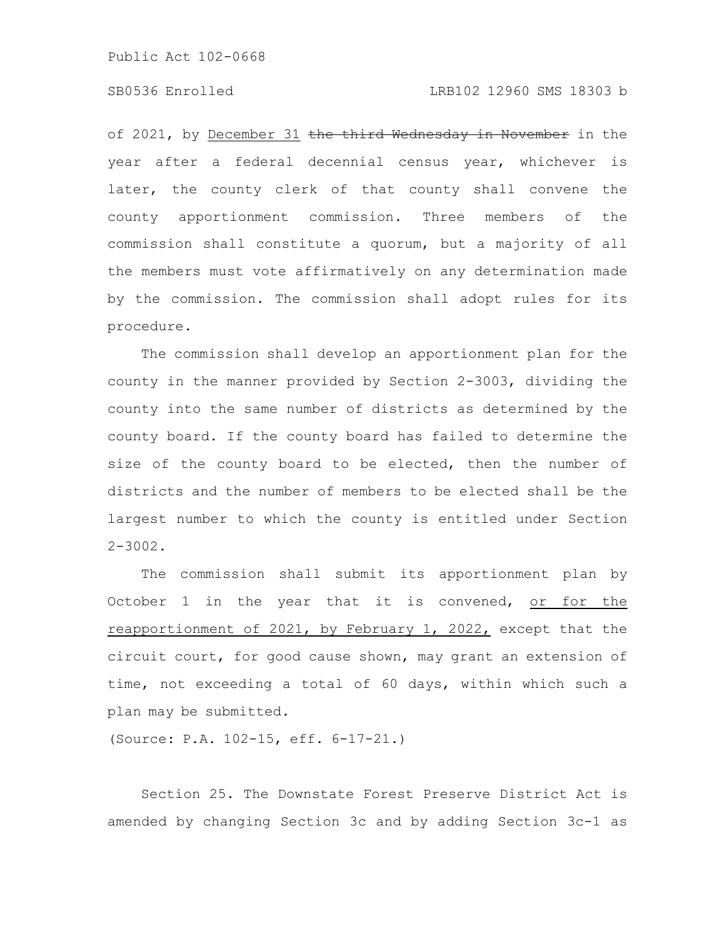# SB0536 Enrolled LRB102 12960 SMS 18303 b

of 2021, by December 31 the third Wednesday in November in the year after a federal decennial census year, whichever is later, the county clerk of that county shall convene the county apportionment commission. Three members of the commission shall constitute a quorum, but a majority of all the members must vote affirmatively on any determination made by the commission. The commission shall adopt rules for its procedure.

The commission shall develop an apportionment plan for the county in the manner provided by Section 2-3003, dividing the county into the same number of districts as determined by the county board. If the county board has failed to determine the size of the county board to be elected, then the number of districts and the number of members to be elected shall be the largest number to which the county is entitled under Section  $2 - 3002$ .

The commission shall submit its apportionment plan by October 1 in the year that it is convened, or for the reapportionment of 2021, by February 1, 2022, except that the circuit court, for good cause shown, may grant an extension of time, not exceeding a total of 60 days, within which such a plan may be submitted.

(Source: P.A. 102-15, eff. 6-17-21.)

Section 25. The Downstate Forest Preserve District Act is amended by changing Section 3c and by adding Section 3c-1 as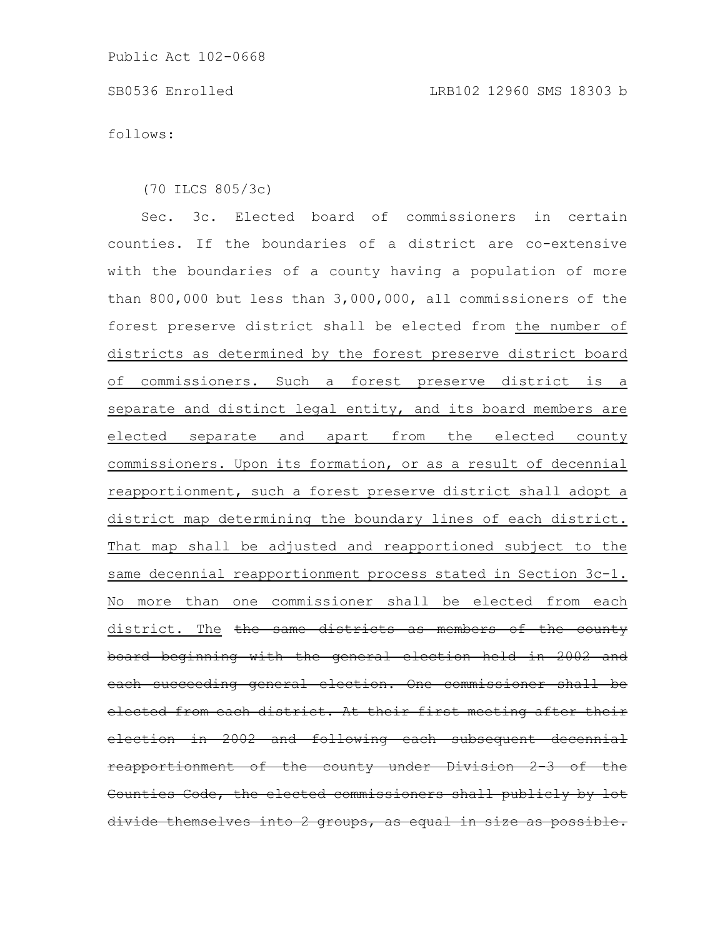follows:

(70 ILCS 805/3c)

Sec. 3c. Elected board of commissioners in certain counties. If the boundaries of a district are co-extensive with the boundaries of a county having a population of more than 800,000 but less than 3,000,000, all commissioners of the forest preserve district shall be elected from the number of districts as determined by the forest preserve district board of commissioners. Such a forest preserve district is a separate and distinct legal entity, and its board members are elected separate and apart from the elected county commissioners. Upon its formation, or as a result of decennial reapportionment, such a forest preserve district shall adopt a district map determining the boundary lines of each district. That map shall be adjusted and reapportioned subject to the same decennial reapportionment process stated in Section 3c-1. No more than one commissioner shall be elected from each district. The the same districts as members of the county board beginning with the general election held in 2002 and each succeeding general election. One commissioner shall be elected from each district. At their first meeting after their election in 2002 and following each subsequent decennial reapportionment of the county under Division Counties Code, the elected commissioners shall publicly by divide themselves into 2 groups, as equal in size as possible.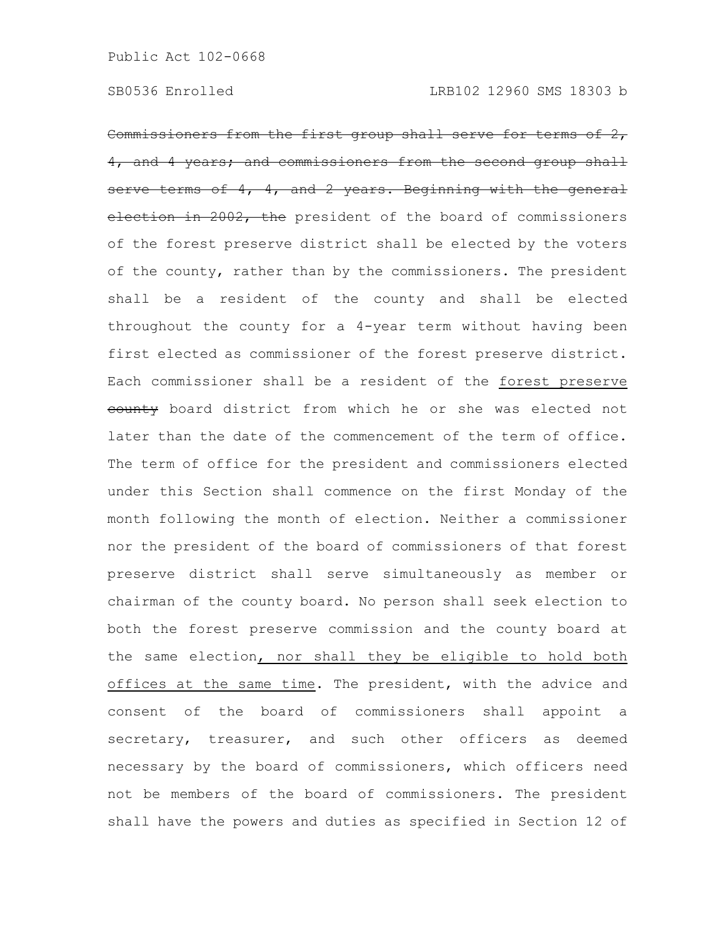Commissioners from the first group shall serve for terms of 2, 4, and 4 years; and commissioners from the second group shall serve terms of 4, 4, and 2 years. Beginning with the general election in 2002, the president of the board of commissioners of the forest preserve district shall be elected by the voters of the county, rather than by the commissioners. The president shall be a resident of the county and shall be elected throughout the county for a 4-year term without having been first elected as commissioner of the forest preserve district. Each commissioner shall be a resident of the forest preserve eounty board district from which he or she was elected not later than the date of the commencement of the term of office. The term of office for the president and commissioners elected under this Section shall commence on the first Monday of the month following the month of election. Neither a commissioner nor the president of the board of commissioners of that forest preserve district shall serve simultaneously as member or chairman of the county board. No person shall seek election to both the forest preserve commission and the county board at the same election, nor shall they be eligible to hold both offices at the same time. The president, with the advice and consent of the board of commissioners shall appoint a secretary, treasurer, and such other officers as deemed necessary by the board of commissioners, which officers need not be members of the board of commissioners. The president shall have the powers and duties as specified in Section 12 of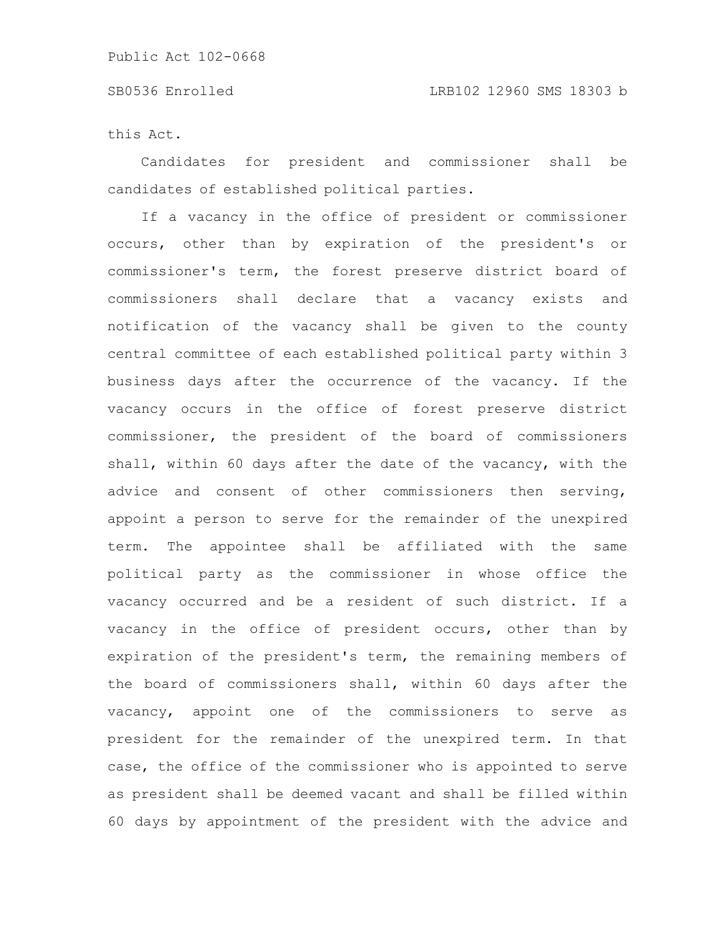this Act.

Candidates for president and commissioner shall be candidates of established political parties.

If a vacancy in the office of president or commissioner occurs, other than by expiration of the president's or commissioner's term, the forest preserve district board of commissioners shall declare that a vacancy exists and notification of the vacancy shall be given to the county central committee of each established political party within 3 business days after the occurrence of the vacancy. If the vacancy occurs in the office of forest preserve district commissioner, the president of the board of commissioners shall, within 60 days after the date of the vacancy, with the advice and consent of other commissioners then serving, appoint a person to serve for the remainder of the unexpired term. The appointee shall be affiliated with the same political party as the commissioner in whose office the vacancy occurred and be a resident of such district. If a vacancy in the office of president occurs, other than by expiration of the president's term, the remaining members of the board of commissioners shall, within 60 days after the vacancy, appoint one of the commissioners to serve as president for the remainder of the unexpired term. In that case, the office of the commissioner who is appointed to serve as president shall be deemed vacant and shall be filled within 60 days by appointment of the president with the advice and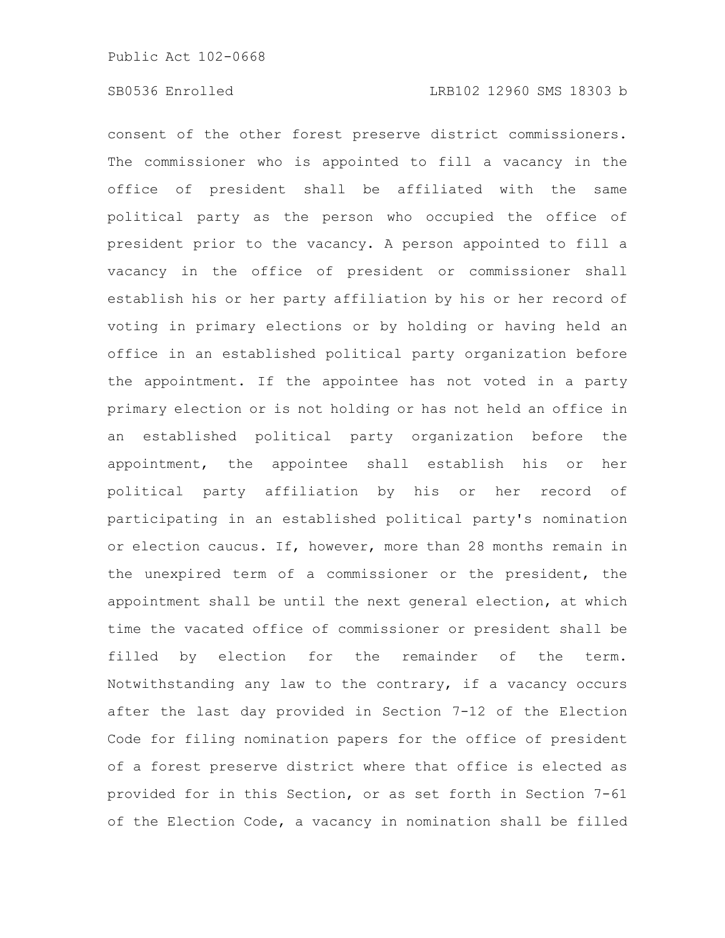consent of the other forest preserve district commissioners. The commissioner who is appointed to fill a vacancy in the office of president shall be affiliated with the same political party as the person who occupied the office of president prior to the vacancy. A person appointed to fill a vacancy in the office of president or commissioner shall establish his or her party affiliation by his or her record of voting in primary elections or by holding or having held an office in an established political party organization before the appointment. If the appointee has not voted in a party primary election or is not holding or has not held an office in an established political party organization before the appointment, the appointee shall establish his or her political party affiliation by his or her record of participating in an established political party's nomination or election caucus. If, however, more than 28 months remain in the unexpired term of a commissioner or the president, the appointment shall be until the next general election, at which time the vacated office of commissioner or president shall be filled by election for the remainder of the term. Notwithstanding any law to the contrary, if a vacancy occurs after the last day provided in Section 7-12 of the Election Code for filing nomination papers for the office of president of a forest preserve district where that office is elected as provided for in this Section, or as set forth in Section 7-61 of the Election Code, a vacancy in nomination shall be filled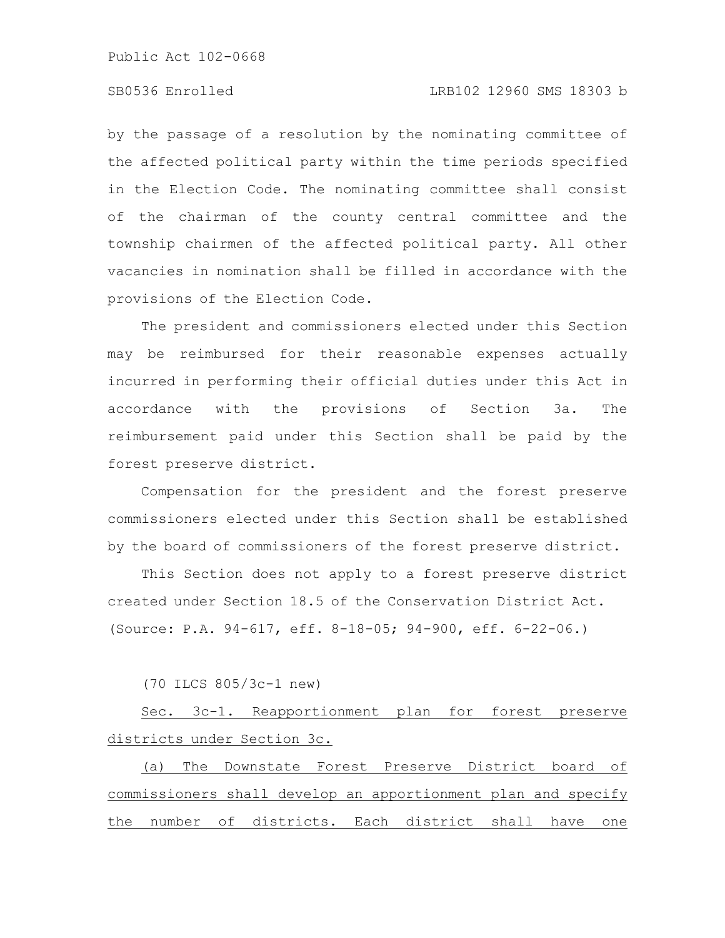# SB0536 Enrolled LRB102 12960 SMS 18303 b

by the passage of a resolution by the nominating committee of the affected political party within the time periods specified in the Election Code. The nominating committee shall consist of the chairman of the county central committee and the township chairmen of the affected political party. All other vacancies in nomination shall be filled in accordance with the provisions of the Election Code.

The president and commissioners elected under this Section may be reimbursed for their reasonable expenses actually incurred in performing their official duties under this Act in accordance with the provisions of Section 3a. The reimbursement paid under this Section shall be paid by the forest preserve district.

Compensation for the president and the forest preserve commissioners elected under this Section shall be established by the board of commissioners of the forest preserve district.

This Section does not apply to a forest preserve district created under Section 18.5 of the Conservation District Act. (Source: P.A. 94-617, eff. 8-18-05; 94-900, eff. 6-22-06.)

(70 ILCS 805/3c-1 new)

Sec. 3c-1. Reapportionment plan for forest preserve districts under Section 3c.

(a) The Downstate Forest Preserve District board of commissioners shall develop an apportionment plan and specify the number of districts. Each district shall have one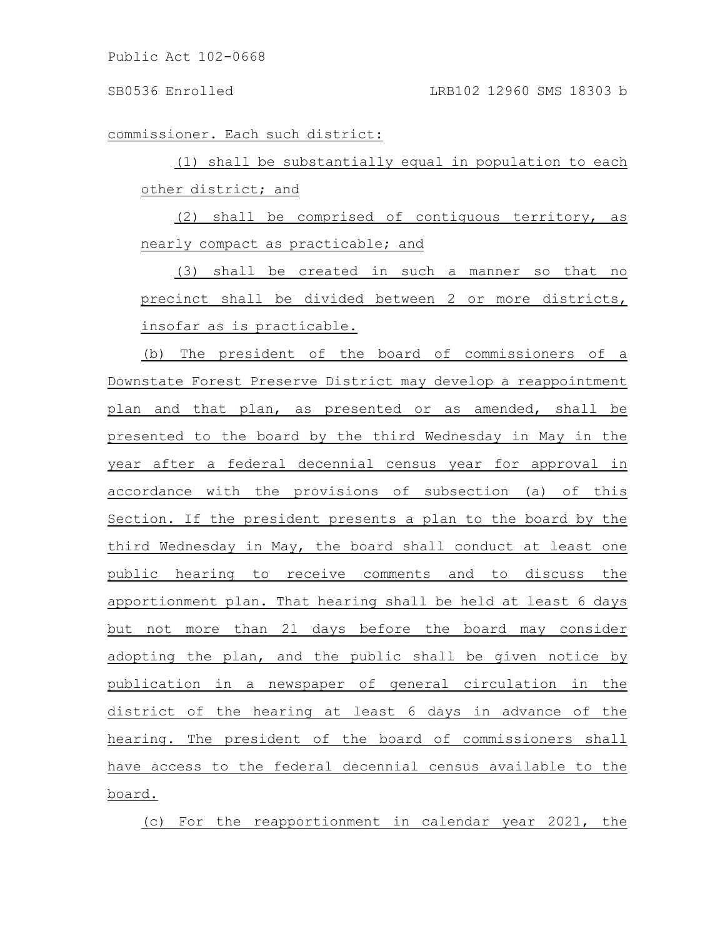commissioner. Each such district:

(1) shall be substantially equal in population to each other district; and

(2) shall be comprised of contiguous territory, as nearly compact as practicable; and

(3) shall be created in such a manner so that no precinct shall be divided between 2 or more districts, insofar as is practicable.

(b) The president of the board of commissioners of a Downstate Forest Preserve District may develop a reappointment plan and that plan, as presented or as amended, shall be presented to the board by the third Wednesday in May in the year after a federal decennial census year for approval in accordance with the provisions of subsection (a) of this Section. If the president presents a plan to the board by the third Wednesday in May, the board shall conduct at least one public hearing to receive comments and to discuss the apportionment plan. That hearing shall be held at least 6 days but not more than 21 days before the board may consider adopting the plan, and the public shall be given notice by publication in a newspaper of general circulation in the district of the hearing at least 6 days in advance of the hearing. The president of the board of commissioners shall have access to the federal decennial census available to the board.

(c) For the reapportionment in calendar year 2021, the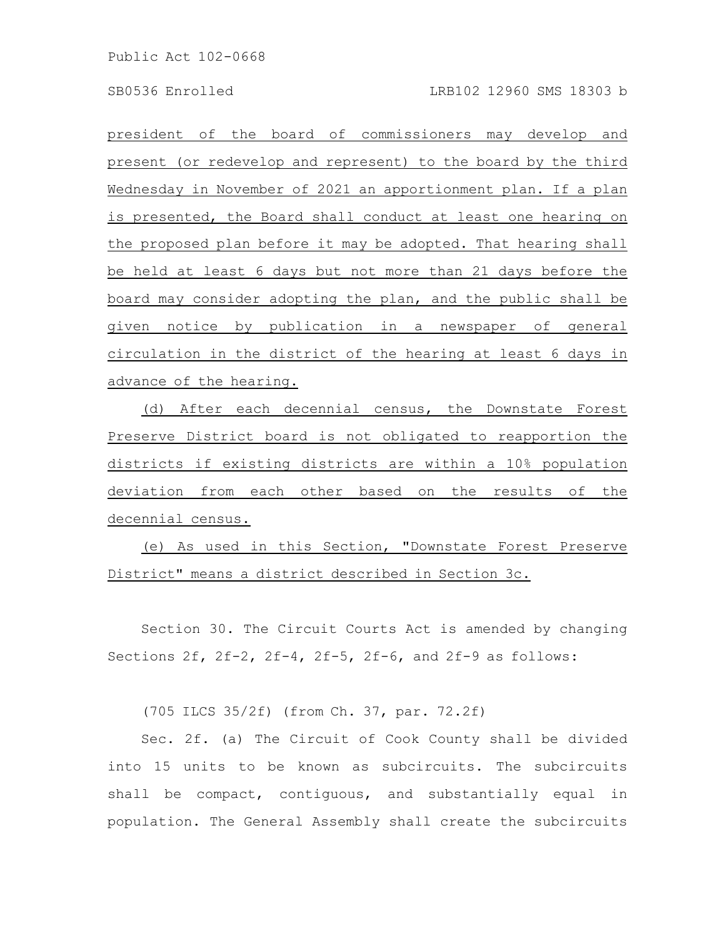president of the board of commissioners may develop and present (or redevelop and represent) to the board by the third Wednesday in November of 2021 an apportionment plan. If a plan is presented, the Board shall conduct at least one hearing on the proposed plan before it may be adopted. That hearing shall be held at least 6 days but not more than 21 days before the board may consider adopting the plan, and the public shall be given notice by publication in a newspaper of general circulation in the district of the hearing at least 6 days in advance of the hearing.

(d) After each decennial census, the Downstate Forest Preserve District board is not obligated to reapportion the districts if existing districts are within a 10% population deviation from each other based on the results of the decennial census.

(e) As used in this Section, "Downstate Forest Preserve District" means a district described in Section 3c.

Section 30. The Circuit Courts Act is amended by changing Sections 2f, 2f-2, 2f-4, 2f-5, 2f-6, and 2f-9 as follows:

(705 ILCS 35/2f) (from Ch. 37, par. 72.2f)

Sec. 2f. (a) The Circuit of Cook County shall be divided into 15 units to be known as subcircuits. The subcircuits shall be compact, contiguous, and substantially equal in population. The General Assembly shall create the subcircuits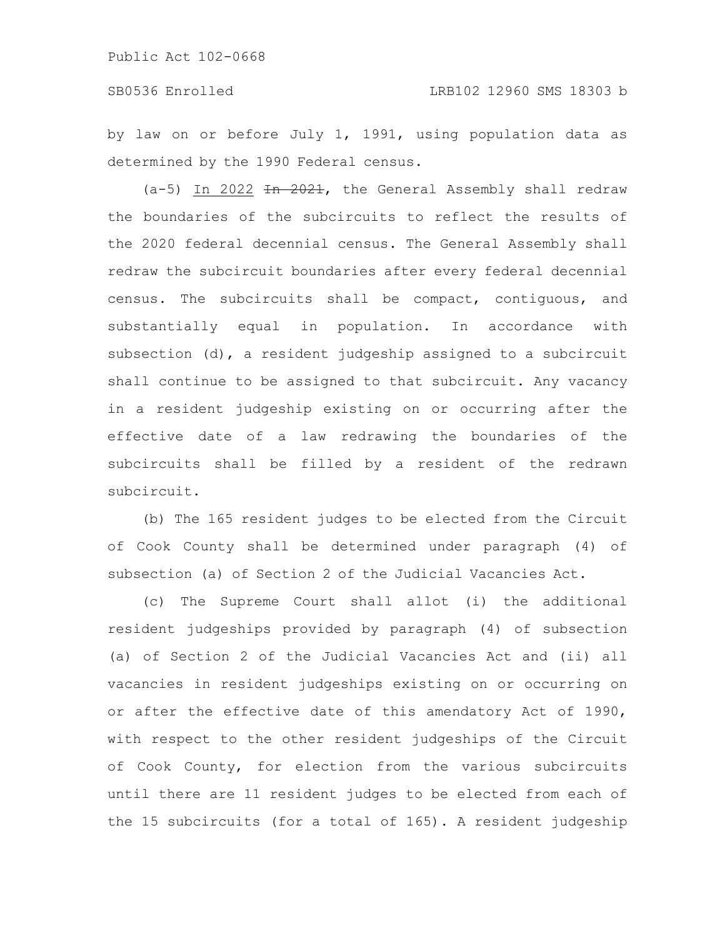by law on or before July 1, 1991, using population data as determined by the 1990 Federal census.

(a-5) In 2022 In 2021, the General Assembly shall redraw the boundaries of the subcircuits to reflect the results of the 2020 federal decennial census. The General Assembly shall redraw the subcircuit boundaries after every federal decennial census. The subcircuits shall be compact, contiguous, and substantially equal in population. In accordance with subsection (d), a resident judgeship assigned to a subcircuit shall continue to be assigned to that subcircuit. Any vacancy in a resident judgeship existing on or occurring after the effective date of a law redrawing the boundaries of the subcircuits shall be filled by a resident of the redrawn subcircuit.

(b) The 165 resident judges to be elected from the Circuit of Cook County shall be determined under paragraph (4) of subsection (a) of Section 2 of the Judicial Vacancies Act.

(c) The Supreme Court shall allot (i) the additional resident judgeships provided by paragraph (4) of subsection (a) of Section 2 of the Judicial Vacancies Act and (ii) all vacancies in resident judgeships existing on or occurring on or after the effective date of this amendatory Act of 1990, with respect to the other resident judgeships of the Circuit of Cook County, for election from the various subcircuits until there are 11 resident judges to be elected from each of the 15 subcircuits (for a total of 165). A resident judgeship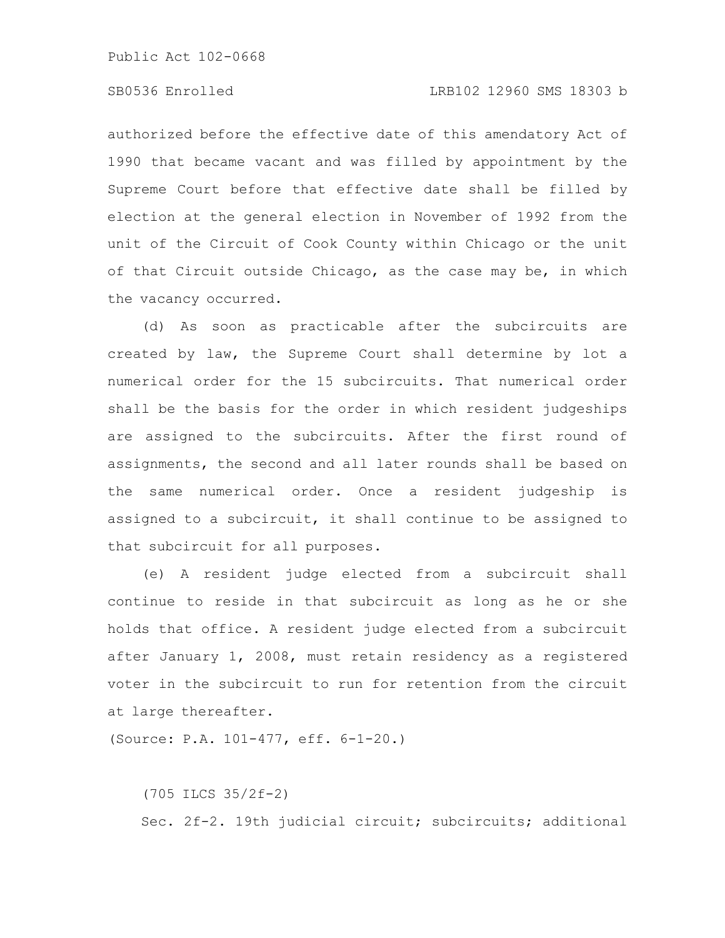authorized before the effective date of this amendatory Act of 1990 that became vacant and was filled by appointment by the Supreme Court before that effective date shall be filled by election at the general election in November of 1992 from the unit of the Circuit of Cook County within Chicago or the unit of that Circuit outside Chicago, as the case may be, in which the vacancy occurred.

(d) As soon as practicable after the subcircuits are created by law, the Supreme Court shall determine by lot a numerical order for the 15 subcircuits. That numerical order shall be the basis for the order in which resident judgeships are assigned to the subcircuits. After the first round of assignments, the second and all later rounds shall be based on the same numerical order. Once a resident judgeship is assigned to a subcircuit, it shall continue to be assigned to that subcircuit for all purposes.

(e) A resident judge elected from a subcircuit shall continue to reside in that subcircuit as long as he or she holds that office. A resident judge elected from a subcircuit after January 1, 2008, must retain residency as a registered voter in the subcircuit to run for retention from the circuit at large thereafter.

(Source: P.A. 101-477, eff. 6-1-20.)

(705 ILCS 35/2f-2) Sec. 2f-2. 19th judicial circuit; subcircuits; additional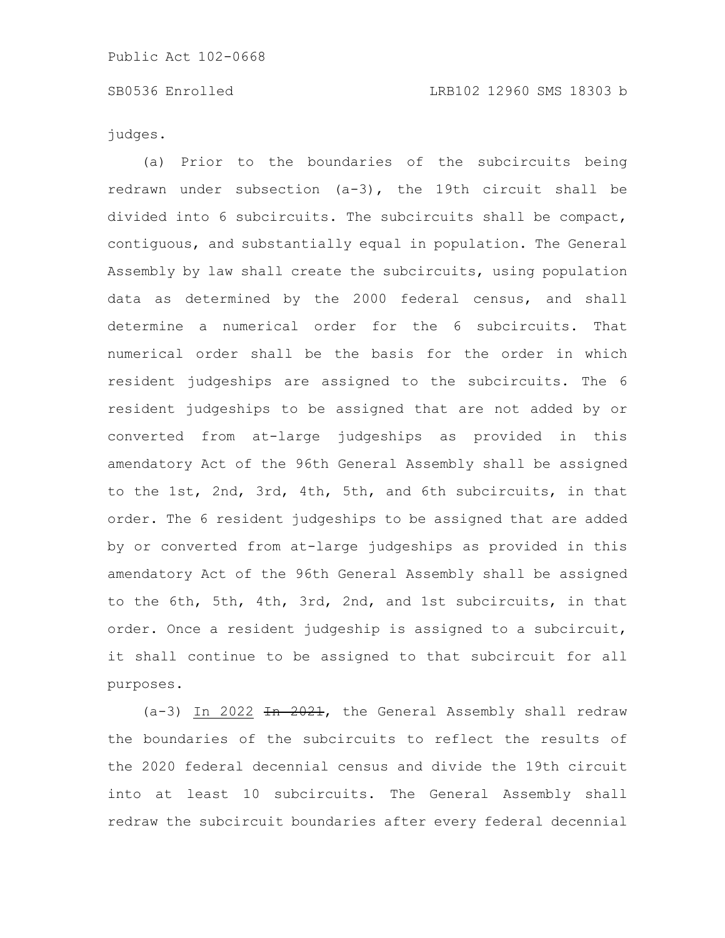judges.

(a) Prior to the boundaries of the subcircuits being redrawn under subsection (a-3), the 19th circuit shall be divided into 6 subcircuits. The subcircuits shall be compact, contiguous, and substantially equal in population. The General Assembly by law shall create the subcircuits, using population data as determined by the 2000 federal census, and shall determine a numerical order for the 6 subcircuits. That numerical order shall be the basis for the order in which resident judgeships are assigned to the subcircuits. The 6 resident judgeships to be assigned that are not added by or converted from at-large judgeships as provided in this amendatory Act of the 96th General Assembly shall be assigned to the 1st, 2nd, 3rd, 4th, 5th, and 6th subcircuits, in that order. The 6 resident judgeships to be assigned that are added by or converted from at-large judgeships as provided in this amendatory Act of the 96th General Assembly shall be assigned to the 6th, 5th, 4th, 3rd, 2nd, and 1st subcircuits, in that order. Once a resident judgeship is assigned to a subcircuit, it shall continue to be assigned to that subcircuit for all purposes.

 $(a-3)$  In 2022 <del>In 2021</del>, the General Assembly shall redraw the boundaries of the subcircuits to reflect the results of the 2020 federal decennial census and divide the 19th circuit into at least 10 subcircuits. The General Assembly shall redraw the subcircuit boundaries after every federal decennial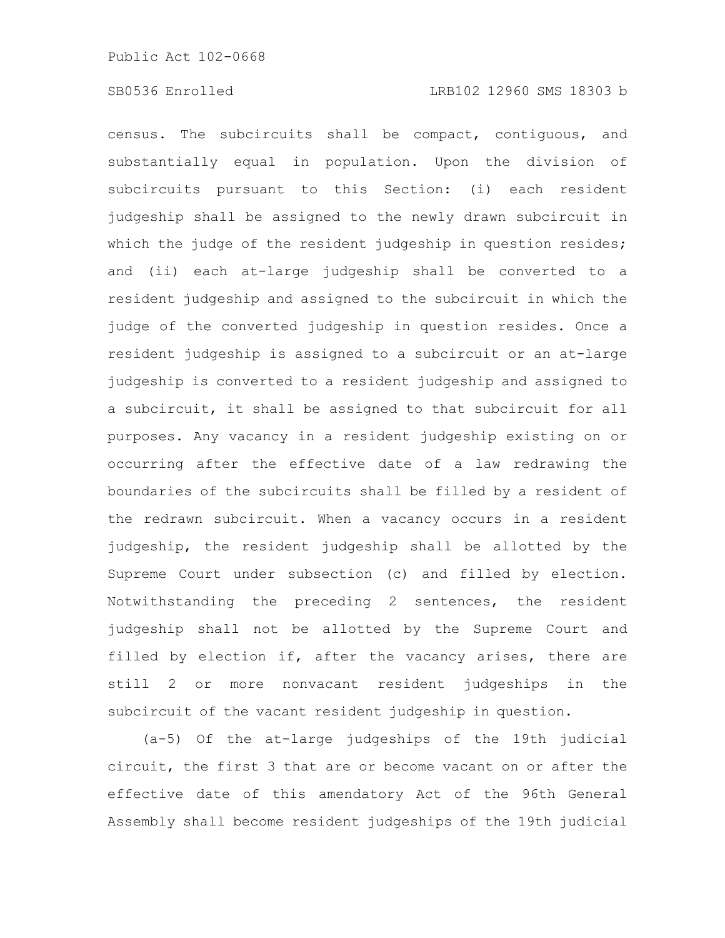census. The subcircuits shall be compact, contiguous, and substantially equal in population. Upon the division of subcircuits pursuant to this Section: (i) each resident judgeship shall be assigned to the newly drawn subcircuit in which the judge of the resident judgeship in question resides; and (ii) each at-large judgeship shall be converted to a resident judgeship and assigned to the subcircuit in which the judge of the converted judgeship in question resides. Once a resident judgeship is assigned to a subcircuit or an at-large judgeship is converted to a resident judgeship and assigned to a subcircuit, it shall be assigned to that subcircuit for all purposes. Any vacancy in a resident judgeship existing on or occurring after the effective date of a law redrawing the boundaries of the subcircuits shall be filled by a resident of the redrawn subcircuit. When a vacancy occurs in a resident judgeship, the resident judgeship shall be allotted by the Supreme Court under subsection (c) and filled by election. Notwithstanding the preceding 2 sentences, the resident judgeship shall not be allotted by the Supreme Court and filled by election if, after the vacancy arises, there are still 2 or more nonvacant resident judgeships in the subcircuit of the vacant resident judgeship in question.

(a-5) Of the at-large judgeships of the 19th judicial circuit, the first 3 that are or become vacant on or after the effective date of this amendatory Act of the 96th General Assembly shall become resident judgeships of the 19th judicial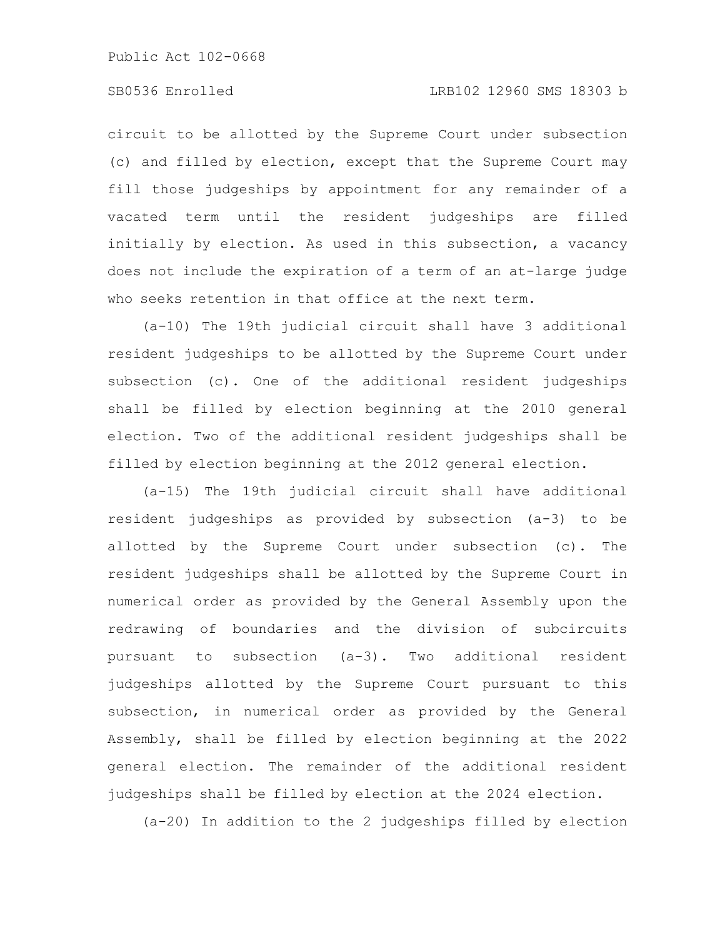circuit to be allotted by the Supreme Court under subsection (c) and filled by election, except that the Supreme Court may fill those judgeships by appointment for any remainder of a vacated term until the resident judgeships are filled initially by election. As used in this subsection, a vacancy does not include the expiration of a term of an at-large judge who seeks retention in that office at the next term.

(a-10) The 19th judicial circuit shall have 3 additional resident judgeships to be allotted by the Supreme Court under subsection (c). One of the additional resident judgeships shall be filled by election beginning at the 2010 general election. Two of the additional resident judgeships shall be filled by election beginning at the 2012 general election.

(a-15) The 19th judicial circuit shall have additional resident judgeships as provided by subsection (a-3) to be allotted by the Supreme Court under subsection (c). The resident judgeships shall be allotted by the Supreme Court in numerical order as provided by the General Assembly upon the redrawing of boundaries and the division of subcircuits pursuant to subsection (a-3). Two additional resident judgeships allotted by the Supreme Court pursuant to this subsection, in numerical order as provided by the General Assembly, shall be filled by election beginning at the 2022 general election. The remainder of the additional resident judgeships shall be filled by election at the 2024 election.

(a-20) In addition to the 2 judgeships filled by election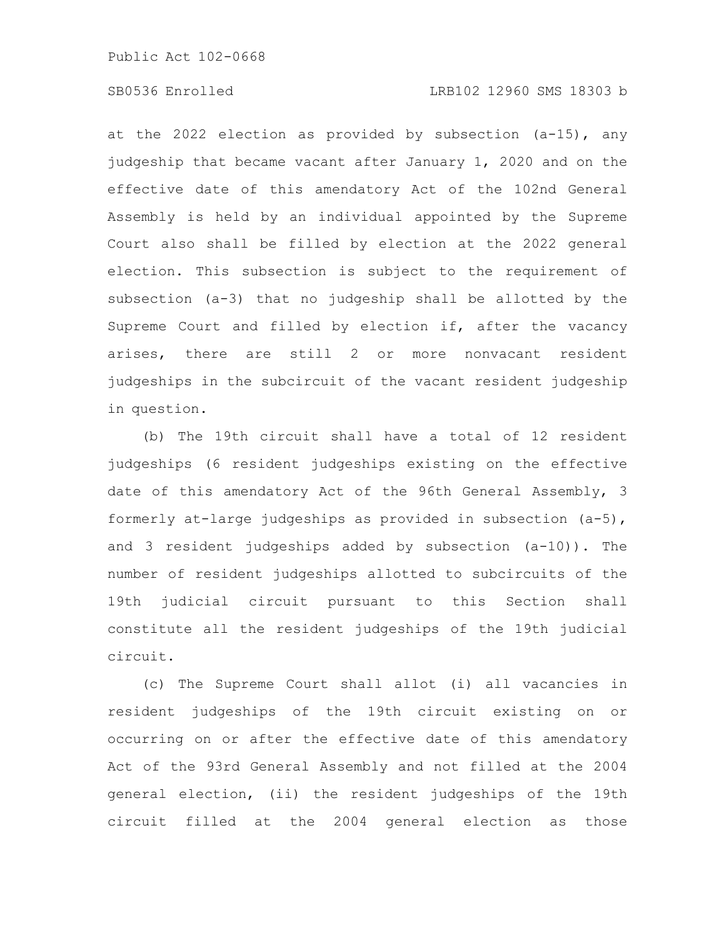# SB0536 Enrolled LRB102 12960 SMS 18303 b

at the 2022 election as provided by subsection (a-15), any judgeship that became vacant after January 1, 2020 and on the effective date of this amendatory Act of the 102nd General Assembly is held by an individual appointed by the Supreme Court also shall be filled by election at the 2022 general election. This subsection is subject to the requirement of subsection (a-3) that no judgeship shall be allotted by the Supreme Court and filled by election if, after the vacancy arises, there are still 2 or more nonvacant resident judgeships in the subcircuit of the vacant resident judgeship in question.

(b) The 19th circuit shall have a total of 12 resident judgeships (6 resident judgeships existing on the effective date of this amendatory Act of the 96th General Assembly, 3 formerly at-large judgeships as provided in subsection (a-5), and 3 resident judgeships added by subsection (a-10)). The number of resident judgeships allotted to subcircuits of the 19th judicial circuit pursuant to this Section shall constitute all the resident judgeships of the 19th judicial circuit.

(c) The Supreme Court shall allot (i) all vacancies in resident judgeships of the 19th circuit existing on or occurring on or after the effective date of this amendatory Act of the 93rd General Assembly and not filled at the 2004 general election, (ii) the resident judgeships of the 19th circuit filled at the 2004 general election as those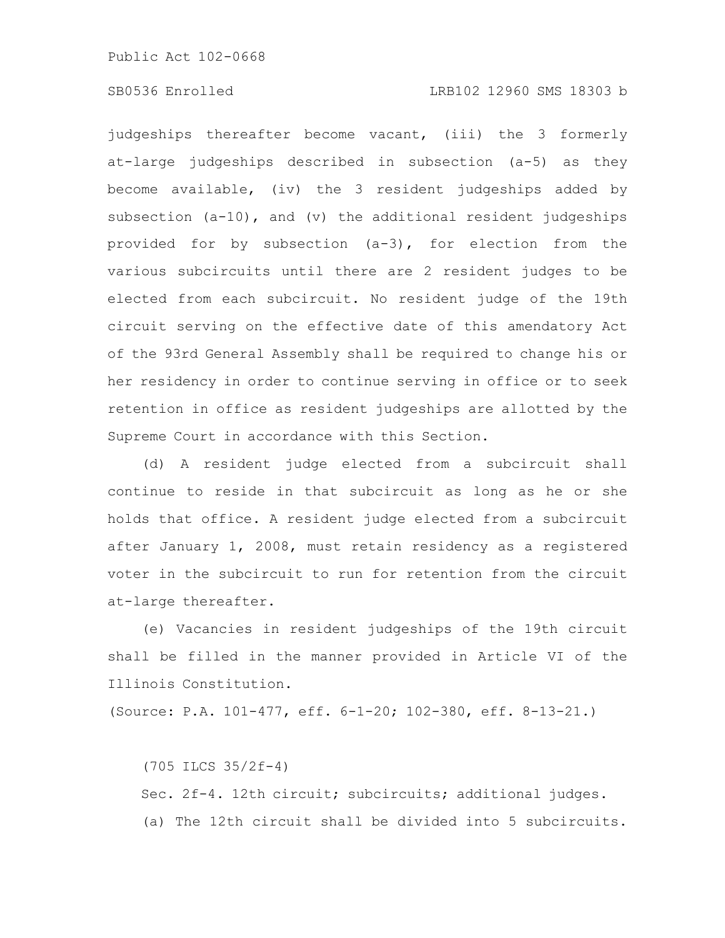judgeships thereafter become vacant, (iii) the 3 formerly at-large judgeships described in subsection (a-5) as they become available, (iv) the 3 resident judgeships added by subsection (a-10), and (v) the additional resident judgeships provided for by subsection (a-3), for election from the various subcircuits until there are 2 resident judges to be elected from each subcircuit. No resident judge of the 19th circuit serving on the effective date of this amendatory Act of the 93rd General Assembly shall be required to change his or her residency in order to continue serving in office or to seek retention in office as resident judgeships are allotted by the Supreme Court in accordance with this Section.

(d) A resident judge elected from a subcircuit shall continue to reside in that subcircuit as long as he or she holds that office. A resident judge elected from a subcircuit after January 1, 2008, must retain residency as a registered voter in the subcircuit to run for retention from the circuit at-large thereafter.

(e) Vacancies in resident judgeships of the 19th circuit shall be filled in the manner provided in Article VI of the Illinois Constitution.

(Source: P.A. 101-477, eff. 6-1-20; 102-380, eff. 8-13-21.)

(705 ILCS 35/2f-4) Sec. 2f-4. 12th circuit; subcircuits; additional judges. (a) The 12th circuit shall be divided into 5 subcircuits.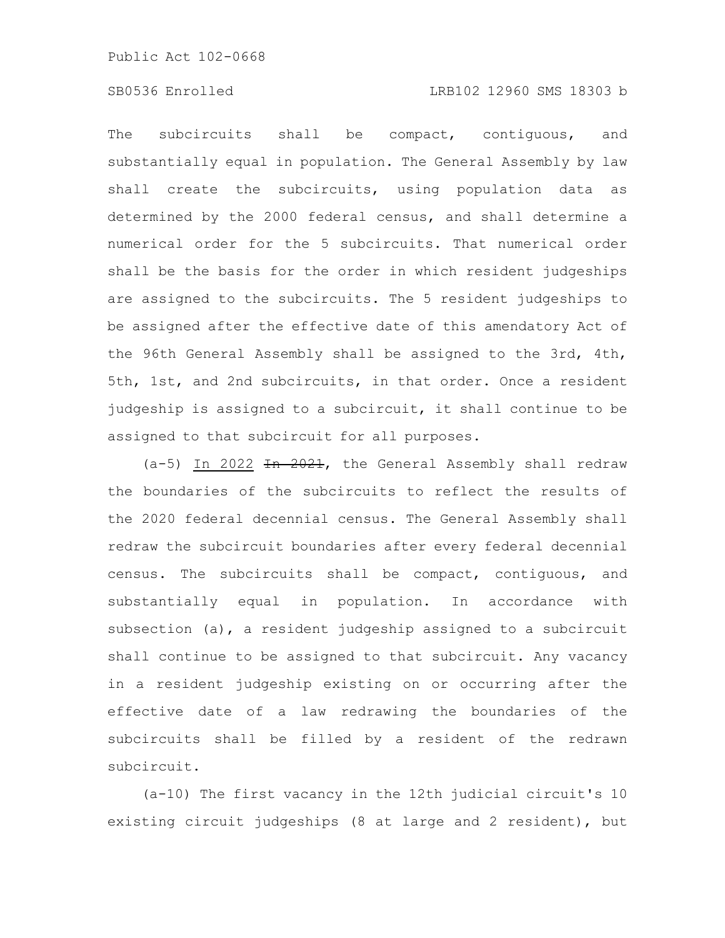# SB0536 Enrolled LRB102 12960 SMS 18303 b

The subcircuits shall be compact, contiguous, and substantially equal in population. The General Assembly by law shall create the subcircuits, using population data as determined by the 2000 federal census, and shall determine a numerical order for the 5 subcircuits. That numerical order shall be the basis for the order in which resident judgeships are assigned to the subcircuits. The 5 resident judgeships to be assigned after the effective date of this amendatory Act of the 96th General Assembly shall be assigned to the 3rd, 4th, 5th, 1st, and 2nd subcircuits, in that order. Once a resident judgeship is assigned to a subcircuit, it shall continue to be assigned to that subcircuit for all purposes.

(a-5) In 2022 In 2021, the General Assembly shall redraw the boundaries of the subcircuits to reflect the results of the 2020 federal decennial census. The General Assembly shall redraw the subcircuit boundaries after every federal decennial census. The subcircuits shall be compact, contiguous, and substantially equal in population. In accordance with subsection (a), a resident judgeship assigned to a subcircuit shall continue to be assigned to that subcircuit. Any vacancy in a resident judgeship existing on or occurring after the effective date of a law redrawing the boundaries of the subcircuits shall be filled by a resident of the redrawn subcircuit.

(a-10) The first vacancy in the 12th judicial circuit's 10 existing circuit judgeships (8 at large and 2 resident), but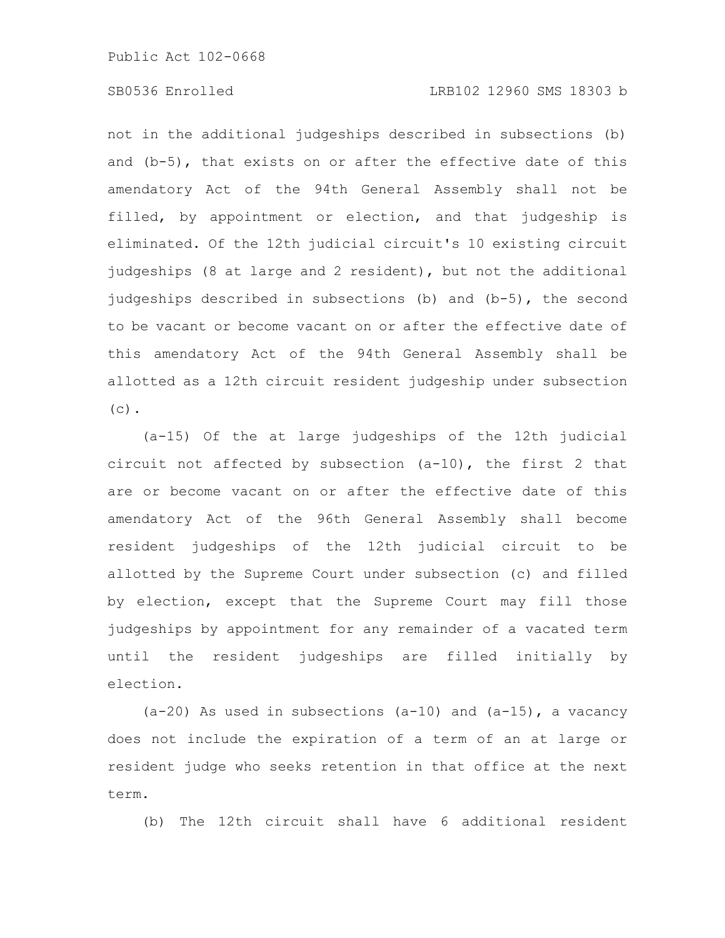# SB0536 Enrolled LRB102 12960 SMS 18303 b

not in the additional judgeships described in subsections (b) and (b-5), that exists on or after the effective date of this amendatory Act of the 94th General Assembly shall not be filled, by appointment or election, and that judgeship is eliminated. Of the 12th judicial circuit's 10 existing circuit judgeships (8 at large and 2 resident), but not the additional judgeships described in subsections (b) and (b-5), the second to be vacant or become vacant on or after the effective date of this amendatory Act of the 94th General Assembly shall be allotted as a 12th circuit resident judgeship under subsection  $(c)$ .

(a-15) Of the at large judgeships of the 12th judicial circuit not affected by subsection (a-10), the first 2 that are or become vacant on or after the effective date of this amendatory Act of the 96th General Assembly shall become resident judgeships of the 12th judicial circuit to be allotted by the Supreme Court under subsection (c) and filled by election, except that the Supreme Court may fill those judgeships by appointment for any remainder of a vacated term until the resident judgeships are filled initially by election.

(a-20) As used in subsections (a-10) and (a-15), a vacancy does not include the expiration of a term of an at large or resident judge who seeks retention in that office at the next term.

(b) The 12th circuit shall have 6 additional resident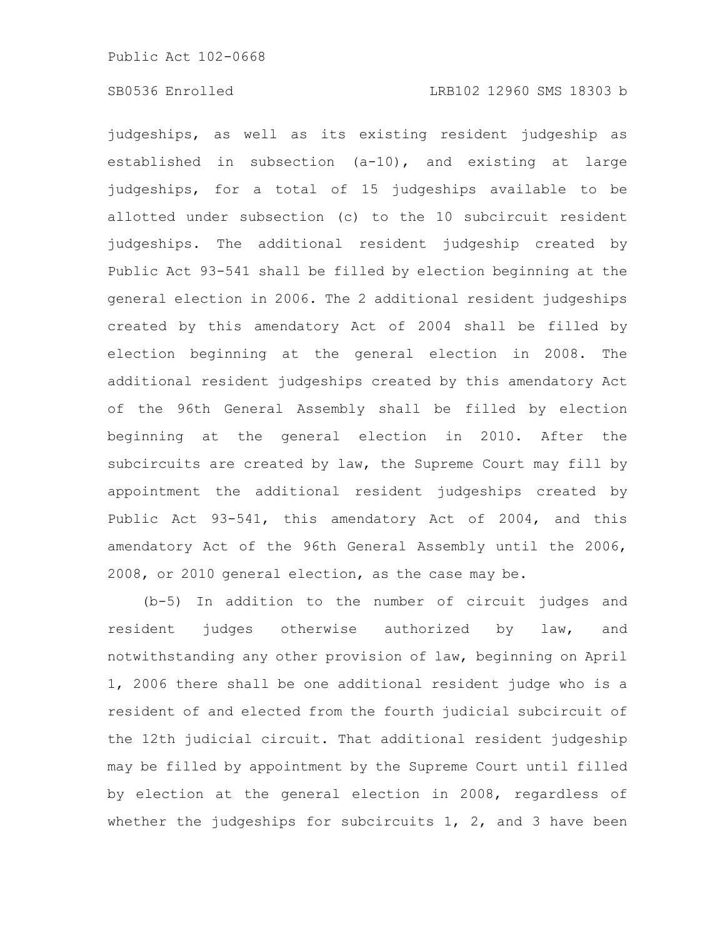judgeships, as well as its existing resident judgeship as established in subsection (a-10), and existing at large judgeships, for a total of 15 judgeships available to be allotted under subsection (c) to the 10 subcircuit resident judgeships. The additional resident judgeship created by Public Act 93-541 shall be filled by election beginning at the general election in 2006. The 2 additional resident judgeships created by this amendatory Act of 2004 shall be filled by election beginning at the general election in 2008. The additional resident judgeships created by this amendatory Act of the 96th General Assembly shall be filled by election beginning at the general election in 2010. After the subcircuits are created by law, the Supreme Court may fill by appointment the additional resident judgeships created by Public Act 93-541, this amendatory Act of 2004, and this amendatory Act of the 96th General Assembly until the 2006, 2008, or 2010 general election, as the case may be.

(b-5) In addition to the number of circuit judges and resident judges otherwise authorized by law, and notwithstanding any other provision of law, beginning on April 1, 2006 there shall be one additional resident judge who is a resident of and elected from the fourth judicial subcircuit of the 12th judicial circuit. That additional resident judgeship may be filled by appointment by the Supreme Court until filled by election at the general election in 2008, regardless of whether the judgeships for subcircuits 1, 2, and 3 have been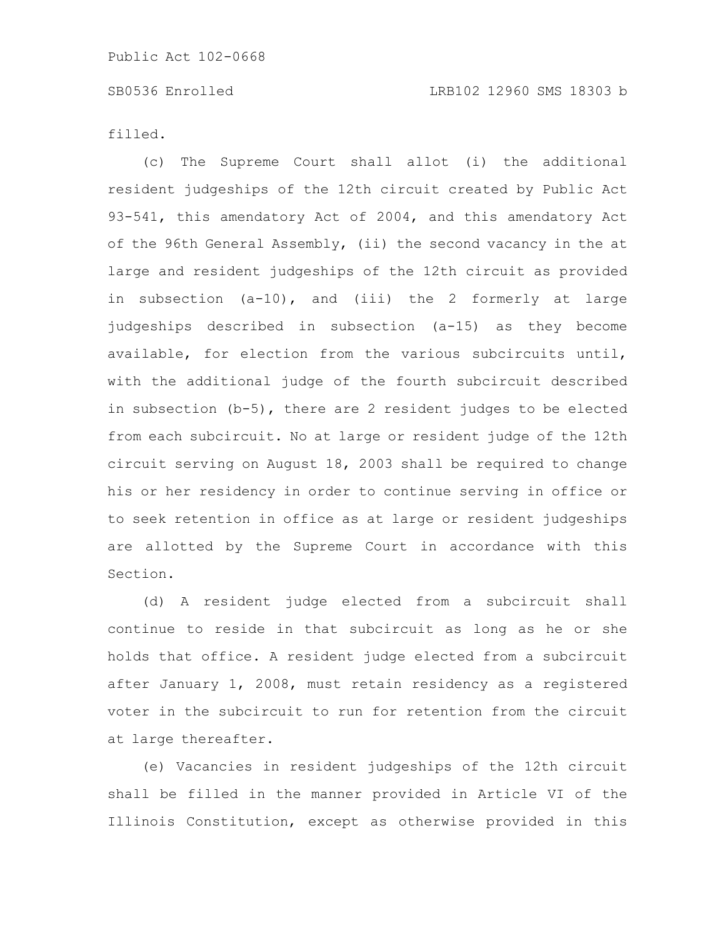filled.

(c) The Supreme Court shall allot (i) the additional resident judgeships of the 12th circuit created by Public Act 93-541, this amendatory Act of 2004, and this amendatory Act of the 96th General Assembly, (ii) the second vacancy in the at large and resident judgeships of the 12th circuit as provided in subsection (a-10), and (iii) the 2 formerly at large judgeships described in subsection (a-15) as they become available, for election from the various subcircuits until, with the additional judge of the fourth subcircuit described in subsection (b-5), there are 2 resident judges to be elected from each subcircuit. No at large or resident judge of the 12th circuit serving on August 18, 2003 shall be required to change his or her residency in order to continue serving in office or to seek retention in office as at large or resident judgeships are allotted by the Supreme Court in accordance with this Section.

(d) A resident judge elected from a subcircuit shall continue to reside in that subcircuit as long as he or she holds that office. A resident judge elected from a subcircuit after January 1, 2008, must retain residency as a registered voter in the subcircuit to run for retention from the circuit at large thereafter.

(e) Vacancies in resident judgeships of the 12th circuit shall be filled in the manner provided in Article VI of the Illinois Constitution, except as otherwise provided in this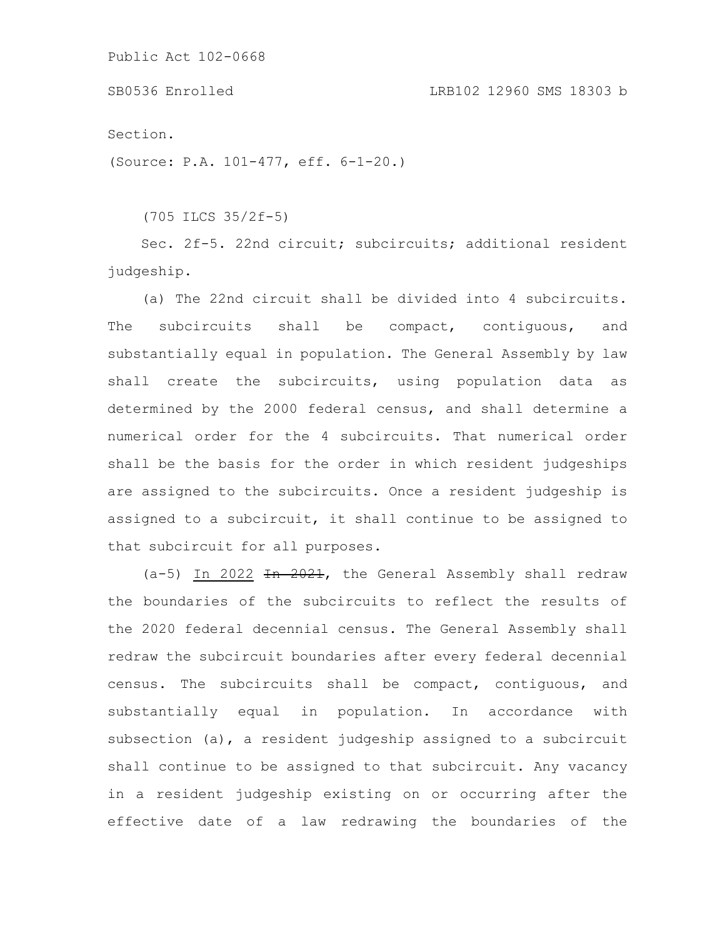Section.

(Source: P.A. 101-477, eff. 6-1-20.)

(705 ILCS 35/2f-5)

Sec. 2f-5. 22nd circuit; subcircuits; additional resident judgeship.

(a) The 22nd circuit shall be divided into 4 subcircuits. The subcircuits shall be compact, contiguous, and substantially equal in population. The General Assembly by law shall create the subcircuits, using population data as determined by the 2000 federal census, and shall determine a numerical order for the 4 subcircuits. That numerical order shall be the basis for the order in which resident judgeships are assigned to the subcircuits. Once a resident judgeship is assigned to a subcircuit, it shall continue to be assigned to that subcircuit for all purposes.

 $(a-5)$  In 2022  $\overline{1}$   $\overline{1}$   $\overline{2021}$ , the General Assembly shall redraw the boundaries of the subcircuits to reflect the results of the 2020 federal decennial census. The General Assembly shall redraw the subcircuit boundaries after every federal decennial census. The subcircuits shall be compact, contiguous, and substantially equal in population. In accordance with subsection (a), a resident judgeship assigned to a subcircuit shall continue to be assigned to that subcircuit. Any vacancy in a resident judgeship existing on or occurring after the effective date of a law redrawing the boundaries of the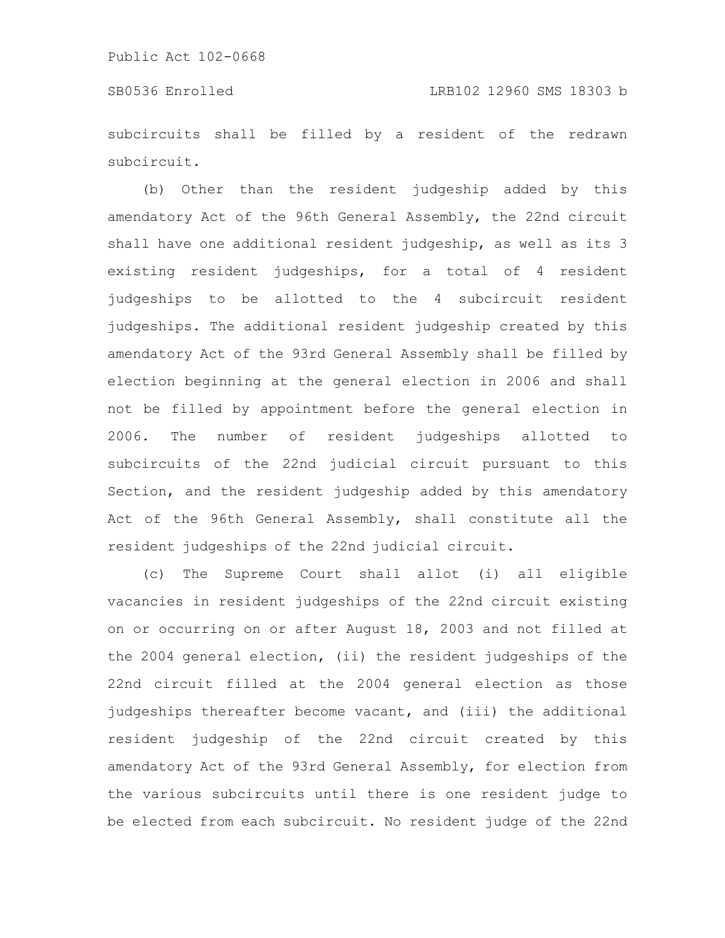subcircuits shall be filled by a resident of the redrawn subcircuit.

(b) Other than the resident judgeship added by this amendatory Act of the 96th General Assembly, the 22nd circuit shall have one additional resident judgeship, as well as its 3 existing resident judgeships, for a total of 4 resident judgeships to be allotted to the 4 subcircuit resident judgeships. The additional resident judgeship created by this amendatory Act of the 93rd General Assembly shall be filled by election beginning at the general election in 2006 and shall not be filled by appointment before the general election in 2006. The number of resident judgeships allotted to subcircuits of the 22nd judicial circuit pursuant to this Section, and the resident judgeship added by this amendatory Act of the 96th General Assembly, shall constitute all the resident judgeships of the 22nd judicial circuit.

(c) The Supreme Court shall allot (i) all eligible vacancies in resident judgeships of the 22nd circuit existing on or occurring on or after August 18, 2003 and not filled at the 2004 general election, (ii) the resident judgeships of the 22nd circuit filled at the 2004 general election as those judgeships thereafter become vacant, and (iii) the additional resident judgeship of the 22nd circuit created by this amendatory Act of the 93rd General Assembly, for election from the various subcircuits until there is one resident judge to be elected from each subcircuit. No resident judge of the 22nd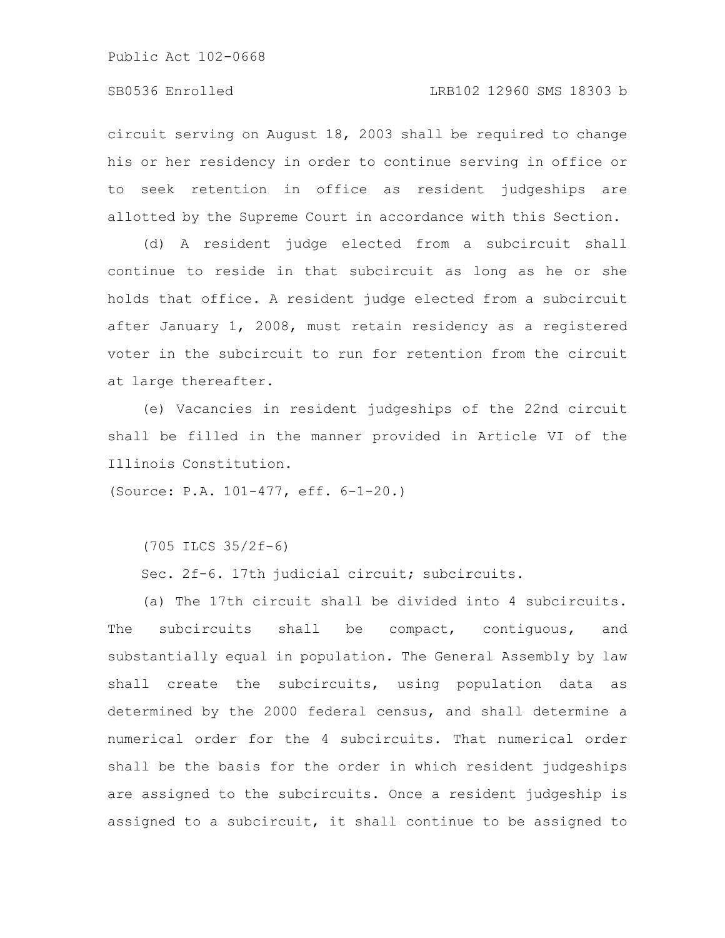circuit serving on August 18, 2003 shall be required to change his or her residency in order to continue serving in office or to seek retention in office as resident judgeships are allotted by the Supreme Court in accordance with this Section.

(d) A resident judge elected from a subcircuit shall continue to reside in that subcircuit as long as he or she holds that office. A resident judge elected from a subcircuit after January 1, 2008, must retain residency as a registered voter in the subcircuit to run for retention from the circuit at large thereafter.

(e) Vacancies in resident judgeships of the 22nd circuit shall be filled in the manner provided in Article VI of the Illinois Constitution.

(Source: P.A. 101-477, eff. 6-1-20.)

(705 ILCS 35/2f-6)

Sec. 2f-6. 17th judicial circuit; subcircuits.

(a) The 17th circuit shall be divided into 4 subcircuits. The subcircuits shall be compact, contiguous, and substantially equal in population. The General Assembly by law shall create the subcircuits, using population data as determined by the 2000 federal census, and shall determine a numerical order for the 4 subcircuits. That numerical order shall be the basis for the order in which resident judgeships are assigned to the subcircuits. Once a resident judgeship is assigned to a subcircuit, it shall continue to be assigned to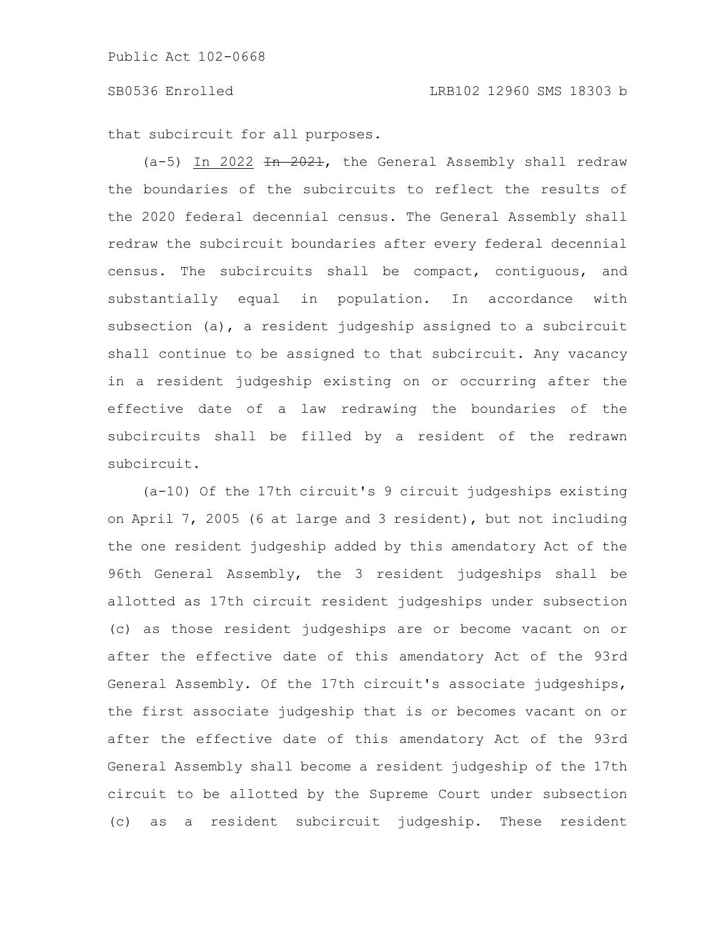that subcircuit for all purposes.

 $(a-5)$  In 2022 <del>In 2021</del>, the General Assembly shall redraw the boundaries of the subcircuits to reflect the results of the 2020 federal decennial census. The General Assembly shall redraw the subcircuit boundaries after every federal decennial census. The subcircuits shall be compact, contiguous, and substantially equal in population. In accordance with subsection (a), a resident judgeship assigned to a subcircuit shall continue to be assigned to that subcircuit. Any vacancy in a resident judgeship existing on or occurring after the effective date of a law redrawing the boundaries of the subcircuits shall be filled by a resident of the redrawn subcircuit.

(a-10) Of the 17th circuit's 9 circuit judgeships existing on April 7, 2005 (6 at large and 3 resident), but not including the one resident judgeship added by this amendatory Act of the 96th General Assembly, the 3 resident judgeships shall be allotted as 17th circuit resident judgeships under subsection (c) as those resident judgeships are or become vacant on or after the effective date of this amendatory Act of the 93rd General Assembly. Of the 17th circuit's associate judgeships, the first associate judgeship that is or becomes vacant on or after the effective date of this amendatory Act of the 93rd General Assembly shall become a resident judgeship of the 17th circuit to be allotted by the Supreme Court under subsection (c) as a resident subcircuit judgeship. These resident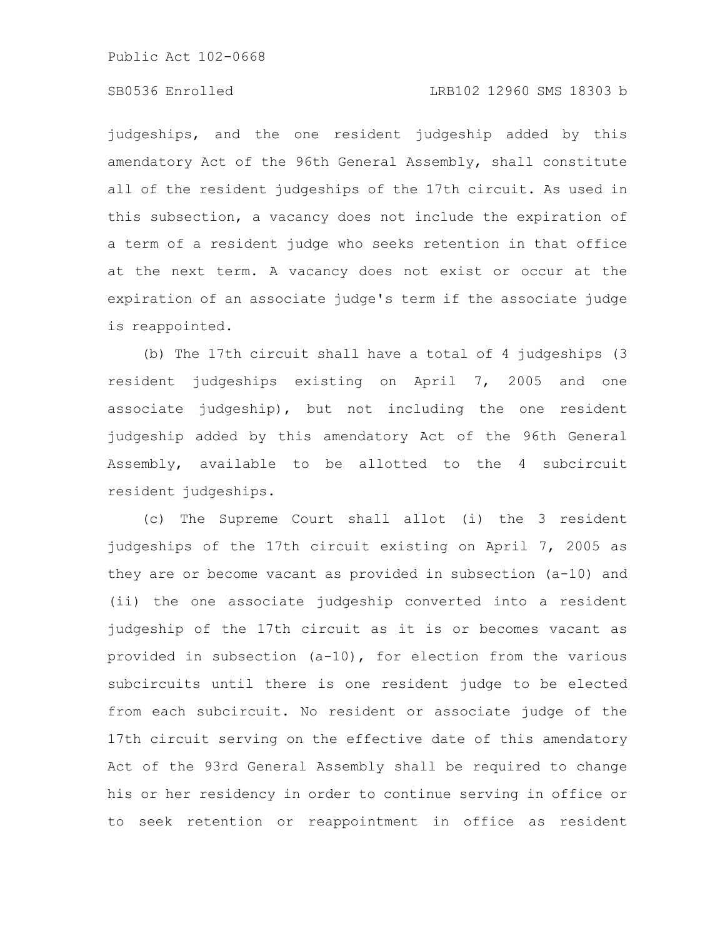# SB0536 Enrolled LRB102 12960 SMS 18303 b

judgeships, and the one resident judgeship added by this amendatory Act of the 96th General Assembly, shall constitute all of the resident judgeships of the 17th circuit. As used in this subsection, a vacancy does not include the expiration of a term of a resident judge who seeks retention in that office at the next term. A vacancy does not exist or occur at the expiration of an associate judge's term if the associate judge is reappointed.

(b) The 17th circuit shall have a total of 4 judgeships (3 resident judgeships existing on April 7, 2005 and one associate judgeship), but not including the one resident judgeship added by this amendatory Act of the 96th General Assembly, available to be allotted to the 4 subcircuit resident judgeships.

(c) The Supreme Court shall allot (i) the 3 resident judgeships of the 17th circuit existing on April 7, 2005 as they are or become vacant as provided in subsection (a-10) and (ii) the one associate judgeship converted into a resident judgeship of the 17th circuit as it is or becomes vacant as provided in subsection (a-10), for election from the various subcircuits until there is one resident judge to be elected from each subcircuit. No resident or associate judge of the 17th circuit serving on the effective date of this amendatory Act of the 93rd General Assembly shall be required to change his or her residency in order to continue serving in office or to seek retention or reappointment in office as resident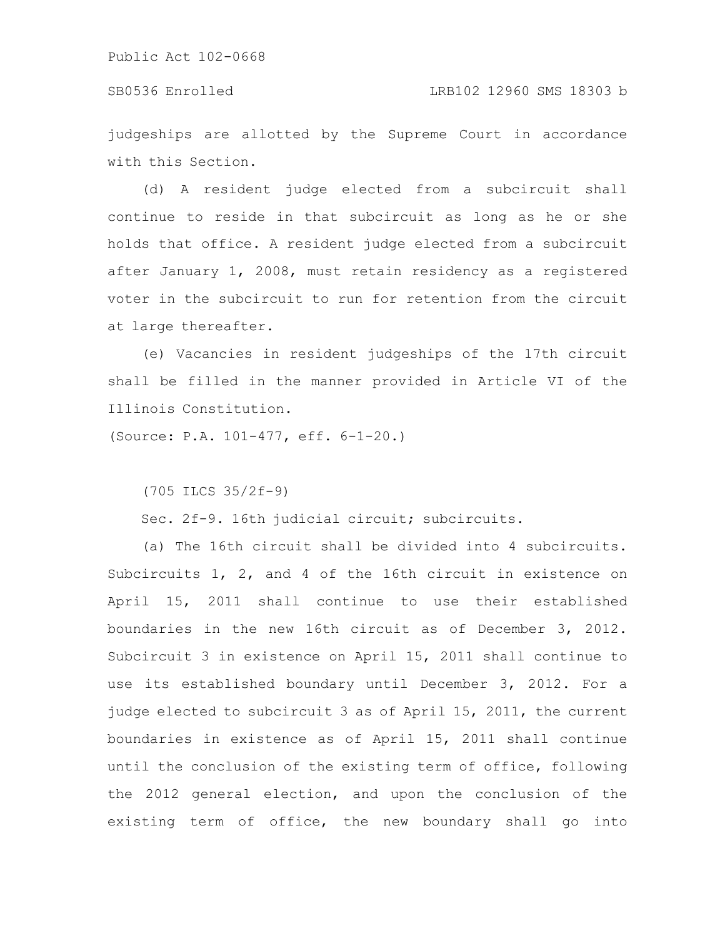#### SB0536 Enrolled LRB102 12960 SMS 18303 b

judgeships are allotted by the Supreme Court in accordance with this Section.

(d) A resident judge elected from a subcircuit shall continue to reside in that subcircuit as long as he or she holds that office. A resident judge elected from a subcircuit after January 1, 2008, must retain residency as a registered voter in the subcircuit to run for retention from the circuit at large thereafter.

(e) Vacancies in resident judgeships of the 17th circuit shall be filled in the manner provided in Article VI of the Illinois Constitution.

(Source: P.A. 101-477, eff. 6-1-20.)

(705 ILCS 35/2f-9)

Sec. 2f-9. 16th judicial circuit; subcircuits.

(a) The 16th circuit shall be divided into 4 subcircuits. Subcircuits 1, 2, and 4 of the 16th circuit in existence on April 15, 2011 shall continue to use their established boundaries in the new 16th circuit as of December 3, 2012. Subcircuit 3 in existence on April 15, 2011 shall continue to use its established boundary until December 3, 2012. For a judge elected to subcircuit 3 as of April 15, 2011, the current boundaries in existence as of April 15, 2011 shall continue until the conclusion of the existing term of office, following the 2012 general election, and upon the conclusion of the existing term of office, the new boundary shall go into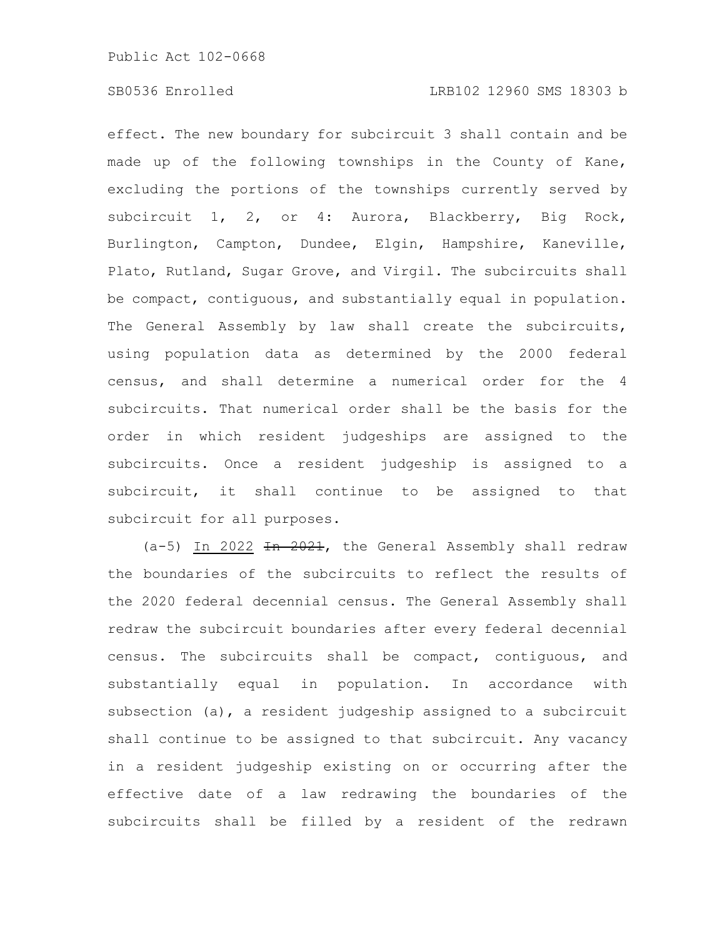effect. The new boundary for subcircuit 3 shall contain and be made up of the following townships in the County of Kane, excluding the portions of the townships currently served by subcircuit 1, 2, or 4: Aurora, Blackberry, Big Rock, Burlington, Campton, Dundee, Elgin, Hampshire, Kaneville, Plato, Rutland, Sugar Grove, and Virgil. The subcircuits shall be compact, contiguous, and substantially equal in population. The General Assembly by law shall create the subcircuits, using population data as determined by the 2000 federal census, and shall determine a numerical order for the 4 subcircuits. That numerical order shall be the basis for the order in which resident judgeships are assigned to the subcircuits. Once a resident judgeship is assigned to a subcircuit, it shall continue to be assigned to that subcircuit for all purposes.

(a-5) In 2022 In 2021, the General Assembly shall redraw the boundaries of the subcircuits to reflect the results of the 2020 federal decennial census. The General Assembly shall redraw the subcircuit boundaries after every federal decennial census. The subcircuits shall be compact, contiguous, and substantially equal in population. In accordance with subsection (a), a resident judgeship assigned to a subcircuit shall continue to be assigned to that subcircuit. Any vacancy in a resident judgeship existing on or occurring after the effective date of a law redrawing the boundaries of the subcircuits shall be filled by a resident of the redrawn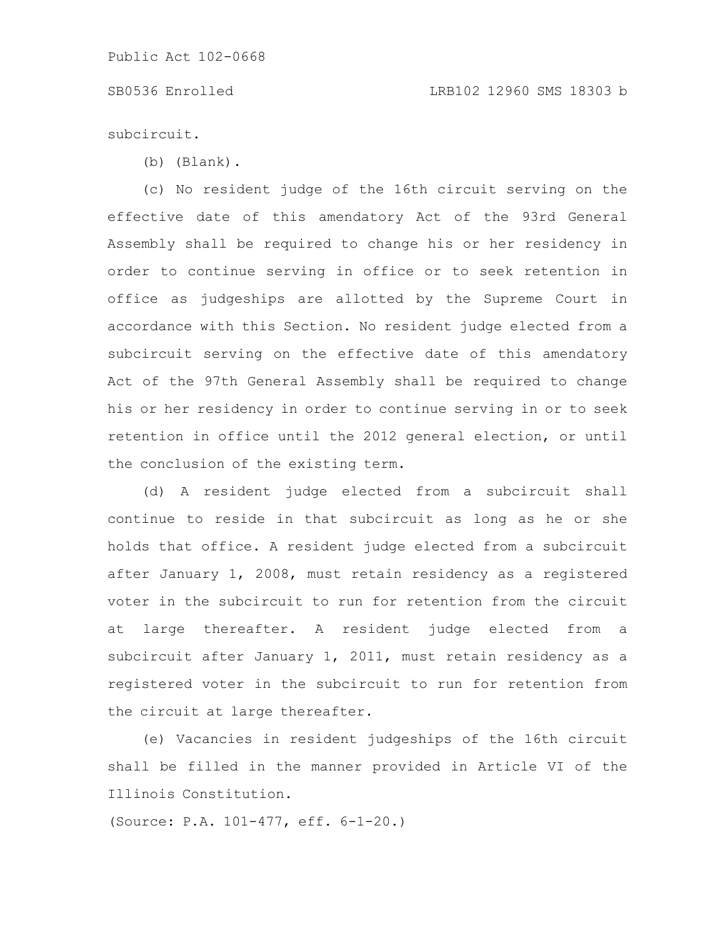# SB0536 Enrolled LRB102 12960 SMS 18303 b

subcircuit.

(b) (Blank).

(c) No resident judge of the 16th circuit serving on the effective date of this amendatory Act of the 93rd General Assembly shall be required to change his or her residency in order to continue serving in office or to seek retention in office as judgeships are allotted by the Supreme Court in accordance with this Section. No resident judge elected from a subcircuit serving on the effective date of this amendatory Act of the 97th General Assembly shall be required to change his or her residency in order to continue serving in or to seek retention in office until the 2012 general election, or until the conclusion of the existing term.

(d) A resident judge elected from a subcircuit shall continue to reside in that subcircuit as long as he or she holds that office. A resident judge elected from a subcircuit after January 1, 2008, must retain residency as a registered voter in the subcircuit to run for retention from the circuit at large thereafter. A resident judge elected from a subcircuit after January 1, 2011, must retain residency as a registered voter in the subcircuit to run for retention from the circuit at large thereafter.

(e) Vacancies in resident judgeships of the 16th circuit shall be filled in the manner provided in Article VI of the Illinois Constitution.

(Source: P.A. 101-477, eff. 6-1-20.)